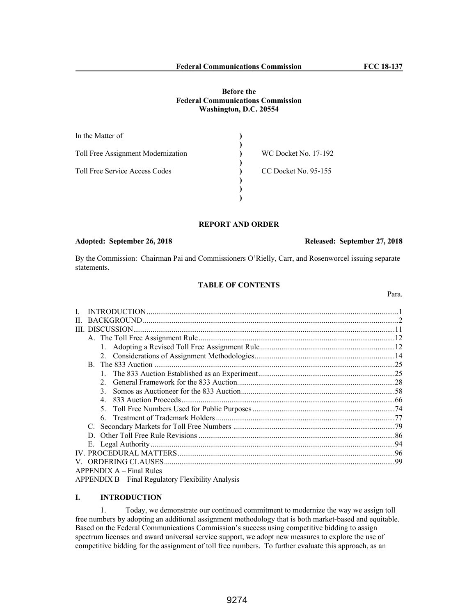## **Before the Federal Communications Commission Washington, D.C. 20554**

| In the Matter of                      |                      |
|---------------------------------------|----------------------|
| Toll Free Assignment Modernization    | WC Docket No. 17-192 |
| <b>Toll Free Service Access Codes</b> | CC Docket No. 95-155 |
|                                       |                      |
|                                       |                      |

# **REPORT AND ORDER**

## **Adopted: September 26, 2018 Released: September 27, 2018**

By the Commission: Chairman Pai and Commissioners O'Rielly, Carr, and Rosenworcel issuing separate statements.

## **TABLE OF CONTENTS**

Para.

| B. The 833 Auction                                 |  |
|----------------------------------------------------|--|
|                                                    |  |
|                                                    |  |
| $\mathcal{E}$                                      |  |
| 4                                                  |  |
|                                                    |  |
| 6                                                  |  |
|                                                    |  |
| D.                                                 |  |
|                                                    |  |
|                                                    |  |
|                                                    |  |
| $APPENDIX A - Final Rules$                         |  |
| APPENDIX B – Final Regulatory Flexibility Analysis |  |

# **I. INTRODUCTION**

1. Today, we demonstrate our continued commitment to modernize the way we assign toll free numbers by adopting an additional assignment methodology that is both market-based and equitable. Based on the Federal Communications Commission's success using competitive bidding to assign spectrum licenses and award universal service support, we adopt new measures to explore the use of competitive bidding for the assignment of toll free numbers. To further evaluate this approach, as an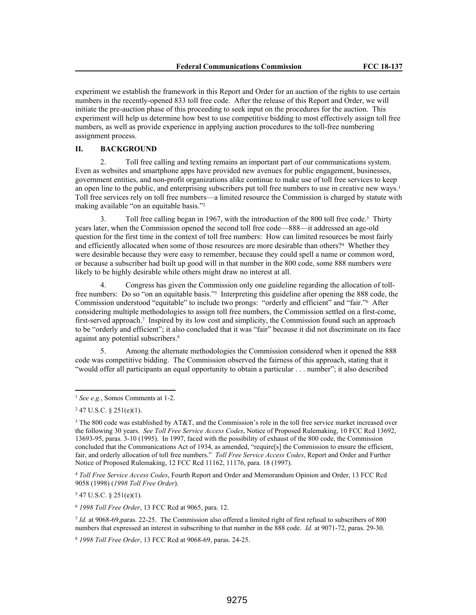experiment we establish the framework in this Report and Order for an auction of the rights to use certain numbers in the recently-opened 833 toll free code. After the release of this Report and Order, we will initiate the pre-auction phase of this proceeding to seek input on the procedures for the auction. This experiment will help us determine how best to use competitive bidding to most effectively assign toll free numbers, as well as provide experience in applying auction procedures to the toll-free numbering assignment process.

## **II. BACKGROUND**

2. Toll free calling and texting remains an important part of our communications system. Even as websites and smartphone apps have provided new avenues for public engagement, businesses, government entities, and non-profit organizations alike continue to make use of toll free services to keep an open line to the public, and enterprising subscribers put toll free numbers to use in creative new ways.<sup>1</sup> Toll free services rely on toll free numbers—a limited resource the Commission is charged by statute with making available "on an equitable basis."<sup>2</sup>

3. Toll free calling began in 1967, with the introduction of the 800 toll free code.<sup>3</sup> Thirty years later, when the Commission opened the second toll free code—888—it addressed an age-old question for the first time in the context of toll free numbers: How can limited resources be most fairly and efficiently allocated when some of those resources are more desirable than others?<sup>4</sup> Whether they were desirable because they were easy to remember, because they could spell a name or common word, or because a subscriber had built up good will in that number in the 800 code, some 888 numbers were likely to be highly desirable while others might draw no interest at all.

4. Congress has given the Commission only one guideline regarding the allocation of tollfree numbers: Do so "on an equitable basis."<sup>5</sup> Interpreting this guideline after opening the 888 code, the Commission understood "equitable" to include two prongs: "orderly and efficient" and "fair."<sup>6</sup> After considering multiple methodologies to assign toll free numbers, the Commission settled on a first-come, first-served approach.<sup>7</sup> Inspired by its low cost and simplicity, the Commission found such an approach to be "orderly and efficient"; it also concluded that it was "fair" because it did not discriminate on its face against any potential subscribers.<sup>8</sup>

5. Among the alternate methodologies the Commission considered when it opened the 888 code was competitive bidding. The Commission observed the fairness of this approach, stating that it "would offer all participants an equal opportunity to obtain a particular . . . number"; it also described

 $547$  U.S.C. § 251(e)(1).

<sup>6</sup> *1998 Toll Free Order*, 13 FCC Rcd at 9065, para. 12.

7 *Id.* at 9068-69,paras. 22-25. The Commission also offered a limited right of first refusal to subscribers of 800 numbers that expressed an interest in subscribing to that number in the 888 code. *Id.* at 9071-72, paras. 29-30.

<sup>1</sup> *See e.g.*, Somos Comments at 1-2.

 $247$  U.S.C. § 251(e)(1).

<sup>&</sup>lt;sup>3</sup> The 800 code was established by AT&T, and the Commission's role in the toll free service market increased over the following 30 years. *See Toll Free Service Access Codes*, Notice of Proposed Rulemaking, 10 FCC Rcd 13692, 13693-95, paras. 3-10 (1995). In 1997, faced with the possibility of exhaust of the 800 code, the Commission concluded that the Communications Act of 1934, as amended, "require[s] the Commission to ensure the efficient, fair, and orderly allocation of toll free numbers." *Toll Free Service Access Codes*, Report and Order and Further Notice of Proposed Rulemaking, 12 FCC Rcd 11162, 11176, para. 18 (1997).

<sup>4</sup> *Toll Free Service Access Codes*, Fourth Report and Order and Memorandum Opinion and Order, 13 FCC Rcd 9058 (1998) (*1998 Toll Free Order*).

<sup>8</sup> *1998 Toll Free Order*, 13 FCC Rcd at 9068-69, paras. 24-25.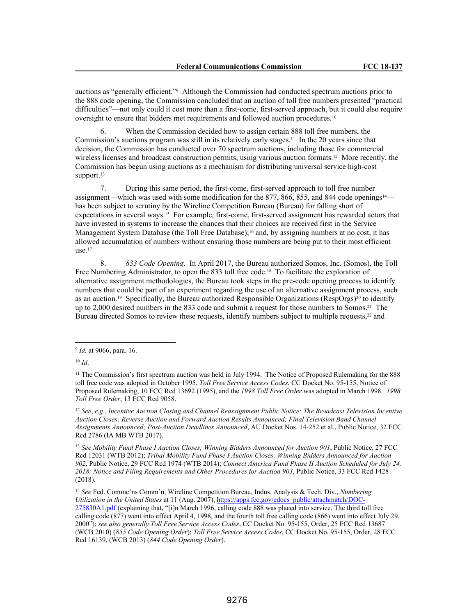auctions as "generally efficient."<sup>9</sup> Although the Commission had conducted spectrum auctions prior to the 888 code opening, the Commission concluded that an auction of toll free numbers presented "practical difficulties"—not only could it cost more than a first-come, first-served approach, but it could also require oversight to ensure that bidders met requirements and followed auction procedures.<sup>10</sup>

6. When the Commission decided how to assign certain 888 toll free numbers, the Commission's auctions program was still in its relatively early stages.11 In the 20 years since that decision, the Commission has conducted over 70 spectrum auctions, including those for commercial wireless licenses and broadcast construction permits, using various auction formats.<sup>12</sup> More recently, the Commission has begun using auctions as a mechanism for distributing universal service high-cost support.<sup>13</sup>

7. During this same period, the first-come, first-served approach to toll free number assignment—which was used with some modification for the 877, 866, 855, and 844 code openings14 has been subject to scrutiny by the Wireline Competition Bureau (Bureau) for falling short of expectations in several ways.15 For example, first-come, first-served assignment has rewarded actors that have invested in systems to increase the chances that their choices are received first in the Service Management System Database (the Toll Free Database);<sup>16</sup> and, by assigning numbers at no cost, it has allowed accumulation of numbers without ensuring those numbers are being put to their most efficient  $use<sup>17</sup>$ 

8. *833 Code Opening*. In April 2017, the Bureau authorized Somos, Inc. (Somos), the Toll Free Numbering Administrator, to open the 833 toll free code.<sup>18</sup> To facilitate the exploration of alternative assignment methodologies, the Bureau took steps in the pre-code opening process to identify numbers that could be part of an experiment regarding the use of an alternative assignment process, such as an auction.<sup>19</sup> Specifically, the Bureau authorized Responsible Organizations (RespOrgs)<sup>20</sup> to identify up to 2,000 desired numbers in the 833 code and submit a request for those numbers to Somos.<sup>21</sup> The Bureau directed Somos to review these requests, identify numbers subject to multiple requests,<sup>22</sup> and

<sup>12</sup> *See*, *e*.*g*., *Incentive Auction Closing and Channel Reassignment Public Notice: The Broadcast Television Incentive Auction Closes; Reverse Auction and Forward Auction Results Announced; Final Television Band Channel Assignments Announced; Post-Auction Deadlines Announced*, AU Docket Nos. 14-252 et al., Public Notice, 32 FCC Rcd 2786 (IA MB WTB 2017).

<sup>13</sup> *See Mobility Fund Phase I Auction Closes; Winning Bidders Announced for Auction 901*, Public Notice, 27 FCC Rcd 12031 (WTB 2012); *Tribal Mobility Fund Phase I Auction Closes; Winning Bidders Announced for Auction 902*, Public Notice, 29 FCC Rcd 1974 (WTB 2014); *Connect America Fund Phase II Auction Scheduled for July 24, 2018; Notice and Filing Requirements and Other Procedures for Auction 903*, Public Notice, 33 FCC Rcd 1428 (2018).

<sup>14</sup> *See* Fed. Commc'ns Comm'n, Wireline Competition Bureau, Indus. Analysis & Tech. Div., *Numbering Utilization in the United States* at 11 (Aug. 2007), https://apps.fcc.gov/edocs\_public/attachmatch/DOC-275830A1.pdf (explaining that, "[i]n March 1996, calling code 888 was placed into service. The third toll free calling code (877) went into effect April 4, 1998, and the fourth toll free calling code (866) went into effect July 29, 2000"); *see also generally Toll Free Service Access Codes*, CC Docket No. 95-155, Order, 25 FCC Rcd 13687 (WCB 2010) (*855 Code Opening Order*); *Toll Free Service Access Codes*, CC Docket No. 95-155, Order, 28 FCC Rcd 16139, (WCB 2013) (*844 Code Opening Order*).

<sup>9</sup> *Id.* at 9066, para. 16.

<sup>10</sup> *Id*.

<sup>&</sup>lt;sup>11</sup> The Commission's first spectrum auction was held in July 1994. The Notice of Proposed Rulemaking for the 888 toll free code was adopted in October 1995, *Toll Free Service Access Codes*, CC Docket No. 95-155, Notice of Proposed Rulemaking, 10 FCC Rcd 13692 (1995), and the *1998 Toll Free Order* was adopted in March 1998. *1998 Toll Free Order*, 13 FCC Rcd 9058.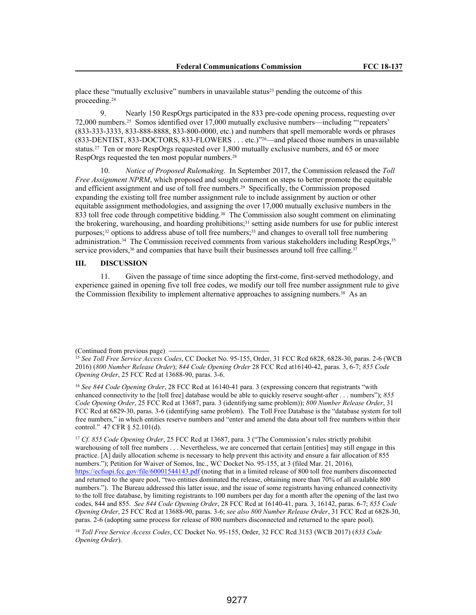place these "mutually exclusive" numbers in unavailable status<sup>23</sup> pending the outcome of this proceeding.<sup>24</sup>

9. Nearly 150 RespOrgs participated in the 833 pre-code opening process, requesting over 72,000 numbers.25 Somos identified over 17,000 mutually exclusive numbers—including "'repeaters' (833-333-3333, 833-888-8888, 833-800-0000, etc.) and numbers that spell memorable words or phrases (833-DENTIST, 833-DOCTORS, 833-FLOWERS . . . etc.)"26—and placed those numbers in unavailable status.27 Ten or more RespOrgs requested over 1,800 mutually exclusive numbers, and 65 or more RespOrgs requested the ten most popular numbers.<sup>28</sup>

10. *Notice of Proposed Rulemaking*. In September 2017, the Commission released the *Toll Free Assignment NPRM*, which proposed and sought comment on steps to better promote the equitable and efficient assignment and use of toll free numbers.29 Specifically, the Commission proposed expanding the existing toll free number assignment rule to include assignment by auction or other equitable assignment methodologies, and assigning the over 17,000 mutually exclusive numbers in the 833 toll free code through competitive bidding.<sup>30</sup> The Commission also sought comment on eliminating the brokering, warehousing, and hoarding prohibitions;<sup>31</sup> setting aside numbers for use for public interest purposes;32 options to address abuse of toll free numbers;33 and changes to overall toll free numbering administration.34 The Commission received comments from various stakeholders including RespOrgs,<sup>35</sup> service providers,<sup>36</sup> and companies that have built their businesses around toll free calling.<sup>37</sup>

## **III. DISCUSSION**

11. Given the passage of time since adopting the first-come, first-served methodology, and experience gained in opening five toll free codes, we modify our toll free number assignment rule to give the Commission flexibility to implement alternative approaches to assigning numbers.<sup>38</sup> As an

<sup>17</sup> *Cf. 855 Code Opening Order*, 25 FCC Rcd at 13687, para. 3 ("The Commission's rules strictly prohibit warehousing of toll free numbers . . . Nevertheless, we are concerned that certain [entities] may still engage in this practice. [A] daily allocation scheme is necessary to help prevent this activity and ensure a fair allocation of 855 numbers."); Petition for Waiver of Somos, Inc., WC Docket No. 95-155, at 3 (filed Mar. 21, 2016), https://ecfsapi.fcc.gov/file/60001544143.pdf (noting that in a limited release of 800 toll free numbers disconnected and returned to the spare pool, "two entities dominated the release, obtaining more than 70% of all available 800 numbers."). The Bureau addressed this latter issue, and the issue of some registrants having enhanced connectivity to the toll free database, by limiting registrants to 100 numbers per day for a month after the opening of the last two codes, 844 and 855. *See 844 Code Opening Order*, 28 FCC Rcd at 16140-41, para. 3, 16142, paras. 6-7; *855 Code Opening Order*, 25 FCC Rcd at 13688-90, paras. 3-6; *see also 800 Number Release Order*, 31 FCC Rcd at 6828-30, paras. 2-6 (adopting same process for release of 800 numbers disconnected and returned to the spare pool).

<sup>18</sup> *Toll Free Service Access Codes*, CC Docket No. 95-155, Order, 32 FCC Rcd 3153 (WCB 2017) (*833 Code Opening Order*).

<sup>(</sup>Continued from previous page)

<sup>15</sup> *See Toll Free Service Access Codes*, CC Docket No. 95-155, Order, 31 FCC Rcd 6828, 6828-30, paras. 2-6 (WCB 2016) (*800 Number Release Order*); *844 Code Opening Order* 28 FCC Rcd at16140-42, paras. 3, 6-7; *855 Code Opening Order*, 25 FCC Rcd at 13688-90, paras. 3-6.

<sup>16</sup> *See 844 Code Opening Order*, 28 FCC Rcd at 16140-41 para. 3 (expressing concern that registrants "with enhanced connectivity to the [toll free] database would be able to quickly reserve sought-after . . . numbers"); *855 Code Opening Order*, 25 FCC Rcd at 13687, para. 3 (identifying same problem)); *800 Number Release Order*, 31 FCC Rcd at 6829-30, paras. 3-6 (identifying same problem). The Toll Free Database is the "database system for toll free numbers," in which entities reserve numbers and "enter and amend the data about toll free numbers within their control." 47 CFR § 52.101(d).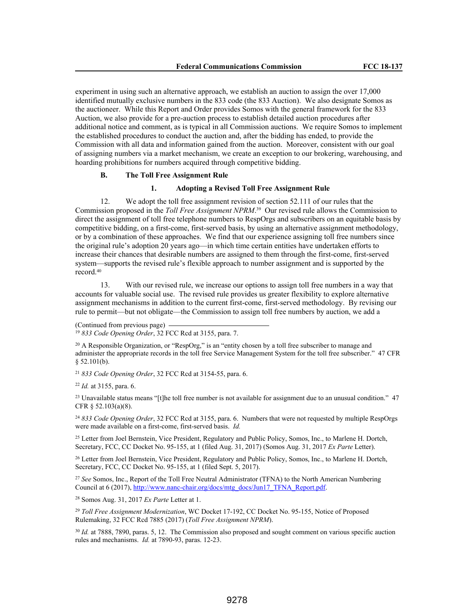experiment in using such an alternative approach, we establish an auction to assign the over 17,000 identified mutually exclusive numbers in the 833 code (the 833 Auction). We also designate Somos as the auctioneer. While this Report and Order provides Somos with the general framework for the 833 Auction, we also provide for a pre-auction process to establish detailed auction procedures after additional notice and comment, as is typical in all Commission auctions. We require Somos to implement the established procedures to conduct the auction and, after the bidding has ended, to provide the Commission with all data and information gained from the auction. Moreover, consistent with our goal of assigning numbers via a market mechanism, we create an exception to our brokering, warehousing, and hoarding prohibitions for numbers acquired through competitive bidding.

## **B. The Toll Free Assignment Rule**

### **1. Adopting a Revised Toll Free Assignment Rule**

12. We adopt the toll free assignment revision of section 52.111 of our rules that the Commission proposed in the *Toll Free Assignment NPRM*. <sup>39</sup> Our revised rule allows the Commission to direct the assignment of toll free telephone numbers to RespOrgs and subscribers on an equitable basis by competitive bidding, on a first-come, first-served basis, by using an alternative assignment methodology, or by a combination of these approaches. We find that our experience assigning toll free numbers since the original rule's adoption 20 years ago—in which time certain entities have undertaken efforts to increase their chances that desirable numbers are assigned to them through the first-come, first-served system—supports the revised rule's flexible approach to number assignment and is supported by the record.<sup>40</sup>

13. With our revised rule, we increase our options to assign toll free numbers in a way that accounts for valuable social use. The revised rule provides us greater flexibility to explore alternative assignment mechanisms in addition to the current first-come, first-served methodology. By revising our rule to permit—but not obligate—the Commission to assign toll free numbers by auction, we add a

(Continued from previous page) <sup>19</sup> *833 Code Opening Order*, 32 FCC Rcd at 3155, para. 7.

<sup>20</sup> A Responsible Organization, or "RespOrg," is an "entity chosen by a toll free subscriber to manage and administer the appropriate records in the toll free Service Management System for the toll free subscriber." 47 CFR § 52.101(b).

<sup>21</sup> *833 Code Opening Order*, 32 FCC Rcd at 3154-55, para. 6.

<sup>22</sup> *Id.* at 3155, para. 6.

<sup>23</sup> Unavailable status means "[t]he toll free number is not available for assignment due to an unusual condition."  $47$ CFR § 52.103(a)(8).

<sup>24</sup> *833 Code Opening Order*, 32 FCC Rcd at 3155, para. 6. Numbers that were not requested by multiple RespOrgs were made available on a first-come, first-served basis. *Id.*

<sup>25</sup> Letter from Joel Bernstein, Vice President, Regulatory and Public Policy, Somos, Inc., to Marlene H. Dortch, Secretary, FCC, CC Docket No. 95-155, at 1 (filed Aug. 31, 2017) (Somos Aug. 31, 2017 *Ex Parte* Letter).

<sup>26</sup> Letter from Joel Bernstein, Vice President, Regulatory and Public Policy, Somos, Inc., to Marlene H. Dortch, Secretary, FCC, CC Docket No. 95-155, at 1 (filed Sept. 5, 2017).

<sup>27</sup> *See* Somos, Inc., Report of the Toll Free Neutral Administrator (TFNA) to the North American Numbering Council at 6 (2017), http://www.nanc-chair.org/docs/mtg\_docs/Jun17\_TFNA\_Report.pdf.

<sup>28</sup> Somos Aug. 31, 2017 *Ex Parte* Letter at 1.

<sup>29</sup> *Toll Free Assignment Modernization*, WC Docket 17-192, CC Docket No. 95-155, Notice of Proposed Rulemaking, 32 FCC Rcd 7885 (2017) (*Toll Free Assignment NPRM*).

<sup>30</sup> *Id.* at 7888, 7890, paras. 5, 12. The Commission also proposed and sought comment on various specific auction rules and mechanisms. *Id.* at 7890-93, paras. 12-23.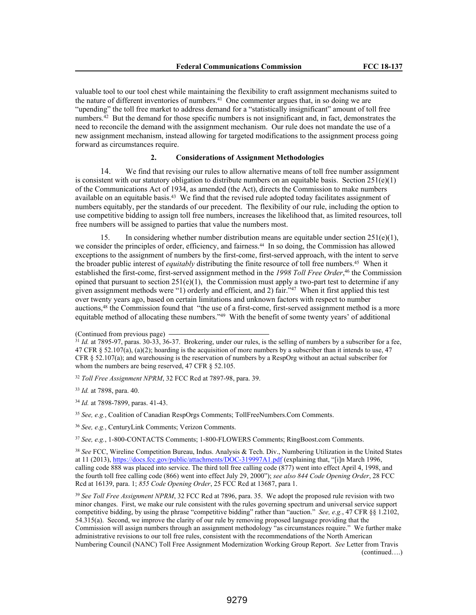valuable tool to our tool chest while maintaining the flexibility to craft assignment mechanisms suited to the nature of different inventories of numbers.<sup>41</sup> One commenter argues that, in so doing we are "upending" the toll free market to address demand for a "statistically insignificant" amount of toll free numbers.<sup>42</sup> But the demand for those specific numbers is not insignificant and, in fact, demonstrates the need to reconcile the demand with the assignment mechanism. Our rule does not mandate the use of a new assignment mechanism, instead allowing for targeted modifications to the assignment process going forward as circumstances require.

# **2. Considerations of Assignment Methodologies**

14. We find that revising our rules to allow alternative means of toll free number assignment is consistent with our statutory obligation to distribute numbers on an equitable basis. Section  $251(e)(1)$ of the Communications Act of 1934, as amended (the Act), directs the Commission to make numbers available on an equitable basis.<sup>43</sup> We find that the revised rule adopted today facilitates assignment of numbers equitably, per the standards of our precedent. The flexibility of our rule, including the option to use competitive bidding to assign toll free numbers, increases the likelihood that, as limited resources, toll free numbers will be assigned to parties that value the numbers most.

15. In considering whether number distribution means are equitable under section  $251(e)(1)$ , we consider the principles of order, efficiency, and fairness.44 In so doing, the Commission has allowed exceptions to the assignment of numbers by the first-come, first-served approach, with the intent to serve the broader public interest of *equitably* distributing the finite resource of toll free numbers.<sup>45</sup> When it established the first-come, first-served assignment method in the *1998 Toll Free Order*, <sup>46</sup> the Commission opined that pursuant to section  $251(e)(1)$ , the Commission must apply a two-part test to determine if any given assignment methods were "1) orderly and efficient, and 2) fair."<sup>47</sup> When it first applied this test over twenty years ago, based on certain limitations and unknown factors with respect to number auctions,<sup>48</sup> the Commission found that "the use of a first-come, first-served assignment method is a more equitable method of allocating these numbers."<sup>49</sup> With the benefit of some twenty years' of additional

<sup>32</sup> *Toll Free Assignment NPRM*, 32 FCC Rcd at 7897-98, para. 39.

<sup>33</sup> *Id.* at 7898, para. 40.

<sup>34</sup> *Id.* at 7898-7899, paras. 41-43.

<sup>35</sup> *See, e.g.*, Coalition of Canadian RespOrgs Comments; TollFreeNumbers.Com Comments.

<sup>36</sup> *See, e.g.*, CenturyLink Comments; Verizon Comments.

<sup>37</sup> *See, e.g.*, 1-800-CONTACTS Comments; 1-800-FLOWERS Comments; RingBoost.com Comments.

<sup>38</sup> *See* FCC, Wireline Competition Bureau, Indus. Analysis & Tech. Div., Numbering Utilization in the United States at 11 (2013), https://docs.fcc.gov/public/attachments/DOC-319997A1.pdf (explaining that, "[i]n March 1996, calling code 888 was placed into service. The third toll free calling code (877) went into effect April 4, 1998, and the fourth toll free calling code (866) went into effect July 29, 2000"); *see also 844 Code Opening Order*, 28 FCC Rcd at 16139, para. 1; *855 Code Opening Order*, 25 FCC Rcd at 13687, para 1.

<sup>39</sup> See Toll Free Assignment NPRM, 32 FCC Rcd at 7896, para. 35. We adopt the proposed rule revision with two minor changes. First, we make our rule consistent with the rules governing spectrum and universal service support competitive bidding, by using the phrase "competitive bidding" rather than "auction." *See, e.g.*, 47 CFR §§ 1.2102, 54.315(a). Second, we improve the clarity of our rule by removing proposed language providing that the Commission will assign numbers through an assignment methodology "as circumstances require." We further make administrative revisions to our toll free rules, consistent with the recommendations of the North American Numbering Council (NANC) Toll Free Assignment Modernization Working Group Report. *See* Letter from Travis (continued….)

<sup>(</sup>Continued from previous page)

<sup>&</sup>lt;sup>31</sup> *Id.* at 7895-97, paras. 30-33, 36-37. Brokering, under our rules, is the selling of numbers by a subscriber for a fee, 47 CFR § 52.107(a), (a)(2); hoarding is the acquisition of more numbers by a subscriber than it intends to use, 47 CFR § 52.107(a); and warehousing is the reservation of numbers by a RespOrg without an actual subscriber for whom the numbers are being reserved, 47 CFR § 52.105.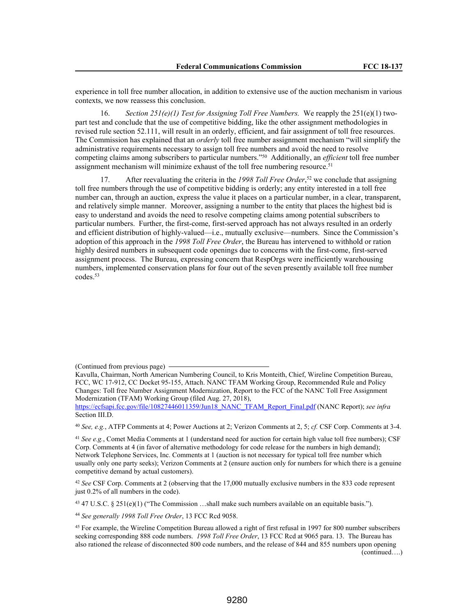experience in toll free number allocation, in addition to extensive use of the auction mechanism in various contexts, we now reassess this conclusion.

16. *Section 251(e)(1) Test for Assigning Toll Free Numbers.* We reapply the 251(e)(1) twopart test and conclude that the use of competitive bidding, like the other assignment methodologies in revised rule section 52.111, will result in an orderly, efficient, and fair assignment of toll free resources. The Commission has explained that an *orderly* toll free number assignment mechanism "will simplify the administrative requirements necessary to assign toll free numbers and avoid the need to resolve competing claims among subscribers to particular numbers."<sup>50</sup> Additionally, an *efficient* toll free number assignment mechanism will minimize exhaust of the toll free numbering resource.<sup>51</sup>

17. After reevaluating the criteria in the *1998 Toll Free Order*, <sup>52</sup> we conclude that assigning toll free numbers through the use of competitive bidding is orderly; any entity interested in a toll free number can, through an auction, express the value it places on a particular number, in a clear, transparent, and relatively simple manner. Moreover, assigning a number to the entity that places the highest bid is easy to understand and avoids the need to resolve competing claims among potential subscribers to particular numbers. Further, the first-come, first-served approach has not always resulted in an orderly and efficient distribution of highly-valued—i.e., mutually exclusive—numbers. Since the Commission's adoption of this approach in the *1998 Toll Free Order*, the Bureau has intervened to withhold or ration highly desired numbers in subsequent code openings due to concerns with the first-come, first-served assignment process. The Bureau, expressing concern that RespOrgs were inefficiently warehousing numbers, implemented conservation plans for four out of the seven presently available toll free number codes.<sup>53</sup>

<sup>40</sup> *See, e.g.*, ATFP Comments at 4; Power Auctions at 2; Verizon Comments at 2, 5; *cf.* CSF Corp. Comments at 3-4.

<sup>41</sup> *See e.g.*, Comet Media Comments at 1 (understand need for auction for certain high value toll free numbers); CSF Corp. Comments at 4 (in favor of alternative methodology for code release for the numbers in high demand); Network Telephone Services, Inc. Comments at 1 (auction is not necessary for typical toll free number which usually only one party seeks); Verizon Comments at 2 (ensure auction only for numbers for which there is a genuine competitive demand by actual customers).

<sup>42</sup> *See* CSF Corp. Comments at 2 (observing that the 17,000 mutually exclusive numbers in the 833 code represent just 0.2% of all numbers in the code).

<sup>43</sup> 47 U.S.C. § 251(e)(1) ("The Commission …shall make such numbers available on an equitable basis.").

<sup>44</sup> *See generally 1998 Toll Free Order*, 13 FCC Rcd 9058.

<sup>(</sup>Continued from previous page)

Kavulla, Chairman, North American Numbering Council, to Kris Monteith, Chief, Wireline Competition Bureau, FCC, WC 17-912, CC Docket 95-155, Attach. NANC TFAM Working Group, Recommended Rule and Policy Changes: Toll free Number Assignment Modernization, Report to the FCC of the NANC Toll Free Assignment Modernization (TFAM) Working Group (filed Aug. 27, 2018),

https://ecfsapi.fcc.gov/file/10827446011359/Jun18\_NANC\_TFAM\_Report\_Final.pdf (NANC Report); *see infra* Section III.D.

<sup>45</sup> For example, the Wireline Competition Bureau allowed a right of first refusal in 1997 for 800 number subscribers seeking corresponding 888 code numbers. *1998 Toll Free Order*, 13 FCC Rcd at 9065 para. 13. The Bureau has also rationed the release of disconnected 800 code numbers, and the release of 844 and 855 numbers upon opening (continued….)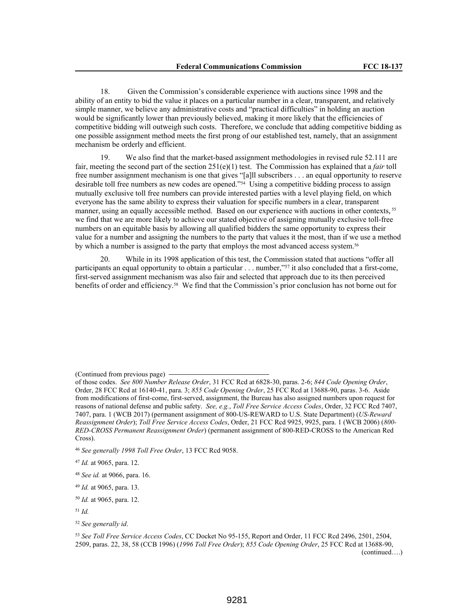18. Given the Commission's considerable experience with auctions since 1998 and the ability of an entity to bid the value it places on a particular number in a clear, transparent, and relatively simple manner, we believe any administrative costs and "practical difficulties" in holding an auction would be significantly lower than previously believed, making it more likely that the efficiencies of competitive bidding will outweigh such costs. Therefore, we conclude that adding competitive bidding as one possible assignment method meets the first prong of our established test, namely, that an assignment mechanism be orderly and efficient.

19. We also find that the market-based assignment methodologies in revised rule 52.111 are fair, meeting the second part of the section 251(e)(1) test. The Commission has explained that a *fair* toll free number assignment mechanism is one that gives "[a]ll subscribers . . . an equal opportunity to reserve desirable toll free numbers as new codes are opened."<sup>54</sup> Using a competitive bidding process to assign mutually exclusive toll free numbers can provide interested parties with a level playing field, on which everyone has the same ability to express their valuation for specific numbers in a clear, transparent manner, using an equally accessible method. Based on our experience with auctions in other contexts,<sup>55</sup> we find that we are more likely to achieve our stated objective of assigning mutually exclusive toll-free numbers on an equitable basis by allowing all qualified bidders the same opportunity to express their value for a number and assigning the numbers to the party that values it the most, than if we use a method by which a number is assigned to the party that employs the most advanced access system.<sup>56</sup>

20. While in its 1998 application of this test, the Commission stated that auctions "offer all participants an equal opportunity to obtain a particular . . . number,"<sup>57</sup> it also concluded that a first-come, first-served assignment mechanism was also fair and selected that approach due to its then perceived benefits of order and efficiency.<sup>58</sup> We find that the Commission's prior conclusion has not borne out for

(Continued from previous page)

of those codes. *See 800 Number Release Order*, 31 FCC Rcd at 6828-30, paras. 2-6; *844 Code Opening Order*, Order, 28 FCC Rcd at 16140-41, para. 3; *855 Code Opening Order*, 25 FCC Rcd at 13688-90, paras. 3-6. Aside from modifications of first-come, first-served, assignment, the Bureau has also assigned numbers upon request for reasons of national defense and public safety. *See, e.g.*, *Toll Free Service Access Codes*, Order, 32 FCC Rcd 7407, 7407, para. 1 (WCB 2017) (permanent assignment of 800-US-REWARD to U.S. State Department) (*US-Reward Reassignment Order*); *Toll Free Service Access Codes*, Order, 21 FCC Rcd 9925, 9925, para. 1 (WCB 2006) (*800- RED-CROSS Permanent Reassignment Order*) (permanent assignment of 800-RED-CROSS to the American Red Cross).

<sup>46</sup> *See generally 1998 Toll Free Order*, 13 FCC Rcd 9058.

<sup>47</sup> *Id.* at 9065, para. 12.

<sup>48</sup> *See id.* at 9066, para. 16.

<sup>49</sup> *Id.* at 9065, para. 13.

<sup>50</sup> *Id.* at 9065, para. 12.

<sup>51</sup> *Id.*

<sup>52</sup> *See generally id*.

<sup>53</sup> *See Toll Free Service Access Codes*, CC Docket No 95-155, Report and Order, 11 FCC Rcd 2496, 2501, 2504, 2509, paras. 22, 38, 58 (CCB 1996) (*1996 Toll Free Order*); *855 Code Opening Order*, 25 FCC Rcd at 13688-90, (continued….)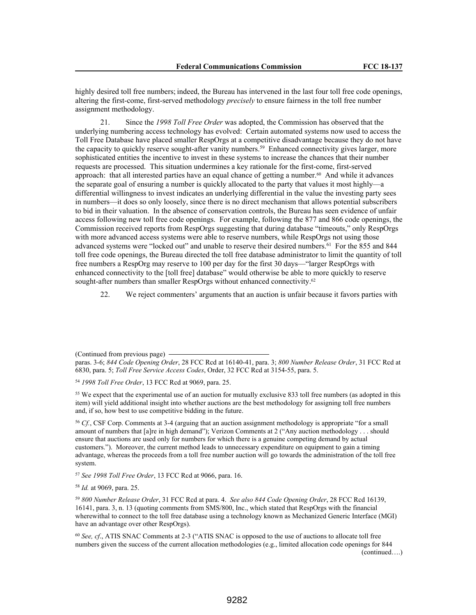highly desired toll free numbers; indeed, the Bureau has intervened in the last four toll free code openings, altering the first-come, first-served methodology *precisely* to ensure fairness in the toll free number assignment methodology.

21. Since the *1998 Toll Free Order* was adopted, the Commission has observed that the underlying numbering access technology has evolved: Certain automated systems now used to access the Toll Free Database have placed smaller RespOrgs at a competitive disadvantage because they do not have the capacity to quickly reserve sought-after vanity numbers.<sup>59</sup> Enhanced connectivity gives larger, more sophisticated entities the incentive to invest in these systems to increase the chances that their number requests are processed. This situation undermines a key rationale for the first-come, first-served approach: that all interested parties have an equal chance of getting a number.<sup>60</sup> And while it advances the separate goal of ensuring a number is quickly allocated to the party that values it most highly—a differential willingness to invest indicates an underlying differential in the value the investing party sees in numbers—it does so only loosely, since there is no direct mechanism that allows potential subscribers to bid in their valuation. In the absence of conservation controls, the Bureau has seen evidence of unfair access following new toll free code openings. For example, following the 877 and 866 code openings, the Commission received reports from RespOrgs suggesting that during database "timeouts," only RespOrgs with more advanced access systems were able to reserve numbers, while RespOrgs not using those advanced systems were "locked out" and unable to reserve their desired numbers.<sup>61</sup> For the 855 and 844 toll free code openings, the Bureau directed the toll free database administrator to limit the quantity of toll free numbers a RespOrg may reserve to 100 per day for the first 30 days—"larger RespOrgs with enhanced connectivity to the [toll free] database" would otherwise be able to more quickly to reserve sought-after numbers than smaller RespOrgs without enhanced connectivity.<sup>62</sup>

22. We reject commenters' arguments that an auction is unfair because it favors parties with

<sup>54</sup> *1998 Toll Free Order*, 13 FCC Rcd at 9069, para. 25.

<sup>55</sup> We expect that the experimental use of an auction for mutually exclusive 833 toll free numbers (as adopted in this item) will yield additional insight into whether auctions are the best methodology for assigning toll free numbers and, if so, how best to use competitive bidding in the future.

<sup>56</sup> *Cf.*, CSF Corp. Comments at 3-4 (arguing that an auction assignment methodology is appropriate "for a small amount of numbers that [a]re in high demand"); Verizon Comments at 2 ("Any auction methodology . . . should ensure that auctions are used only for numbers for which there is a genuine competing demand by actual customers."). Moreover, the current method leads to unnecessary expenditure on equipment to gain a timing advantage, whereas the proceeds from a toll free number auction will go towards the administration of the toll free system.

<sup>57</sup> *See 1998 Toll Free Order*, 13 FCC Rcd at 9066, para. 16.

<sup>58</sup> *Id.* at 9069, para. 25.

<sup>59</sup> *800 Number Release Order*, 31 FCC Rcd at para. 4. *See also 844 Code Opening Order*, 28 FCC Rcd 16139, 16141, para. 3, n. 13 (quoting comments from SMS/800, Inc., which stated that RespOrgs with the financial wherewithal to connect to the toll free database using a technology known as Mechanized Generic Interface (MGI) have an advantage over other RespOrgs).

<sup>60</sup> *See, cf*., ATIS SNAC Comments at 2-3 ("ATIS SNAC is opposed to the use of auctions to allocate toll free numbers given the success of the current allocation methodologies (e.g., limited allocation code openings for 844 (continued….)

<sup>(</sup>Continued from previous page)

paras. 3-6; *844 Code Opening Order*, 28 FCC Rcd at 16140-41, para. 3; *800 Number Release Order*, 31 FCC Rcd at 6830, para. 5; *Toll Free Service Access Codes*, Order, 32 FCC Rcd at 3154-55, para. 5.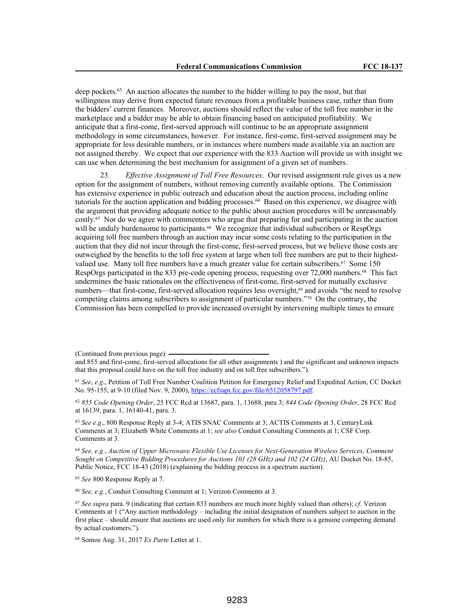deep pockets.<sup>63</sup> An auction allocates the number to the bidder willing to pay the most, but that willingness may derive from expected future revenues from a profitable business case, rather than from the bidders' current finances. Moreover, auctions should reflect the value of the toll free number in the marketplace and a bidder may be able to obtain financing based on anticipated profitability. We anticipate that a first-come, first-served approach will continue to be an appropriate assignment methodology in some circumstances, however. For instance, first-come, first-served assignment may be appropriate for less desirable numbers, or in instances where numbers made available via an auction are not assigned thereby. We expect that our experience with the 833 Auction will provide us with insight we can use when determining the best mechanism for assignment of a given set of numbers.

23. *Effective Assignment of Toll Free Resources*. Our revised assignment rule gives us a new option for the assignment of numbers, without removing currently available options. The Commission has extensive experience in public outreach and education about the auction process, including online tutorials for the auction application and bidding processes.<sup>64</sup> Based on this experience, we disagree with the argument that providing adequate notice to the public about auction procedures will be unreasonably costly.65 Nor do we agree with commenters who argue that preparing for and participating in the auction will be unduly burdensome to participants.<sup>66</sup> We recognize that individual subscribers or RespOrgs acquiring toll free numbers through an auction may incur some costs relating to the participation in the auction that they did not incur through the first-come, first-served process, but we believe those costs are outweighed by the benefits to the toll free system at large when toll free numbers are put to their highestvalued use. Many toll free numbers have a much greater value for certain subscribers.<sup>67</sup> Some 150 RespOrgs participated in the 833 pre-code opening process, requesting over 72,000 numbers.68 This fact undermines the basic rationales on the effectiveness of first-come, first-served for mutually exclusive numbers—that first-come, first-served allocation requires less oversight,<sup>69</sup> and avoids "the need to resolve competing claims among subscribers to assignment of particular numbers."70 On the contrary, the Commission has been compelled to provide increased oversight by intervening multiple times to ensure

<sup>62</sup> *855 Code Opening Order*, 25 FCC Rcd at 13687, para. 1, 13688, para 3; *844 Code Opening Order*, 28 FCC Rcd at 16139, para. 1, 16140-41, para. 3.

<sup>63</sup> *See e.g*., 800 Response Reply at 3-4; ATIS SNAC Comments at 3; ACTIS Comments at 3, CenturyLink Comments at 3; Elizabeth White Comments at 1; *see also* Conduit Consulting Comments at 1; CSF Corp. Comments at 3.

<sup>64</sup> *See, e.g.*, *Auction of Upper Microwave Flexible Use Licenses for Next-Generation Wireless Services, Comment Sought on Competitive Bidding Procedures for Auctions 101 (28 GHz) and 102 (24 GHz)*, AU Docket No. 18-85, Public Notice, FCC 18-43 (2018) (explaining the bidding process in a spectrum auction).

<sup>65</sup> *See* 800 Response Reply at 7.

<sup>66</sup> *See, e.g.*, Conduit Consulting Comment at 1; Verizon Comments at 3.

<sup>(</sup>Continued from previous page)

and 855 and first-come, first-served allocations for all other assignments ) and the significant and unknown impacts that this proposal could have on the toll free industry and on toll free subscribers.").

<sup>61</sup> *See*, *e.g*., Petition of Toll Free Number Coalition Petition for Emergency Relief and Expedited Action, CC Docket No. 95-155, at 9-10 (filed Nov. 9, 2000), https://ecfsapi.fcc.gov/file/6512058797.pdf.

<sup>67</sup> *See supra* para. 9 (indicating that certain 833 numbers are much more highly valued than others); *cf.* Verizon Comments at 1 ("Any auction methodology – including the initial designation of numbers subject to auction in the first place – should ensure that auctions are used only for numbers for which there is a genuine competing demand by actual customers.").

<sup>68</sup> Somos Aug. 31, 2017 *Ex Parte* Letter at 1.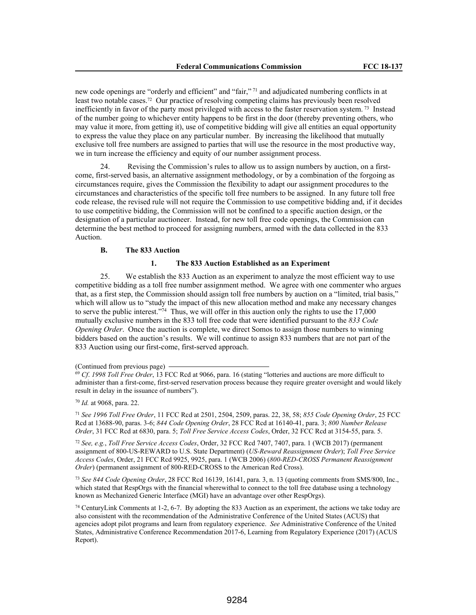new code openings are "orderly and efficient" and "fair,"<sup>71</sup> and adjudicated numbering conflicts in at least two notable cases.72 Our practice of resolving competing claims has previously been resolved inefficiently in favor of the party most privileged with access to the faster reservation system.<sup>73</sup> Instead of the number going to whichever entity happens to be first in the door (thereby preventing others, who may value it more, from getting it), use of competitive bidding will give all entities an equal opportunity to express the value they place on any particular number. By increasing the likelihood that mutually exclusive toll free numbers are assigned to parties that will use the resource in the most productive way, we in turn increase the efficiency and equity of our number assignment process.

24. Revising the Commission's rules to allow us to assign numbers by auction, on a firstcome, first-served basis, an alternative assignment methodology, or by a combination of the forgoing as circumstances require, gives the Commission the flexibility to adapt our assignment procedures to the circumstances and characteristics of the specific toll free numbers to be assigned. In any future toll free code release, the revised rule will not require the Commission to use competitive bidding and, if it decides to use competitive bidding, the Commission will not be confined to a specific auction design, or the designation of a particular auctioneer. Instead, for new toll free code openings, the Commission can determine the best method to proceed for assigning numbers, armed with the data collected in the 833 Auction.

### **B. The 833 Auction**

#### **1. The 833 Auction Established as an Experiment**

25. We establish the 833 Auction as an experiment to analyze the most efficient way to use competitive bidding as a toll free number assignment method. We agree with one commenter who argues that, as a first step, the Commission should assign toll free numbers by auction on a "limited, trial basis," which will allow us to "study the impact of this new allocation method and make any necessary changes to serve the public interest."<sup>74</sup> Thus, we will offer in this auction only the rights to use the 17,000 mutually exclusive numbers in the 833 toll free code that were identified pursuant to the *833 Code Opening Order*. Once the auction is complete, we direct Somos to assign those numbers to winning bidders based on the auction's results. We will continue to assign 833 numbers that are not part of the 833 Auction using our first-come, first-served approach.

(Continued from previous page)

<sup>70</sup> *Id.* at 9068, para. 22.

<sup>71</sup> *See 1996 Toll Free Order*, 11 FCC Rcd at 2501, 2504, 2509, paras. 22, 38, 58; *855 Code Opening Order*, 25 FCC Rcd at 13688-90, paras. 3-6; *844 Code Opening Order*, 28 FCC Rcd at 16140-41, para. 3; *800 Number Release Order*, 31 FCC Rcd at 6830, para. 5; *Toll Free Service Access Codes*, Order, 32 FCC Rcd at 3154-55, para. 5.

<sup>72</sup> *See, e.g.*, *Toll Free Service Access Codes*, Order, 32 FCC Rcd 7407, 7407, para. 1 (WCB 2017) (permanent assignment of 800-US-REWARD to U.S. State Department) (*US-Reward Reassignment Order*); *Toll Free Service Access Codes*, Order, 21 FCC Rcd 9925, 9925, para. 1 (WCB 2006) (*800-RED-CROSS Permanent Reassignment Order*) (permanent assignment of 800-RED-CROSS to the American Red Cross).

<sup>73</sup> *See 844 Code Opening Order*, 28 FCC Rcd 16139, 16141, para. 3, n. 13 (quoting comments from SMS/800, Inc., which stated that RespOrgs with the financial wherewithal to connect to the toll free database using a technology known as Mechanized Generic Interface (MGI) have an advantage over other RespOrgs).

<sup>74</sup> CenturyLink Comments at 1-2, 6-7. By adopting the 833 Auction as an experiment, the actions we take today are also consistent with the recommendation of the Administrative Conference of the United States (ACUS) that agencies adopt pilot programs and learn from regulatory experience. *See* Administrative Conference of the United States, Administrative Conference Recommendation 2017-6, Learning from Regulatory Experience (2017) (ACUS Report).

<sup>69</sup> *Cf*. *1998 Toll Free Order*, 13 FCC Rcd at 9066, para. 16 (stating "lotteries and auctions are more difficult to administer than a first-come, first-served reservation process because they require greater oversight and would likely result in delay in the issuance of numbers").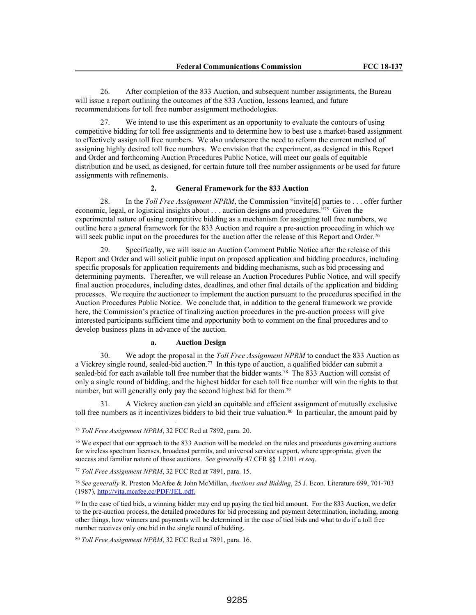26. After completion of the 833 Auction, and subsequent number assignments, the Bureau will issue a report outlining the outcomes of the 833 Auction, lessons learned, and future recommendations for toll free number assignment methodologies.

27. We intend to use this experiment as an opportunity to evaluate the contours of using competitive bidding for toll free assignments and to determine how to best use a market-based assignment to effectively assign toll free numbers. We also underscore the need to reform the current method of assigning highly desired toll free numbers. We envision that the experiment, as designed in this Report and Order and forthcoming Auction Procedures Public Notice, will meet our goals of equitable distribution and be used, as designed, for certain future toll free number assignments or be used for future assignments with refinements.

## **2. General Framework for the 833 Auction**

28. In the *Toll Free Assignment NPRM*, the Commission "invite[d] parties to . . . offer further economic, legal, or logistical insights about . . . auction designs and procedures."75 Given the experimental nature of using competitive bidding as a mechanism for assigning toll free numbers, we outline here a general framework for the 833 Auction and require a pre-auction proceeding in which we will seek public input on the procedures for the auction after the release of this Report and Order.<sup>76</sup>

29. Specifically, we will issue an Auction Comment Public Notice after the release of this Report and Order and will solicit public input on proposed application and bidding procedures, including specific proposals for application requirements and bidding mechanisms, such as bid processing and determining payments. Thereafter, we will release an Auction Procedures Public Notice, and will specify final auction procedures, including dates, deadlines, and other final details of the application and bidding processes. We require the auctioneer to implement the auction pursuant to the procedures specified in the Auction Procedures Public Notice. We conclude that, in addition to the general framework we provide here, the Commission's practice of finalizing auction procedures in the pre-auction process will give interested participants sufficient time and opportunity both to comment on the final procedures and to develop business plans in advance of the auction.

## **a. Auction Design**

30. We adopt the proposal in the *Toll Free Assignment NPRM* to conduct the 833 Auction as a Vickrey single round, sealed-bid auction.<sup>77</sup> In this type of auction, a qualified bidder can submit a sealed-bid for each available toll free number that the bidder wants.<sup>78</sup> The 833 Auction will consist of only a single round of bidding, and the highest bidder for each toll free number will win the rights to that number, but will generally only pay the second highest bid for them.<sup>79</sup>

31. A Vickrey auction can yield an equitable and efficient assignment of mutually exclusive toll free numbers as it incentivizes bidders to bid their true valuation.<sup>80</sup> In particular, the amount paid by

<sup>75</sup> *Toll Free Assignment NPRM*, 32 FCC Rcd at 7892, para. 20.

<sup>76</sup> We expect that our approach to the 833 Auction will be modeled on the rules and procedures governing auctions for wireless spectrum licenses, broadcast permits, and universal service support, where appropriate, given the success and familiar nature of those auctions. *See generally* 47 CFR §§ 1.2101 *et seq.*

<sup>77</sup> *Toll Free Assignment NPRM*, 32 FCC Rcd at 7891, para. 15.

<sup>78</sup> *See generally* R. Preston McAfee & John McMillan, *Auctions and Bidding*, 25 J. Econ. Literature 699, 701-703 (1987), http://vita.mcafee.cc/PDF/JEL.pdf.

 $79$  In the case of tied bids, a winning bidder may end up paying the tied bid amount. For the 833 Auction, we defer to the pre-auction process, the detailed procedures for bid processing and payment determination, including, among other things, how winners and payments will be determined in the case of tied bids and what to do if a toll free number receives only one bid in the single round of bidding.

<sup>80</sup> *Toll Free Assignment NPRM*, 32 FCC Rcd at 7891, para. 16.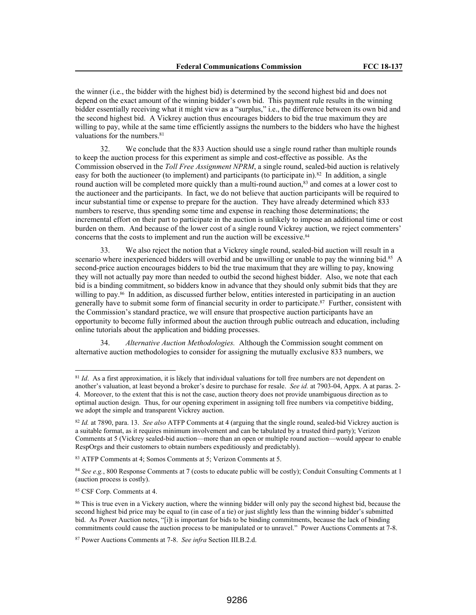the winner (i.e., the bidder with the highest bid) is determined by the second highest bid and does not depend on the exact amount of the winning bidder's own bid. This payment rule results in the winning bidder essentially receiving what it might view as a "surplus," i.e., the difference between its own bid and the second highest bid. A Vickrey auction thus encourages bidders to bid the true maximum they are willing to pay, while at the same time efficiently assigns the numbers to the bidders who have the highest valuations for the numbers.<sup>81</sup>

32. We conclude that the 833 Auction should use a single round rather than multiple rounds to keep the auction process for this experiment as simple and cost-effective as possible. As the Commission observed in the *Toll Free Assignment NPRM*, a single round, sealed-bid auction is relatively easy for both the auctioneer (to implement) and participants (to participate in).<sup>82</sup> In addition, a single round auction will be completed more quickly than a multi-round auction,<sup>83</sup> and comes at a lower cost to the auctioneer and the participants. In fact, we do not believe that auction participants will be required to incur substantial time or expense to prepare for the auction. They have already determined which 833 numbers to reserve, thus spending some time and expense in reaching those determinations; the incremental effort on their part to participate in the auction is unlikely to impose an additional time or cost burden on them. And because of the lower cost of a single round Vickrey auction, we reject commenters' concerns that the costs to implement and run the auction will be excessive.<sup>84</sup>

33. We also reject the notion that a Vickrey single round, sealed-bid auction will result in a scenario where inexperienced bidders will overbid and be unwilling or unable to pay the winning bid.<sup>85</sup> A second-price auction encourages bidders to bid the true maximum that they are willing to pay, knowing they will not actually pay more than needed to outbid the second highest bidder. Also, we note that each bid is a binding commitment, so bidders know in advance that they should only submit bids that they are willing to pay.86 In addition, as discussed further below, entities interested in participating in an auction generally have to submit some form of financial security in order to participate.<sup>87</sup> Further, consistent with the Commission's standard practice, we will ensure that prospective auction participants have an opportunity to become fully informed about the auction through public outreach and education, including online tutorials about the application and bidding processes.

34. *Alternative Auction Methodologies.* Although the Commission sought comment on alternative auction methodologies to consider for assigning the mutually exclusive 833 numbers, we

<sup>83</sup> ATFP Comments at 4; Somos Comments at 5; Verizon Comments at 5.

<sup>84</sup> *See e.g.*, 800 Response Comments at 7 (costs to educate public will be costly); Conduit Consulting Comments at 1 (auction process is costly).

<sup>85</sup> CSF Corp. Comments at 4.

<sup>&</sup>lt;sup>81</sup> *Id.* As a first approximation, it is likely that individual valuations for toll free numbers are not dependent on another's valuation, at least beyond a broker's desire to purchase for resale. *See id.* at 7903-04, Appx. A at paras. 2- 4. Moreover, to the extent that this is not the case, auction theory does not provide unambiguous direction as to optimal auction design. Thus, for our opening experiment in assigning toll free numbers via competitive bidding, we adopt the simple and transparent Vickrey auction.

<sup>82</sup> *Id.* at 7890, para. 13. *See also* ATFP Comments at 4 (arguing that the single round, sealed-bid Vickrey auction is a suitable format, as it requires minimum involvement and can be tabulated by a trusted third party); Verizon Comments at 5 (Vickrey sealed-bid auction—more than an open or multiple round auction—would appear to enable RespOrgs and their customers to obtain numbers expeditiously and predictably).

<sup>86</sup> This is true even in a Vickery auction, where the winning bidder will only pay the second highest bid, because the second highest bid price may be equal to (in case of a tie) or just slightly less than the winning bidder's submitted bid. As Power Auction notes, "[i]t is important for bids to be binding commitments, because the lack of binding commitments could cause the auction process to be manipulated or to unravel." Power Auctions Comments at 7-8.

<sup>87</sup> Power Auctions Comments at 7-8. *See infra* Section III.B.2.d.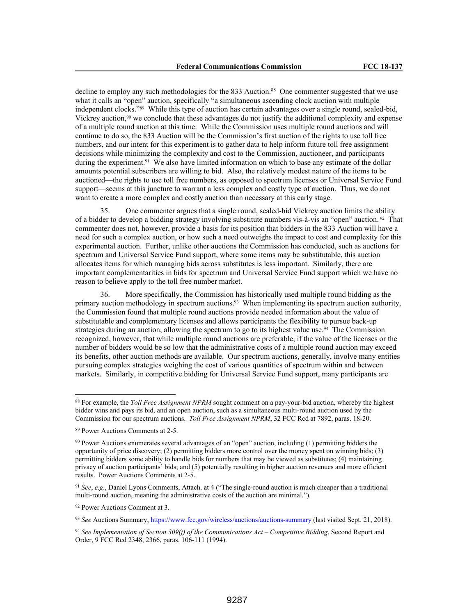decline to employ any such methodologies for the 833 Auction.<sup>88</sup> One commenter suggested that we use what it calls an "open" auction, specifically "a simultaneous ascending clock auction with multiple independent clocks."89 While this type of auction has certain advantages over a single round, sealed-bid, Vickrey auction,<sup>90</sup> we conclude that these advantages do not justify the additional complexity and expense of a multiple round auction at this time. While the Commission uses multiple round auctions and will continue to do so, the 833 Auction will be the Commission's first auction of the rights to use toll free numbers, and our intent for this experiment is to gather data to help inform future toll free assignment decisions while minimizing the complexity and cost to the Commission, auctioneer, and participants during the experiment.<sup>91</sup> We also have limited information on which to base any estimate of the dollar amounts potential subscribers are willing to bid. Also, the relatively modest nature of the items to be auctioned—the rights to use toll free numbers, as opposed to spectrum licenses or Universal Service Fund support—seems at this juncture to warrant a less complex and costly type of auction. Thus, we do not want to create a more complex and costly auction than necessary at this early stage.

35. One commenter argues that a single round, sealed-bid Vickrey auction limits the ability of a bidder to develop a bidding strategy involving substitute numbers vis-à-vis an "open" auction. 92 That commenter does not, however, provide a basis for its position that bidders in the 833 Auction will have a need for such a complex auction, or how such a need outweighs the impact to cost and complexity for this experimental auction. Further, unlike other auctions the Commission has conducted, such as auctions for spectrum and Universal Service Fund support, where some items may be substitutable, this auction allocates items for which managing bids across substitutes is less important. Similarly, there are important complementarities in bids for spectrum and Universal Service Fund support which we have no reason to believe apply to the toll free number market.

36. More specifically, the Commission has historically used multiple round bidding as the primary auction methodology in spectrum auctions.93 When implementing its spectrum auction authority, the Commission found that multiple round auctions provide needed information about the value of substitutable and complementary licenses and allows participants the flexibility to pursue back-up strategies during an auction, allowing the spectrum to go to its highest value use.<sup>94</sup> The Commission recognized, however, that while multiple round auctions are preferable, if the value of the licenses or the number of bidders would be so low that the administrative costs of a multiple round auction may exceed its benefits, other auction methods are available. Our spectrum auctions, generally, involve many entities pursuing complex strategies weighing the cost of various quantities of spectrum within and between markets. Similarly, in competitive bidding for Universal Service Fund support, many participants are

<sup>92</sup> Power Auctions Comment at 3.

<sup>93</sup> *See* Auctions Summary, https://www.fcc.gov/wireless/auctions/auctions-summary (last visited Sept. 21, 2018).

<sup>88</sup> For example, the *Toll Free Assignment NPRM* sought comment on a pay-your-bid auction, whereby the highest bidder wins and pays its bid, and an open auction, such as a simultaneous multi-round auction used by the Commission for our spectrum auctions. *Toll Free Assignment NPRM*, 32 FCC Rcd at 7892, paras. 18-20.

<sup>89</sup> Power Auctions Comments at 2-5.

<sup>90</sup> Power Auctions enumerates several advantages of an "open" auction, including (1) permitting bidders the opportunity of price discovery; (2) permitting bidders more control over the money spent on winning bids; (3) permitting bidders some ability to handle bids for numbers that may be viewed as substitutes; (4) maintaining privacy of auction participants' bids; and (5) potentially resulting in higher auction revenues and more efficient results. Power Auctions Comments at 2-5.

<sup>91</sup> *See*, *e*.*g*., Daniel Lyons Comments, Attach. at 4 ("The single-round auction is much cheaper than a traditional multi-round auction, meaning the administrative costs of the auction are minimal.").

<sup>94</sup> *See Implementation of Section 309(j) of the Communications Act – Competitive Bidding*, Second Report and Order, 9 FCC Rcd 2348, 2366, paras. 106-111 (1994).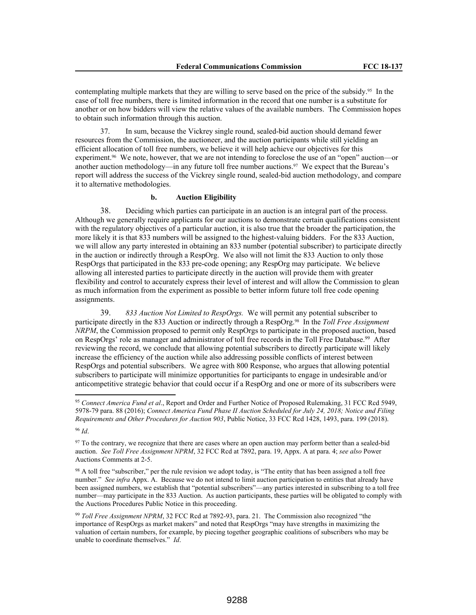contemplating multiple markets that they are willing to serve based on the price of the subsidy.95 In the case of toll free numbers, there is limited information in the record that one number is a substitute for another or on how bidders will view the relative values of the available numbers. The Commission hopes to obtain such information through this auction.

37. In sum, because the Vickrey single round, sealed-bid auction should demand fewer resources from the Commission, the auctioneer, and the auction participants while still yielding an efficient allocation of toll free numbers, we believe it will help achieve our objectives for this experiment.<sup>96</sup> We note, however, that we are not intending to foreclose the use of an "open" auction—or another auction methodology—in any future toll free number auctions.<sup>97</sup> We expect that the Bureau's report will address the success of the Vickrey single round, sealed-bid auction methodology, and compare it to alternative methodologies.

# **b. Auction Eligibility**

38. Deciding which parties can participate in an auction is an integral part of the process. Although we generally require applicants for our auctions to demonstrate certain qualifications consistent with the regulatory objectives of a particular auction, it is also true that the broader the participation, the more likely it is that 833 numbers will be assigned to the highest-valuing bidders. For the 833 Auction, we will allow any party interested in obtaining an 833 number (potential subscriber) to participate directly in the auction or indirectly through a RespOrg. We also will not limit the 833 Auction to only those RespOrgs that participated in the 833 pre-code opening; any RespOrg may participate. We believe allowing all interested parties to participate directly in the auction will provide them with greater flexibility and control to accurately express their level of interest and will allow the Commission to glean as much information from the experiment as possible to better inform future toll free code opening assignments.

39. *833 Auction Not Limited to RespOrgs.* We will permit any potential subscriber to participate directly in the 833 Auction or indirectly through a RespOrg.98 In the *Toll Free Assignment NRPM*, the Commission proposed to permit only RespOrgs to participate in the proposed auction, based on RespOrgs' role as manager and administrator of toll free records in the Toll Free Database.<sup>99</sup> After reviewing the record, we conclude that allowing potential subscribers to directly participate will likely increase the efficiency of the auction while also addressing possible conflicts of interest between RespOrgs and potential subscribers. We agree with 800 Response, who argues that allowing potential subscribers to participate will minimize opportunities for participants to engage in undesirable and/or anticompetitive strategic behavior that could occur if a RespOrg and one or more of its subscribers were

<sup>95</sup> *Connect America Fund et al*., Report and Order and Further Notice of Proposed Rulemaking, 31 FCC Rcd 5949, 5978-79 para. 88 (2016); *Connect America Fund Phase II Auction Scheduled for July 24, 2018; Notice and Filing Requirements and Other Procedures for Auction 903*, Public Notice, 33 FCC Rcd 1428, 1493, para. 199 (2018).

<sup>96</sup> *Id*.

<sup>&</sup>lt;sup>97</sup> To the contrary, we recognize that there are cases where an open auction may perform better than a sealed-bid auction. *See Toll Free Assignment NPRM*, 32 FCC Rcd at 7892, para. 19, Appx. A at para. 4; *see also* Power Auctions Comments at 2-5.

<sup>&</sup>lt;sup>98</sup> A toll free "subscriber," per the rule revision we adopt today, is "The entity that has been assigned a toll free number." *See infra* Appx. A. Because we do not intend to limit auction participation to entities that already have been assigned numbers, we establish that "potential subscribers"—any parties interested in subscribing to a toll free number—may participate in the 833 Auction. As auction participants, these parties will be obligated to comply with the Auctions Procedures Public Notice in this proceeding.

<sup>99</sup> *Toll Free Assignment NPRM*, 32 FCC Rcd at 7892-93, para. 21. The Commission also recognized "the importance of RespOrgs as market makers" and noted that RespOrgs "may have strengths in maximizing the valuation of certain numbers, for example, by piecing together geographic coalitions of subscribers who may be unable to coordinate themselves." *Id*.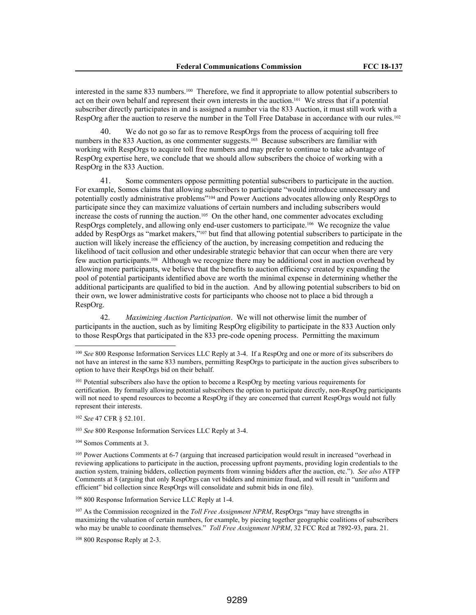interested in the same 833 numbers.100 Therefore, we find it appropriate to allow potential subscribers to act on their own behalf and represent their own interests in the auction.101 We stress that if a potential subscriber directly participates in and is assigned a number via the 833 Auction, it must still work with a RespOrg after the auction to reserve the number in the Toll Free Database in accordance with our rules.<sup>102</sup>

40. We do not go so far as to remove RespOrgs from the process of acquiring toll free numbers in the 833 Auction, as one commenter suggests.<sup>103</sup> Because subscribers are familiar with working with RespOrgs to acquire toll free numbers and may prefer to continue to take advantage of RespOrg expertise here, we conclude that we should allow subscribers the choice of working with a RespOrg in the 833 Auction.

41. Some commenters oppose permitting potential subscribers to participate in the auction. For example, Somos claims that allowing subscribers to participate "would introduce unnecessary and potentially costly administrative problems"104 and Power Auctions advocates allowing only RespOrgs to participate since they can maximize valuations of certain numbers and including subscribers would increase the costs of running the auction.105 On the other hand, one commenter advocates excluding RespOrgs completely, and allowing only end-user customers to participate.106 We recognize the value added by RespOrgs as "market makers,"107 but find that allowing potential subscribers to participate in the auction will likely increase the efficiency of the auction, by increasing competition and reducing the likelihood of tacit collusion and other undesirable strategic behavior that can occur when there are very few auction participants.108 Although we recognize there may be additional cost in auction overhead by allowing more participants, we believe that the benefits to auction efficiency created by expanding the pool of potential participants identified above are worth the minimal expense in determining whether the additional participants are qualified to bid in the auction. And by allowing potential subscribers to bid on their own, we lower administrative costs for participants who choose not to place a bid through a RespOrg.

42. *Maximizing Auction Participation*. We will not otherwise limit the number of participants in the auction, such as by limiting RespOrg eligibility to participate in the 833 Auction only to those RespOrgs that participated in the 833 pre-code opening process. Permitting the maximum

<sup>102</sup> *See* 47 CFR § 52.101.

<sup>103</sup> *See* 800 Response Information Services LLC Reply at 3-4.

<sup>104</sup> Somos Comments at 3.

<sup>106</sup> 800 Response Information Service LLC Reply at 1-4.

<sup>107</sup> As the Commission recognized in the *Toll Free Assignment NPRM*, RespOrgs "may have strengths in maximizing the valuation of certain numbers, for example, by piecing together geographic coalitions of subscribers who may be unable to coordinate themselves." *Toll Free Assignment NPRM*, 32 FCC Rcd at 7892-93, para. 21.

<sup>108</sup> 800 Response Reply at 2-3.

<sup>100</sup> *See* 800 Response Information Services LLC Reply at 3-4. If a RespOrg and one or more of its subscribers do not have an interest in the same 833 numbers, permitting RespOrgs to participate in the auction gives subscribers to option to have their RespOrgs bid on their behalf.

<sup>&</sup>lt;sup>101</sup> Potential subscribers also have the option to become a RespOrg by meeting various requirements for certification. By formally allowing potential subscribers the option to participate directly, non-RespOrg participants will not need to spend resources to become a RespOrg if they are concerned that current RespOrgs would not fully represent their interests.

<sup>105</sup> Power Auctions Comments at 6-7 (arguing that increased participation would result in increased "overhead in reviewing applications to participate in the auction, processing upfront payments, providing login credentials to the auction system, training bidders, collection payments from winning bidders after the auction, etc."). *See also* ATFP Comments at 8 (arguing that only RespOrgs can vet bidders and minimize fraud, and will result in "uniform and efficient" bid collection since RespOrgs will consolidate and submit bids in one file).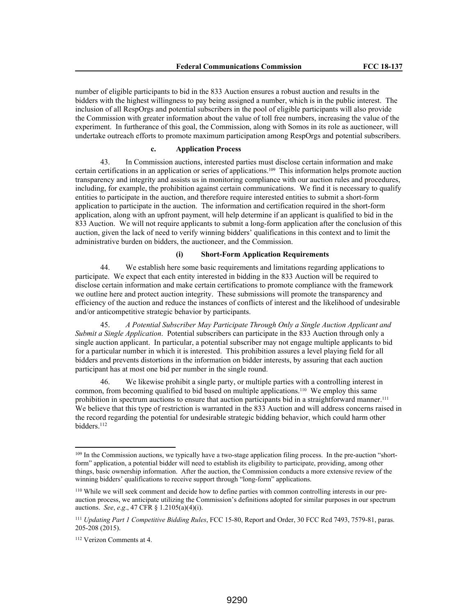number of eligible participants to bid in the 833 Auction ensures a robust auction and results in the bidders with the highest willingness to pay being assigned a number, which is in the public interest. The inclusion of all RespOrgs and potential subscribers in the pool of eligible participants will also provide the Commission with greater information about the value of toll free numbers, increasing the value of the experiment. In furtherance of this goal, the Commission, along with Somos in its role as auctioneer, will undertake outreach efforts to promote maximum participation among RespOrgs and potential subscribers.

#### **c. Application Process**

43. In Commission auctions, interested parties must disclose certain information and make certain certifications in an application or series of applications.109 This information helps promote auction transparency and integrity and assists us in monitoring compliance with our auction rules and procedures, including, for example, the prohibition against certain communications. We find it is necessary to qualify entities to participate in the auction, and therefore require interested entities to submit a short-form application to participate in the auction. The information and certification required in the short-form application, along with an upfront payment, will help determine if an applicant is qualified to bid in the 833 Auction. We will not require applicants to submit a long-form application after the conclusion of this auction, given the lack of need to verify winning bidders' qualifications in this context and to limit the administrative burden on bidders, the auctioneer, and the Commission.

### **(i) Short-Form Application Requirements**

44. We establish here some basic requirements and limitations regarding applications to participate. We expect that each entity interested in bidding in the 833 Auction will be required to disclose certain information and make certain certifications to promote compliance with the framework we outline here and protect auction integrity. These submissions will promote the transparency and efficiency of the auction and reduce the instances of conflicts of interest and the likelihood of undesirable and/or anticompetitive strategic behavior by participants.

45. *A Potential Subscriber May Participate Through Only a Single Auction Applicant and Submit a Single Application*. Potential subscribers can participate in the 833 Auction through only a single auction applicant. In particular, a potential subscriber may not engage multiple applicants to bid for a particular number in which it is interested. This prohibition assures a level playing field for all bidders and prevents distortions in the information on bidder interests, by assuring that each auction participant has at most one bid per number in the single round.

46. We likewise prohibit a single party, or multiple parties with a controlling interest in common, from becoming qualified to bid based on multiple applications.110 We employ this same prohibition in spectrum auctions to ensure that auction participants bid in a straightforward manner.<sup>111</sup> We believe that this type of restriction is warranted in the 833 Auction and will address concerns raised in the record regarding the potential for undesirable strategic bidding behavior, which could harm other bidders.<sup>112</sup>

<sup>&</sup>lt;sup>109</sup> In the Commission auctions, we typically have a two-stage application filing process. In the pre-auction "shortform" application, a potential bidder will need to establish its eligibility to participate, providing, among other things, basic ownership information. After the auction, the Commission conducts a more extensive review of the winning bidders' qualifications to receive support through "long-form" applications.

<sup>110</sup> While we will seek comment and decide how to define parties with common controlling interests in our preauction process, we anticipate utilizing the Commission's definitions adopted for similar purposes in our spectrum auctions. *See*, *e*.*g*., 47 CFR § 1.2105(a)(4)(i).

<sup>111</sup> *Updating Part 1 Competitive Bidding Rules*, FCC 15-80, Report and Order, 30 FCC Rcd 7493, 7579-81, paras. 205-208 (2015).

<sup>112</sup> Verizon Comments at 4.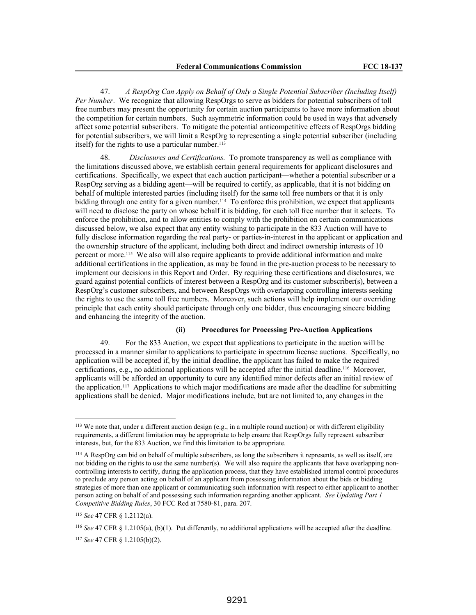47. *A RespOrg Can Apply on Behalf of Only a Single Potential Subscriber (Including Itself) Per Number*. We recognize that allowing RespOrgs to serve as bidders for potential subscribers of toll free numbers may present the opportunity for certain auction participants to have more information about the competition for certain numbers. Such asymmetric information could be used in ways that adversely affect some potential subscribers. To mitigate the potential anticompetitive effects of RespOrgs bidding for potential subscribers, we will limit a RespOrg to representing a single potential subscriber (including itself) for the rights to use a particular number.<sup>113</sup>

48. *Disclosures and Certifications.* To promote transparency as well as compliance with the limitations discussed above, we establish certain general requirements for applicant disclosures and certifications. Specifically, we expect that each auction participant—whether a potential subscriber or a RespOrg serving as a bidding agent—will be required to certify, as applicable, that it is not bidding on behalf of multiple interested parties (including itself) for the same toll free numbers or that it is only bidding through one entity for a given number.114 To enforce this prohibition, we expect that applicants will need to disclose the party on whose behalf it is bidding, for each toll free number that it selects. To enforce the prohibition, and to allow entities to comply with the prohibition on certain communications discussed below, we also expect that any entity wishing to participate in the 833 Auction will have to fully disclose information regarding the real party- or parties-in-interest in the applicant or application and the ownership structure of the applicant, including both direct and indirect ownership interests of 10 percent or more.115 We also will also require applicants to provide additional information and make additional certifications in the application, as may be found in the pre-auction process to be necessary to implement our decisions in this Report and Order. By requiring these certifications and disclosures, we guard against potential conflicts of interest between a RespOrg and its customer subscriber(s), between a RespOrg's customer subscribers, and between RespOrgs with overlapping controlling interests seeking the rights to use the same toll free numbers. Moreover, such actions will help implement our overriding principle that each entity should participate through only one bidder, thus encouraging sincere bidding and enhancing the integrity of the auction.

### **(ii) Procedures for Processing Pre-Auction Applications**

49. For the 833 Auction, we expect that applications to participate in the auction will be processed in a manner similar to applications to participate in spectrum license auctions. Specifically, no application will be accepted if, by the initial deadline, the applicant has failed to make the required certifications, e.g., no additional applications will be accepted after the initial deadline.116 Moreover, applicants will be afforded an opportunity to cure any identified minor defects after an initial review of the application.117 Applications to which major modifications are made after the deadline for submitting applications shall be denied. Major modifications include, but are not limited to, any changes in the

<sup>116</sup> *See* 47 CFR § 1.2105(a), (b)(1). Put differently, no additional applications will be accepted after the deadline.

<sup>113</sup> We note that, under a different auction design (e.g., in a multiple round auction) or with different eligibility requirements, a different limitation may be appropriate to help ensure that RespOrgs fully represent subscriber interests, but, for the 833 Auction, we find this limitation to be appropriate.

<sup>114</sup> A RespOrg can bid on behalf of multiple subscribers, as long the subscribers it represents, as well as itself, are not bidding on the rights to use the same number(s). We will also require the applicants that have overlapping noncontrolling interests to certify, during the application process, that they have established internal control procedures to preclude any person acting on behalf of an applicant from possessing information about the bids or bidding strategies of more than one applicant or communicating such information with respect to either applicant to another person acting on behalf of and possessing such information regarding another applicant. *See Updating Part 1 Competitive Bidding Rules*, 30 FCC Rcd at 7580-81, para. 207.

<sup>115</sup> *See* 47 CFR § 1.2112(a).

<sup>117</sup> *See* 47 CFR § 1.2105(b)(2).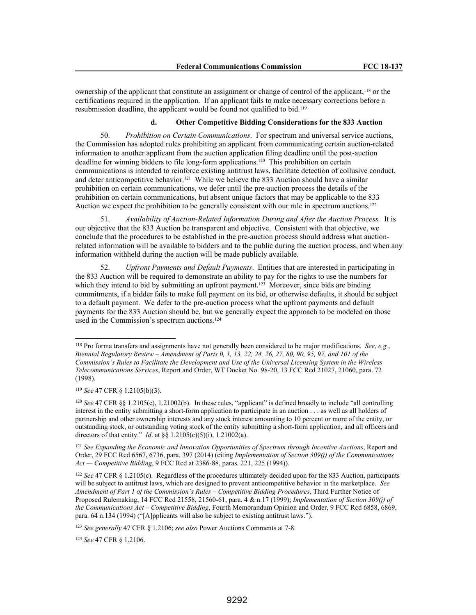ownership of the applicant that constitute an assignment or change of control of the applicant,<sup>118</sup> or the certifications required in the application. If an applicant fails to make necessary corrections before a resubmission deadline, the applicant would be found not qualified to bid.<sup>119</sup>

### **d. Other Competitive Bidding Considerations for the 833 Auction**

50. *Prohibition on Certain Communications*. For spectrum and universal service auctions, the Commission has adopted rules prohibiting an applicant from communicating certain auction-related information to another applicant from the auction application filing deadline until the post-auction deadline for winning bidders to file long-form applications.120 This prohibition on certain communications is intended to reinforce existing antitrust laws, facilitate detection of collusive conduct, and deter anticompetitive behavior.<sup>121</sup> While we believe the 833 Auction should have a similar prohibition on certain communications, we defer until the pre-auction process the details of the prohibition on certain communications, but absent unique factors that may be applicable to the 833 Auction we expect the prohibition to be generally consistent with our rule in spectrum auctions.<sup>122</sup>

51. *Availability of Auction-Related Information During and After the Auction Process.* It is our objective that the 833 Auction be transparent and objective. Consistent with that objective, we conclude that the procedures to be established in the pre-auction process should address what auctionrelated information will be available to bidders and to the public during the auction process, and when any information withheld during the auction will be made publicly available.

52. *Upfront Payments and Default Payments*. Entities that are interested in participating in the 833 Auction will be required to demonstrate an ability to pay for the rights to use the numbers for which they intend to bid by submitting an upfront payment.<sup>123</sup> Moreover, since bids are binding commitments, if a bidder fails to make full payment on its bid, or otherwise defaults, it should be subject to a default payment. We defer to the pre-auction process what the upfront payments and default payments for the 833 Auction should be, but we generally expect the approach to be modeled on those used in the Commission's spectrum auctions.<sup>124</sup>

<sup>124</sup> *See* 47 CFR § 1.2106.

<sup>118</sup> Pro forma transfers and assignments have not generally been considered to be major modifications. *See, e.g.*, *Biennial Regulatory Review – Amendment of Parts 0, 1, 13, 22, 24, 26, 27, 80, 90, 95, 97, and 101 of the Commission's Rules to Facilitate the Development and Use of the Universal Licensing System in the Wireless Telecommunications Services*, Report and Order, WT Docket No. 98-20, 13 FCC Rcd 21027, 21060, para. 72 (1998).

<sup>119</sup> *See* 47 CFR § 1.2105(b)(3).

<sup>120</sup> *See* 47 CFR §§ 1.2105(c), 1.21002(b). In these rules, "applicant" is defined broadly to include "all controlling interest in the entity submitting a short-form application to participate in an auction . . . as well as all holders of partnership and other ownership interests and any stock interest amounting to 10 percent or more of the entity, or outstanding stock, or outstanding voting stock of the entity submitting a short-form application, and all officers and directors of that entity." *Id*. at §§ 1.2105(c)(5)(i), 1.21002(a).

<sup>121</sup> *See Expanding the Economic and Innovation Opportunities of Spectrum through Incentive Auctions*, Report and Order, 29 FCC Rcd 6567, 6736, para. 397 (2014) (citing *Implementation of Section 309(j) of the Communications Act — Competitive Bidding*, 9 FCC Rcd at 2386-88, paras. 221, 225 (1994)).

<sup>122</sup> *See* 47 CFR § 1.2105(c). Regardless of the procedures ultimately decided upon for the 833 Auction, participants will be subject to antitrust laws, which are designed to prevent anticompetitive behavior in the marketplace. *See Amendment of Part 1 of the Commission's Rules – Competitive Bidding Procedures*, Third Further Notice of Proposed Rulemaking, 14 FCC Rcd 21558, 21560-61, para. 4 & n.17 (1999); *Implementation of Section 309(j) of the Communications Act – Competitive Bidding*, Fourth Memorandum Opinion and Order, 9 FCC Rcd 6858, 6869, para. 64 n.134 (1994) ("[A]pplicants will also be subject to existing antitrust laws.").

<sup>123</sup> *See generally* 47 CFR § 1.2106; *see also* Power Auctions Comments at 7-8.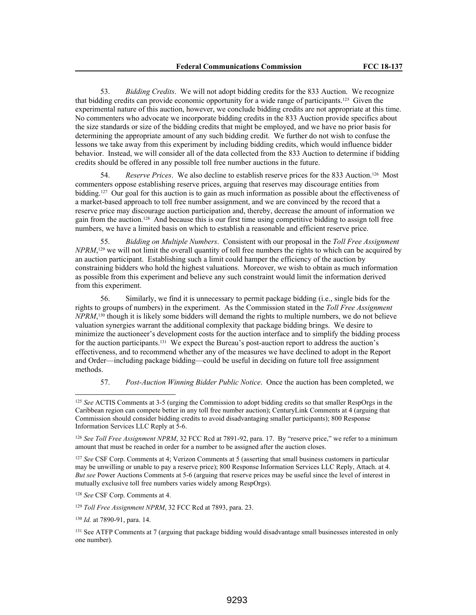53. *Bidding Credits*. We will not adopt bidding credits for the 833 Auction. We recognize that bidding credits can provide economic opportunity for a wide range of participants.125 Given the experimental nature of this auction, however, we conclude bidding credits are not appropriate at this time. No commenters who advocate we incorporate bidding credits in the 833 Auction provide specifics about the size standards or size of the bidding credits that might be employed, and we have no prior basis for determining the appropriate amount of any such bidding credit. We further do not wish to confuse the lessons we take away from this experiment by including bidding credits, which would influence bidder behavior. Instead, we will consider all of the data collected from the 833 Auction to determine if bidding credits should be offered in any possible toll free number auctions in the future.

54. *Reserve Prices*. We also decline to establish reserve prices for the 833 Auction.126 Most commenters oppose establishing reserve prices, arguing that reserves may discourage entities from bidding.127 Our goal for this auction is to gain as much information as possible about the effectiveness of a market-based approach to toll free number assignment, and we are convinced by the record that a reserve price may discourage auction participation and, thereby, decrease the amount of information we gain from the auction.128 And because this is our first time using competitive bidding to assign toll free numbers, we have a limited basis on which to establish a reasonable and efficient reserve price.

55. *Bidding on Multiple Numbers*. Consistent with our proposal in the *Toll Free Assignment NPRM*,<sup>129</sup> we will not limit the overall quantity of toll free numbers the rights to which can be acquired by an auction participant. Establishing such a limit could hamper the efficiency of the auction by constraining bidders who hold the highest valuations. Moreover, we wish to obtain as much information as possible from this experiment and believe any such constraint would limit the information derived from this experiment.

56. Similarly, we find it is unnecessary to permit package bidding (i.e., single bids for the rights to groups of numbers) in the experiment. As the Commission stated in the *Toll Free Assignment NPRM*, <sup>130</sup> though it is likely some bidders will demand the rights to multiple numbers, we do not believe valuation synergies warrant the additional complexity that package bidding brings. We desire to minimize the auctioneer's development costs for the auction interface and to simplify the bidding process for the auction participants.<sup>131</sup> We expect the Bureau's post-auction report to address the auction's effectiveness, and to recommend whether any of the measures we have declined to adopt in the Report and Order—including package bidding—could be useful in deciding on future toll free assignment methods.

57. *Post-Auction Winning Bidder Public Notice*. Once the auction has been completed, we

<sup>127</sup> *See* CSF Corp. Comments at 4; Verizon Comments at 5 (asserting that small business customers in particular may be unwilling or unable to pay a reserve price); 800 Response Information Services LLC Reply, Attach. at 4. *But see* Power Auctions Comments at 5-6 (arguing that reserve prices may be useful since the level of interest in mutually exclusive toll free numbers varies widely among RespOrgs).

<sup>128</sup> *See* CSF Corp. Comments at 4.

<sup>129</sup> *Toll Free Assignment NPRM*, 32 FCC Rcd at 7893, para. 23.

<sup>130</sup> *Id.* at 7890-91, para. 14.

<sup>125</sup> *See* ACTIS Comments at 3-5 (urging the Commission to adopt bidding credits so that smaller RespOrgs in the Caribbean region can compete better in any toll free number auction); CenturyLink Comments at 4 (arguing that Commission should consider bidding credits to avoid disadvantaging smaller participants); 800 Response Information Services LLC Reply at 5-6.

<sup>126</sup> *See Toll Free Assignment NPRM*, 32 FCC Rcd at 7891-92, para. 17. By "reserve price," we refer to a minimum amount that must be reached in order for a number to be assigned after the auction closes.

<sup>&</sup>lt;sup>131</sup> See ATFP Comments at 7 (arguing that package bidding would disadvantage small businesses interested in only one number).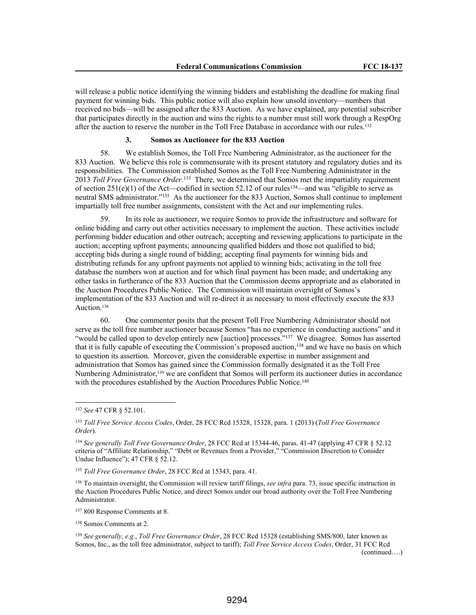will release a public notice identifying the winning bidders and establishing the deadline for making final payment for winning bids. This public notice will also explain how unsold inventory—numbers that received no bids—will be assigned after the 833 Auction. As we have explained, any potential subscriber that participates directly in the auction and wins the rights to a number must still work through a RespOrg after the auction to reserve the number in the Toll Free Database in accordance with our rules.<sup>132</sup>

## **3. Somos as Auctioneer for the 833 Auction**

58. We establish Somos, the Toll Free Numbering Administrator, as the auctioneer for the 833 Auction. We believe this role is commensurate with its present statutory and regulatory duties and its responsibilities. The Commission established Somos as the Toll Free Numbering Administrator in the 2013 *Toll Free Governance Order*. <sup>133</sup> There, we determined that Somos met the impartiality requirement of section  $251(e)(1)$  of the Act—codified in section 52.12 of our rules<sup>134</sup>—and was "eligible to serve as neutral SMS administrator."<sup>135</sup> As the auctioneer for the 833 Auction, Somos shall continue to implement impartially toll free number assignments, consistent with the Act and our implementing rules.

59. In its role as auctioneer, we require Somos to provide the infrastructure and software for online bidding and carry out other activities necessary to implement the auction. These activities include performing bidder education and other outreach; accepting and reviewing applications to participate in the auction; accepting upfront payments; announcing qualified bidders and those not qualified to bid; accepting bids during a single round of bidding; accepting final payments for winning bids and distributing refunds for any upfront payments not applied to winning bids; activating in the toll free database the numbers won at auction and for which final payment has been made; and undertaking any other tasks in furtherance of the 833 Auction that the Commission deems appropriate and as elaborated in the Auction Procedures Public Notice. The Commission will maintain oversight of Somos's implementation of the 833 Auction and will re-direct it as necessary to most effectively execute the 833 Auction.<sup>136</sup>

60. One commenter posits that the present Toll Free Numbering Administrator should not serve as the toll free number auctioneer because Somos "has no experience in conducting auctions" and it "would be called upon to develop entirely new [auction] processes."<sup>137</sup> We disagree. Somos has asserted that it is fully capable of executing the Commission's proposed auction,<sup>138</sup> and we have no basis on which to question its assertion. Moreover, given the considerable expertise in number assignment and administration that Somos has gained since the Commission formally designated it as the Toll Free Numbering Administrator,<sup>139</sup> we are confident that Somos will perform its auctioneer duties in accordance with the procedures established by the Auction Procedures Public Notice.<sup>140</sup>

<sup>135</sup> *Toll Free Governance Order*, 28 FCC Rcd at 15343, para. 41.

<sup>136</sup> To maintain oversight, the Commission will review tariff filings, *see infra* para. 73, issue specific instruction in the Auction Procedures Public Notice, and direct Somos under our broad authority over the Toll Free Numbering Administrator.

<sup>137</sup> 800 Response Comments at 8.

<sup>138</sup> Somos Comments at 2.

<sup>139</sup> *See generally, e.g*., *Toll Free Governance Order*, 28 FCC Rcd 15328 (establishing SMS/800, later known as Somos, Inc., as the toll free administrator, subject to tariff); *Toll Free Service Access Codes*, Order, 31 FCC Rcd (continued….)

<sup>132</sup> *See* 47 CFR § 52.101.

<sup>133</sup> *Toll Free Service Access Codes*, Order, 28 FCC Rcd 15328, 15328, para. 1 (2013) (*Toll Free Governance Order*).

<sup>134</sup> *See generally Toll Free Governance Order*, 28 FCC Rcd at 15344-46, paras. 41-47 (applying 47 CFR § 52.12 criteria of "Affiliate Relationship," "Debt or Revenues from a Provider," "Commission Discretion to Consider Undue Influence"); 47 CFR § 52.12.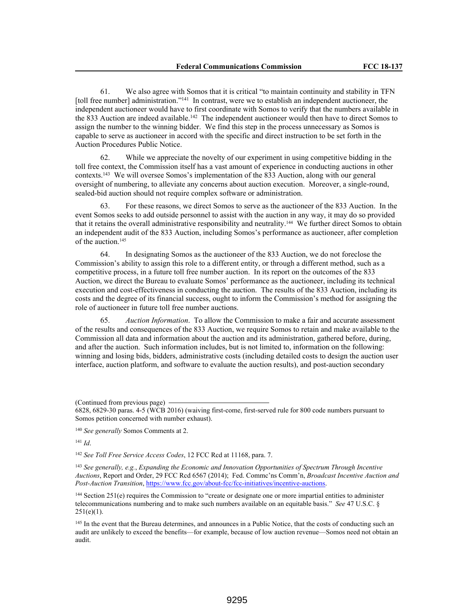61. We also agree with Somos that it is critical "to maintain continuity and stability in TFN [toll free number] administration."<sup>141</sup> In contrast, were we to establish an independent auctioneer, the independent auctioneer would have to first coordinate with Somos to verify that the numbers available in the 833 Auction are indeed available.<sup>142</sup> The independent auctioneer would then have to direct Somos to assign the number to the winning bidder. We find this step in the process unnecessary as Somos is capable to serve as auctioneer in accord with the specific and direct instruction to be set forth in the Auction Procedures Public Notice.

62. While we appreciate the novelty of our experiment in using competitive bidding in the toll free context, the Commission itself has a vast amount of experience in conducting auctions in other contexts.<sup>143</sup> We will oversee Somos's implementation of the 833 Auction, along with our general oversight of numbering, to alleviate any concerns about auction execution. Moreover, a single-round, sealed-bid auction should not require complex software or administration.

63. For these reasons, we direct Somos to serve as the auctioneer of the 833 Auction. In the event Somos seeks to add outside personnel to assist with the auction in any way, it may do so provided that it retains the overall administrative responsibility and neutrality.144 We further direct Somos to obtain an independent audit of the 833 Auction, including Somos's performance as auctioneer, after completion of the auction.<sup>145</sup>

64. In designating Somos as the auctioneer of the 833 Auction, we do not foreclose the Commission's ability to assign this role to a different entity, or through a different method, such as a competitive process, in a future toll free number auction. In its report on the outcomes of the 833 Auction, we direct the Bureau to evaluate Somos' performance as the auctioneer, including its technical execution and cost-effectiveness in conducting the auction. The results of the 833 Auction, including its costs and the degree of its financial success, ought to inform the Commission's method for assigning the role of auctioneer in future toll free number auctions.

65. *Auction Information*. To allow the Commission to make a fair and accurate assessment of the results and consequences of the 833 Auction, we require Somos to retain and make available to the Commission all data and information about the auction and its administration, gathered before, during, and after the auction. Such information includes, but is not limited to, information on the following: winning and losing bids, bidders, administrative costs (including detailed costs to design the auction user interface, auction platform, and software to evaluate the auction results), and post-auction secondary

<sup>141</sup> *Id*.

<sup>142</sup> *See Toll Free Service Access Codes*, 12 FCC Rcd at 11168, para. 7.

<sup>143</sup> *See generally, e.g.*, *Expanding the Economic and Innovation Opportunities of Spectrum Through Incentive Auctions*, Report and Order, 29 FCC Rcd 6567 (2014); Fed. Commc'ns Comm'n, *Broadcast Incentive Auction and Post-Auction Transition*, https://www.fcc.gov/about-fcc/fcc-initiatives/incentive-auctions.

<sup>144</sup> Section 251(e) requires the Commission to "create or designate one or more impartial entities to administer telecommunications numbering and to make such numbers available on an equitable basis." *See* 47 U.S.C. §  $251(e)(1)$ .

<sup>145</sup> In the event that the Bureau determines, and announces in a Public Notice, that the costs of conducting such an audit are unlikely to exceed the benefits—for example, because of low auction revenue—Somos need not obtain an audit.

<sup>(</sup>Continued from previous page)

<sup>6828, 6829-30</sup> paras. 4-5 (WCB 2016) (waiving first-come, first-served rule for 800 code numbers pursuant to Somos petition concerned with number exhaust).

<sup>140</sup> *See generally* Somos Comments at 2.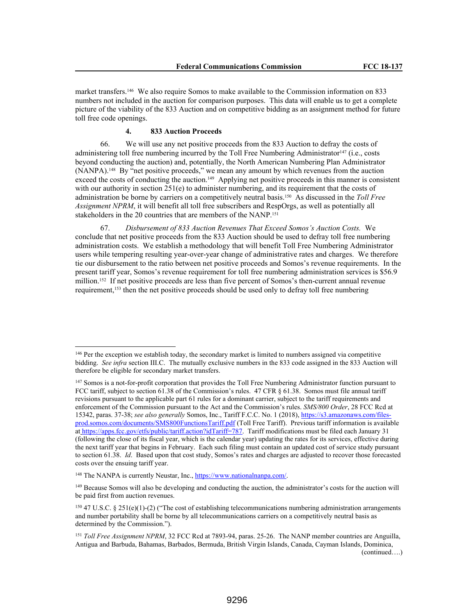market transfers.146 We also require Somos to make available to the Commission information on 833 numbers not included in the auction for comparison purposes. This data will enable us to get a complete picture of the viability of the 833 Auction and on competitive bidding as an assignment method for future toll free code openings.

### **4. 833 Auction Proceeds**

66. We will use any net positive proceeds from the 833 Auction to defray the costs of administering toll free numbering incurred by the Toll Free Numbering Administrator<sup>147</sup> (i.e., costs beyond conducting the auction) and, potentially, the North American Numbering Plan Administrator (NANPA).148 By "net positive proceeds," we mean any amount by which revenues from the auction exceed the costs of conducting the auction.<sup>149</sup> Applying net positive proceeds in this manner is consistent with our authority in section  $251(e)$  to administer numbering, and its requirement that the costs of administration be borne by carriers on a competitively neutral basis.150 As discussed in the *Toll Free Assignment NPRM*, it will benefit all toll free subscribers and RespOrgs, as well as potentially all stakeholders in the 20 countries that are members of the NANP.<sup>151</sup>

67. *Disbursement of 833 Auction Revenues That Exceed Somos's Auction Costs.* We conclude that net positive proceeds from the 833 Auction should be used to defray toll free numbering administration costs. We establish a methodology that will benefit Toll Free Numbering Administrator users while tempering resulting year-over-year change of administrative rates and charges. We therefore tie our disbursement to the ratio between net positive proceeds and Somos's revenue requirements. In the present tariff year, Somos's revenue requirement for toll free numbering administration services is \$56.9 million.<sup>152</sup> If net positive proceeds are less than five percent of Somos's then-current annual revenue requirement,153 then the net positive proceeds should be used only to defray toll free numbering

<sup>&</sup>lt;sup>146</sup> Per the exception we establish today, the secondary market is limited to numbers assigned via competitive bidding. *See infra* section III.C. The mutually exclusive numbers in the 833 code assigned in the 833 Auction will therefore be eligible for secondary market transfers.

<sup>&</sup>lt;sup>147</sup> Somos is a not-for-profit corporation that provides the Toll Free Numbering Administrator function pursuant to FCC tariff, subject to section 61.38 of the Commission's rules. 47 CFR § 61.38. Somos must file annual tariff revisions pursuant to the applicable part 61 rules for a dominant carrier, subject to the tariff requirements and enforcement of the Commission pursuant to the Act and the Commission's rules. *SMS/800 Order*, 28 FCC Rcd at 15342, paras. 37-38; *see also generally* Somos, Inc., Tariff F.C.C. No. 1 (2018), https://s3.amazonaws.com/filesprod.somos.com/documents/SMS800FunctionsTariff.pdf (Toll Free Tariff). Previous tariff information is available at https://apps.fcc.gov/etfs/public/tariff.action?idTariff=787. Tariff modifications must be filed each January 31 (following the close of its fiscal year, which is the calendar year) updating the rates for its services, effective during the next tariff year that begins in February. Each such filing must contain an updated cost of service study pursuant to section 61.38. *Id*. Based upon that cost study, Somos's rates and charges are adjusted to recover those forecasted costs over the ensuing tariff year.

<sup>148</sup> The NANPA is currently Neustar, Inc., https://www.nationalnanpa.com/.

<sup>&</sup>lt;sup>149</sup> Because Somos will also be developing and conducting the auction, the administrator's costs for the auction will be paid first from auction revenues.

<sup>150</sup> 47 U.S.C. § 251(e)(1)-(2) ("The cost of establishing telecommunications numbering administration arrangements and number portability shall be borne by all telecommunications carriers on a competitively neutral basis as determined by the Commission.").

<sup>151</sup> *Toll Free Assignment NPRM*, 32 FCC Rcd at 7893-94, paras. 25-26. The NANP member countries are Anguilla, Antigua and Barbuda, Bahamas, Barbados, Bermuda, British Virgin Islands, Canada, Cayman Islands, Dominica, (continued….)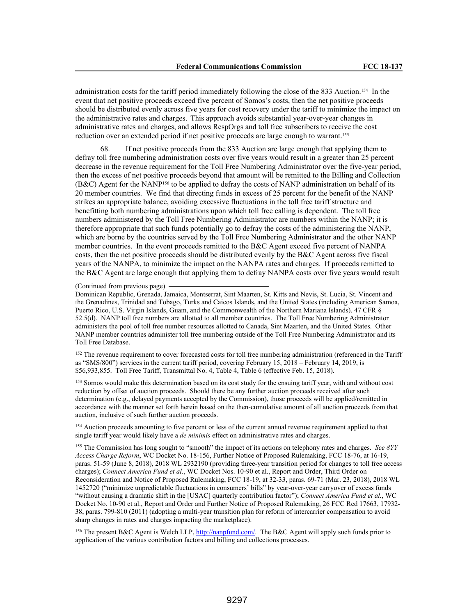administration costs for the tariff period immediately following the close of the 833 Auction.154 In the event that net positive proceeds exceed five percent of Somos's costs, then the net positive proceeds should be distributed evenly across five years for cost recovery under the tariff to minimize the impact on the administrative rates and charges. This approach avoids substantial year-over-year changes in administrative rates and charges, and allows RespOrgs and toll free subscribers to receive the cost reduction over an extended period if net positive proceeds are large enough to warrant.<sup>155</sup>

68. If net positive proceeds from the 833 Auction are large enough that applying them to defray toll free numbering administration costs over five years would result in a greater than 25 percent decrease in the revenue requirement for the Toll Free Numbering Administrator over the five-year period, then the excess of net positive proceeds beyond that amount will be remitted to the Billing and Collection (B&C) Agent for the NANP156 to be applied to defray the costs of NANP administration on behalf of its 20 member countries. We find that directing funds in excess of 25 percent for the benefit of the NANP strikes an appropriate balance, avoiding excessive fluctuations in the toll free tariff structure and benefitting both numbering administrations upon which toll free calling is dependent. The toll free numbers administered by the Toll Free Numbering Administrator are numbers within the NANP; it is therefore appropriate that such funds potentially go to defray the costs of the administering the NANP, which are borne by the countries served by the Toll Free Numbering Administrator and the other NANP member countries. In the event proceeds remitted to the B&C Agent exceed five percent of NANPA costs, then the net positive proceeds should be distributed evenly by the B&C Agent across five fiscal years of the NANPA, to minimize the impact on the NANPA rates and charges. If proceeds remitted to the B&C Agent are large enough that applying them to defray NANPA costs over five years would result

(Continued from previous page)

Dominican Republic, Grenada, Jamaica, Montserrat, Sint Maarten, St. Kitts and Nevis, St. Lucia, St. Vincent and the Grenadines, Trinidad and Tobago, Turks and Caicos Islands, and the United States (including American Samoa, Puerto Rico, U.S. Virgin Islands, Guam, and the Commonwealth of the Northern Mariana Islands). 47 CFR § 52.5(d). NANP toll free numbers are allotted to all member countries. The Toll Free Numbering Administrator administers the pool of toll free number resources allotted to Canada, Sint Maarten, and the United States. Other NANP member countries administer toll free numbering outside of the Toll Free Numbering Administrator and its Toll Free Database.

<sup>152</sup> The revenue requirement to cover forecasted costs for toll free numbering administration (referenced in the Tariff as "SMS/800") services in the current tariff period, covering February 15, 2018 – February 14, 2019, is \$56,933,855. Toll Free Tariff, Transmittal No. 4, Table 4, Table 6 (effective Feb. 15, 2018).

<sup>153</sup> Somos would make this determination based on its cost study for the ensuing tariff year, with and without cost reduction by offset of auction proceeds. Should there be any further auction proceeds received after such determination (e.g., delayed payments accepted by the Commission), those proceeds will be applied/remitted in accordance with the manner set forth herein based on the then-cumulative amount of all auction proceeds from that auction, inclusive of such further auction proceeds.

<sup>154</sup> Auction proceeds amounting to five percent or less of the current annual revenue requirement applied to that single tariff year would likely have a *de minimis* effect on administrative rates and charges.

<sup>155</sup> The Commission has long sought to "smooth" the impact of its actions on telephony rates and charges. *See 8YY Access Charge Reform*, WC Docket No. 18-156, Further Notice of Proposed Rulemaking, FCC 18-76, at 16-19, paras. 51-59 (June 8, 2018), 2018 WL 2932190 (providing three-year transition period for changes to toll free access charges); *Connect America Fund et al.*, WC Docket Nos. 10-90 et al., Report and Order, Third Order on Reconsideration and Notice of Proposed Rulemaking, FCC 18-19, at 32-33, paras. 69-71 (Mar. 23, 2018), 2018 WL 1452720 ("minimize unpredictable fluctuations in consumers' bills" by year-over-year carryover of excess funds "without causing a dramatic shift in the [USAC] quarterly contribution factor"); *Connect America Fund et al.*, WC Docket No. 10-90 et al., Report and Order and Further Notice of Proposed Rulemaking, 26 FCC Rcd 17663, 17932- 38, paras. 799-810 (2011) (adopting a multi-year transition plan for reform of intercarrier compensation to avoid sharp changes in rates and charges impacting the marketplace).

<sup>156</sup> The present B&C Agent is Welch LLP, http://nanpfund.com/. The B&C Agent will apply such funds prior to application of the various contribution factors and billing and collections processes.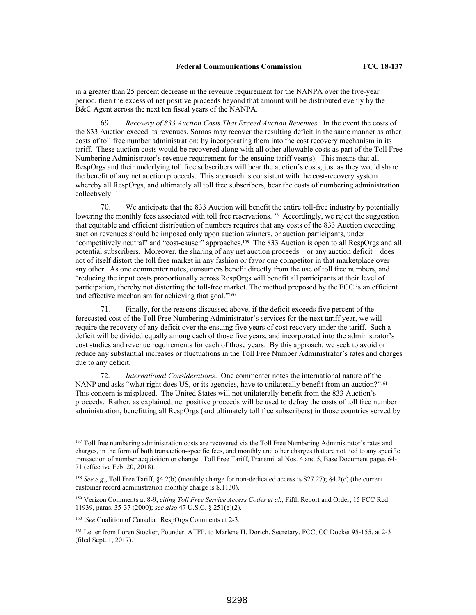in a greater than 25 percent decrease in the revenue requirement for the NANPA over the five-year period, then the excess of net positive proceeds beyond that amount will be distributed evenly by the B&C Agent across the next ten fiscal years of the NANPA.

69. *Recovery of 833 Auction Costs That Exceed Auction Revenues.* In the event the costs of the 833 Auction exceed its revenues, Somos may recover the resulting deficit in the same manner as other costs of toll free number administration: by incorporating them into the cost recovery mechanism in its tariff. These auction costs would be recovered along with all other allowable costs as part of the Toll Free Numbering Administrator's revenue requirement for the ensuing tariff year(s). This means that all RespOrgs and their underlying toll free subscribers will bear the auction's costs, just as they would share the benefit of any net auction proceeds. This approach is consistent with the cost-recovery system whereby all RespOrgs, and ultimately all toll free subscribers, bear the costs of numbering administration collectively.<sup>157</sup>

70. We anticipate that the 833 Auction will benefit the entire toll-free industry by potentially lowering the monthly fees associated with toll free reservations.<sup>158</sup> Accordingly, we reject the suggestion that equitable and efficient distribution of numbers requires that any costs of the 833 Auction exceeding auction revenues should be imposed only upon auction winners, or auction participants, under "competitively neutral" and "cost-causer" approaches.159 The 833 Auction is open to all RespOrgs and all potential subscribers. Moreover, the sharing of any net auction proceeds—or any auction deficit—does not of itself distort the toll free market in any fashion or favor one competitor in that marketplace over any other. As one commenter notes, consumers benefit directly from the use of toll free numbers, and "reducing the input costs proportionally across RespOrgs will benefit all participants at their level of participation, thereby not distorting the toll-free market. The method proposed by the FCC is an efficient and effective mechanism for achieving that goal."<sup>160</sup>

Finally, for the reasons discussed above, if the deficit exceeds five percent of the forecasted cost of the Toll Free Numbering Administrator's services for the next tariff year, we will require the recovery of any deficit over the ensuing five years of cost recovery under the tariff. Such a deficit will be divided equally among each of those five years, and incorporated into the administrator's cost studies and revenue requirements for each of those years. By this approach, we seek to avoid or reduce any substantial increases or fluctuations in the Toll Free Number Administrator's rates and charges due to any deficit.

72. *International Considerations*. One commenter notes the international nature of the NANP and asks "what right does US, or its agencies, have to unilaterally benefit from an auction?"<sup>161</sup> This concern is misplaced. The United States will not unilaterally benefit from the 833 Auction's proceeds. Rather, as explained, net positive proceeds will be used to defray the costs of toll free number administration, benefitting all RespOrgs (and ultimately toll free subscribers) in those countries served by

<sup>157</sup> Toll free numbering administration costs are recovered via the Toll Free Numbering Administrator's rates and charges, in the form of both transaction-specific fees, and monthly and other charges that are not tied to any specific transaction of number acquisition or change. Toll Free Tariff, Transmittal Nos. 4 and 5, Base Document pages 64- 71 (effective Feb. 20, 2018).

<sup>158</sup> *See e.g*., Toll Free Tariff, §4.2(b) (monthly charge for non-dedicated access is \$27.27); §4.2(c) (the current customer record administration monthly charge is \$.1130).

<sup>159</sup> Verizon Comments at 8-9, *citing Toll Free Service Access Codes et al.*, Fifth Report and Order, 15 FCC Rcd 11939, paras. 35-37 (2000); *see also* 47 U.S.C. § 251(e)(2).

<sup>160</sup> *See* Coalition of Canadian RespOrgs Comments at 2-3.

<sup>161</sup> Letter from Loren Stocker, Founder, ATFP, to Marlene H. Dortch, Secretary, FCC, CC Docket 95-155, at 2-3 (filed Sept. 1, 2017).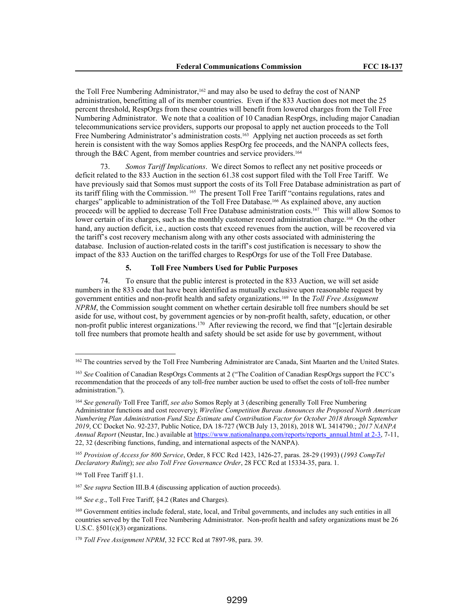the Toll Free Numbering Administrator,<sup>162</sup> and may also be used to defray the cost of NANP administration, benefitting all of its member countries. Even if the 833 Auction does not meet the 25 percent threshold, RespOrgs from these countries will benefit from lowered charges from the Toll Free Numbering Administrator. We note that a coalition of 10 Canadian RespOrgs, including major Canadian telecommunications service providers, supports our proposal to apply net auction proceeds to the Toll Free Numbering Administrator's administration costs.163 Applying net auction proceeds as set forth herein is consistent with the way Somos applies RespOrg fee proceeds, and the NANPA collects fees, through the B&C Agent, from member countries and service providers.<sup>164</sup>

73. *Somos Tariff Implications*. We direct Somos to reflect any net positive proceeds or deficit related to the 833 Auction in the section 61.38 cost support filed with the Toll Free Tariff. We have previously said that Somos must support the costs of its Toll Free Database administration as part of its tariff filing with the Commission. 165 The present Toll Free Tariff "contains regulations, rates and charges" applicable to administration of the Toll Free Database.166 As explained above, any auction proceed*s* will be applied to decrease Toll Free Database administration costs.167 This will allow Somos to lower certain of its charges, such as the monthly customer record administration charge.<sup>168</sup> On the other hand, any auction deficit, i.e., auction costs that exceed revenues from the auction, will be recovered via the tariff's cost recovery mechanism along with any other costs associated with administering the database. Inclusion of auction-related costs in the tariff's cost justification is necessary to show the impact of the 833 Auction on the tariffed charges to RespOrgs for use of the Toll Free Database.

### **5. Toll Free Numbers Used for Public Purposes**

74. To ensure that the public interest is protected in the 833 Auction, we will set aside numbers in the 833 code that have been identified as mutually exclusive upon reasonable request by government entities and non-profit health and safety organizations.169 In the *Toll Free Assignment NPRM*, the Commission sought comment on whether certain desirable toll free numbers should be set aside for use, without cost, by government agencies or by non-profit health, safety, education, or other non-profit public interest organizations.<sup>170</sup> After reviewing the record, we find that "[c]ertain desirable toll free numbers that promote health and safety should be set aside for use by government, without

<sup>165</sup> *Provision of Access for 800 Service*, Order, 8 FCC Rcd 1423, 1426-27, paras. 28-29 (1993) (*1993 CompTel Declaratory Ruling*); *see also Toll Free Governance Order*, 28 FCC Rcd at 15334-35, para. 1.

<sup>166</sup> Toll Free Tariff §1.1.

<sup>167</sup> *See supra* Section III.B.4 (discussing application of auction proceeds).

<sup>168</sup> *See e.g*., Toll Free Tariff, §4.2 (Rates and Charges).

<sup>&</sup>lt;sup>162</sup> The countries served by the Toll Free Numbering Administrator are Canada, Sint Maarten and the United States.

<sup>163</sup> *See* Coalition of Canadian RespOrgs Comments at 2 ("The Coalition of Canadian RespOrgs support the FCC's recommendation that the proceeds of any toll-free number auction be used to offset the costs of toll-free number administration.").

<sup>164</sup> *See generally* Toll Free Tariff, *see also* Somos Reply at 3 (describing generally Toll Free Numbering Administrator functions and cost recovery); *Wireline Competition Bureau Announces the Proposed North American Numbering Plan Administration Fund Size Estimate and Contribution Factor for October 2018 through September 2019*, CC Docket No. 92-237, Public Notice, DA 18-727 (WCB July 13, 2018), 2018 WL 3414790.; *2017 NANPA Annual Report* (Neustar, Inc.) available at https://www.nationalnanpa.com/reports/reports\_annual.html at 2-3, 7-11, 22, 32 (describing functions, funding, and international aspects of the NANPA).

<sup>&</sup>lt;sup>169</sup> Government entities include federal, state, local, and Tribal governments, and includes any such entities in all countries served by the Toll Free Numbering Administrator. Non-profit health and safety organizations must be 26 U.S.C. §501(c)(3) organizations.

<sup>170</sup> *Toll Free Assignment NPRM*, 32 FCC Rcd at 7897-98, para. 39.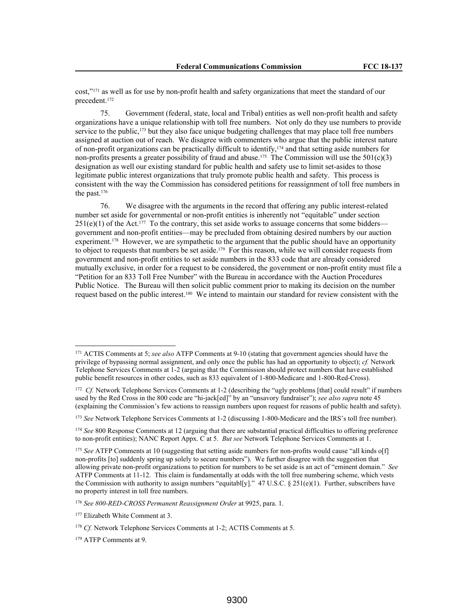cost,"171 as well as for use by non-profit health and safety organizations that meet the standard of our precedent.<sup>172</sup>

75. Government (federal, state, local and Tribal) entities as well non-profit health and safety organizations have a unique relationship with toll free numbers. Not only do they use numbers to provide service to the public,<sup>173</sup> but they also face unique budgeting challenges that may place toll free numbers assigned at auction out of reach. We disagree with commenters who argue that the public interest nature of non-profit organizations can be practically difficult to identify,174 and that setting aside numbers for non-profits presents a greater possibility of fraud and abuse.<sup>175</sup> The Commission will use the 501(c)(3) designation as well our existing standard for public health and safety use to limit set-asides to those legitimate public interest organizations that truly promote public health and safety. This process is consistent with the way the Commission has considered petitions for reassignment of toll free numbers in the past.<sup>176</sup>

76. We disagree with the arguments in the record that offering any public interest-related number set aside for governmental or non-profit entities is inherently not "equitable" under section  $251(e)(1)$  of the Act.<sup>177</sup> To the contrary, this set aside works to assuage concerns that some bidders government and non-profit entities—may be precluded from obtaining desired numbers by our auction experiment.<sup>178</sup> However, we are sympathetic to the argument that the public should have an opportunity to object to requests that numbers be set aside.<sup>179</sup> For this reason, while we will consider requests from government and non-profit entities to set aside numbers in the 833 code that are already considered mutually exclusive, in order for a request to be considered, the government or non-profit entity must file a "Petition for an 833 Toll Free Number" with the Bureau in accordance with the Auction Procedures Public Notice. The Bureau will then solicit public comment prior to making its decision on the number request based on the public interest.180 We intend to maintain our standard for review consistent with the

<sup>171</sup> ACTIS Comments at 5; *see also* ATFP Comments at 9-10 (stating that government agencies should have the privilege of bypassing normal assignment, and only once the public has had an opportunity to object); *cf.* Network Telephone Services Comments at 1-2 (arguing that the Commission should protect numbers that have established public benefit resources in other codes, such as 833 equivalent of 1-800-Medicare and 1-800-Red-Cross).

 $172 \text{ } Cf.$  Network Telephone Services Comments at 1-2 (describing the "ugly problems [that] could result" if numbers used by the Red Cross in the 800 code are "hi-jack[ed]" by an "unsavory fundraiser"); *see also supra* note 45 (explaining the Commission's few actions to reassign numbers upon request for reasons of public health and safety).

<sup>173</sup> *See* Network Telephone Services Comments at 1-2 (discussing 1-800-Medicare and the IRS's toll free number).

<sup>174</sup> *See* 800 Response Comments at 12 (arguing that there are substantial practical difficulties to offering preference to non-profit entities); NANC Report Appx. C at 5. *But see* Network Telephone Services Comments at 1.

<sup>&</sup>lt;sup>175</sup> *See* ATFP Comments at 10 (suggesting that setting aside numbers for non-profits would cause "all kinds of f non-profits [to] suddenly spring up solely to secure numbers"). We further disagree with the suggestion that allowing private non-profit organizations to petition for numbers to be set aside is an act of "eminent domain." *See* ATFP Comments at 11-12. This claim is fundamentally at odds with the toll free numbering scheme, which vests the Commission with authority to assign numbers "equitabl[y]." 47 U.S.C. § 251(e)(1). Further, subscribers have no property interest in toll free numbers.

<sup>176</sup> *See 800-RED-CROSS Permanent Reassignment Order* at 9925, para. 1.

<sup>177</sup> Elizabeth White Comment at 3.

<sup>&</sup>lt;sup>178</sup> *Cf.* Network Telephone Services Comments at 1-2; ACTIS Comments at 5.

<sup>179</sup> ATFP Comments at 9.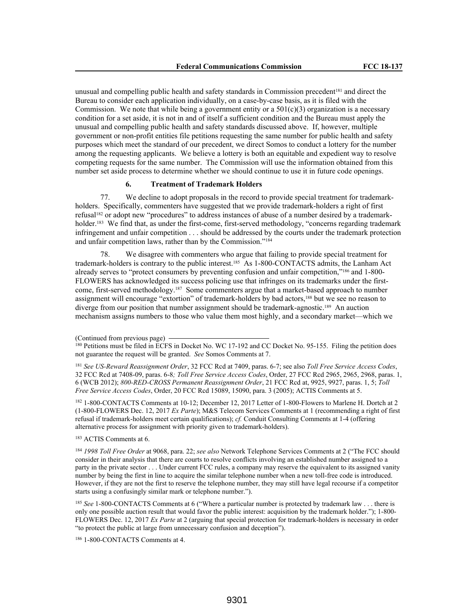unusual and compelling public health and safety standards in Commission precedent<sup>181</sup> and direct the Bureau to consider each application individually, on a case-by-case basis, as it is filed with the Commission. We note that while being a government entity or a  $501(c)(3)$  organization is a necessary condition for a set aside, it is not in and of itself a sufficient condition and the Bureau must apply the unusual and compelling public health and safety standards discussed above. If, however, multiple government or non-profit entities file petitions requesting the same number for public health and safety purposes which meet the standard of our precedent, we direct Somos to conduct a lottery for the number among the requesting applicants. We believe a lottery is both an equitable and expedient way to resolve competing requests for the same number. The Commission will use the information obtained from this number set aside process to determine whether we should continue to use it in future code openings.

### **6. Treatment of Trademark Holders**

77. We decline to adopt proposals in the record to provide special treatment for trademarkholders. Specifically, commenters have suggested that we provide trademark-holders a right of first refusal182 or adopt new "procedures" to address instances of abuse of a number desired by a trademarkholder.<sup>183</sup> We find that, as under the first-come, first-served methodology, "concerns regarding trademark infringement and unfair competition . . . should be addressed by the courts under the trademark protection and unfair competition laws, rather than by the Commission."<sup>184</sup>

We disagree with commenters who argue that failing to provide special treatment for trademark-holders is contrary to the public interest.185 As 1-800-CONTACTS admits, the Lanham Act already serves to "protect consumers by preventing confusion and unfair competition,"186 and 1-800- FLOWERS has acknowledged its success policing use that infringes on its trademarks under the firstcome, first-served methodology.187 Some commenters argue that a market-based approach to number assignment will encourage "extortion" of trademark-holders by bad actors,<sup>188</sup> but we see no reason to diverge from our position that number assignment should be trademark-agnostic.189 An auction mechanism assigns numbers to those who value them most highly, and a secondary market—which we

<sup>182</sup> 1-800-CONTACTS Comments at 10-12; December 12, 2017 Letter of 1-800-Flowers to Marlene H. Dortch at 2 (1-800-FLOWERS Dec. 12, 2017 *Ex Parte*); M&S Telecom Services Comments at 1 (recommending a right of first refusal if trademark-holders meet certain qualifications); *cf.* Conduit Consulting Comments at 1-4 (offering alternative process for assignment with priority given to trademark-holders).

<sup>183</sup> ACTIS Comments at 6.

<sup>184</sup> *1998 Toll Free Order* at 9068, para. 22; *see also* Network Telephone Services Comments at 2 ("The FCC should consider in their analysis that there are courts to resolve conflicts involving an established number assigned to a party in the private sector . . . Under current FCC rules, a company may reserve the equivalent to its assigned vanity number by being the first in line to acquire the similar telephone number when a new toll-free code is introduced. However, if they are not the first to reserve the telephone number, they may still have legal recourse if a competitor starts using a confusingly similar mark or telephone number.").

<sup>185</sup> See 1-800-CONTACTS Comments at 6 ("Where a particular number is protected by trademark law . . . there is only one possible auction result that would favor the public interest: acquisition by the trademark holder."); 1-800- FLOWERS Dec. 12, 2017 *Ex Parte* at 2 (arguing that special protection for trademark-holders is necessary in order "to protect the public at large from unnecessary confusion and deception").

<sup>186</sup> 1-800-CONTACTS Comments at 4.

<sup>(</sup>Continued from previous page)

<sup>&</sup>lt;sup>180</sup> Petitions must be filed in ECFS in Docket No. WC 17-192 and CC Docket No. 95-155. Filing the petition does not guarantee the request will be granted. *See* Somos Comments at 7.

<sup>181</sup> *See US-Reward Reassignment Order*, 32 FCC Rcd at 7409, paras. 6-7; see also *Toll Free Service Access Codes*, 32 FCC Rcd at 7408-09, paras. 6-8*; Toll Free Service Access Codes*, Order, 27 FCC Rcd 2965, 2965, 2968, paras. 1, 6 (WCB 2012); *800-RED-CROSS Permanent Reassignment Order*, 21 FCC Rcd at, 9925, 9927, paras. 1, 5; *Toll Free Service Access Codes*, Order, 20 FCC Rcd 15089, 15090, para. 3 (2005); ACTIS Comments at 5.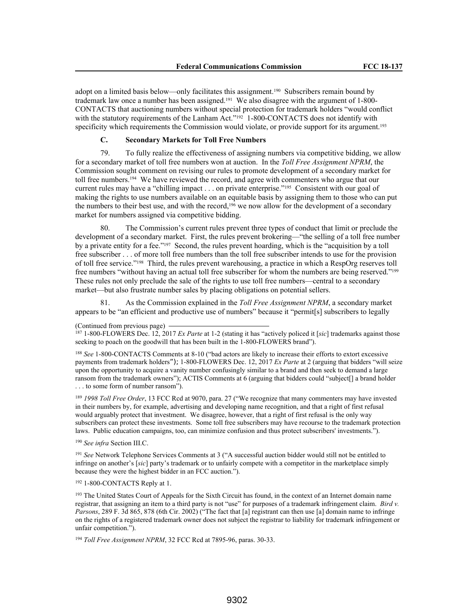adopt on a limited basis below—only facilitates this assignment.190 Subscribers remain bound by trademark law once a number has been assigned.191 We also disagree with the argument of 1-800- CONTACTS that auctioning numbers without special protection for trademark holders "would conflict with the statutory requirements of the Lanham Act."<sup>192</sup> 1-800-CONTACTS does not identify with specificity which requirements the Commission would violate, or provide support for its argument.<sup>193</sup>

## **C. Secondary Markets for Toll Free Numbers**

79. To fully realize the effectiveness of assigning numbers via competitive bidding, we allow for a secondary market of toll free numbers won at auction. In the *Toll Free Assignment NPRM*, the Commission sought comment on revising our rules to promote development of a secondary market for toll free numbers.194 We have reviewed the record, and agree with commenters who argue that our current rules may have a "chilling impact . . . on private enterprise."195 Consistent with our goal of making the rights to use numbers available on an equitable basis by assigning them to those who can put the numbers to their best use, and with the record,196 we now allow for the development of a secondary market for numbers assigned via competitive bidding.

The Commission's current rules prevent three types of conduct that limit or preclude the development of a secondary market. First, the rules prevent brokering—"the selling of a toll free number by a private entity for a fee."197 Second, the rules prevent hoarding, which is the "acquisition by a toll free subscriber . . . of more toll free numbers than the toll free subscriber intends to use for the provision of toll free service."198 Third, the rules prevent warehousing, a practice in which a RespOrg reserves toll free numbers "without having an actual toll free subscriber for whom the numbers are being reserved."<sup>199</sup> These rules not only preclude the sale of the rights to use toll free numbers—central to a secondary market—but also frustrate number sales by placing obligations on potential sellers.

81. As the Commission explained in the *Toll Free Assignment NPRM*, a secondary market appears to be "an efficient and productive use of numbers" because it "permit[s] subscribers to legally

<sup>188</sup> See 1-800-CONTACTS Comments at 8-10 ("bad actors are likely to increase their efforts to extort excessive payments from trademark holders"); 1-800-FLOWERS Dec. 12, 2017 *Ex Parte* at 2 (arguing that bidders "will seize upon the opportunity to acquire a vanity number confusingly similar to a brand and then seek to demand a large ransom from the trademark owners"); ACTIS Comments at 6 (arguing that bidders could "subject[] a brand holder . . . to some form of number ransom").

<sup>189</sup> *1998 Toll Free Order*, 13 FCC Rcd at 9070, para. 27 ("We recognize that many commenters may have invested in their numbers by, for example, advertising and developing name recognition, and that a right of first refusal would arguably protect that investment. We disagree, however, that a right of first refusal is the only way subscribers can protect these investments. Some toll free subscribers may have recourse to the trademark protection laws. Public education campaigns, too, can minimize confusion and thus protect subscribers' investments.").

## <sup>190</sup> *See infra* Section III.C.

<sup>191</sup> *See* Network Telephone Services Comments at 3 ("A successful auction bidder would still not be entitled to infringe on another's [*sic*] party's trademark or to unfairly compete with a competitor in the marketplace simply because they were the highest bidder in an FCC auction.").

## <sup>192</sup> 1-800-CONTACTS Reply at 1.

<sup>193</sup> The United States Court of Appeals for the Sixth Circuit has found, in the context of an Internet domain name registrar, that assigning an item to a third party is not "use" for purposes of a trademark infringement claim. *Bird v. Parsons*, 289 F. 3d 865, 878 (6th Cir. 2002) ("The fact that [a] registrant can then use [a] domain name to infringe on the rights of a registered trademark owner does not subject the registrar to liability for trademark infringement or unfair competition.").

<sup>194</sup> *Toll Free Assignment NPRM*, 32 FCC Rcd at 7895-96, paras. 30-33.

<sup>(</sup>Continued from previous page)

<sup>187</sup> 1-800-FLOWERS Dec. 12, 2017 *Ex Parte* at 1-2 (stating it has "actively policed it [*sic*] trademarks against those seeking to poach on the goodwill that has been built in the 1-800-FLOWERS brand").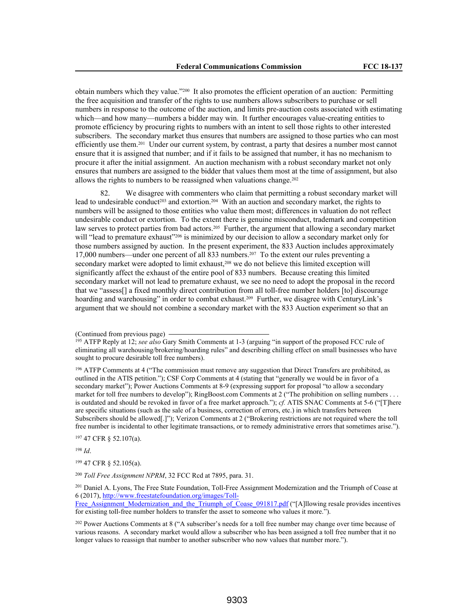obtain numbers which they value."200 It also promotes the efficient operation of an auction: Permitting the free acquisition and transfer of the rights to use numbers allows subscribers to purchase or sell numbers in response to the outcome of the auction, and limits pre-auction costs associated with estimating which—and how many—numbers a bidder may win. It further encourages value-creating entities to promote efficiency by procuring rights to numbers with an intent to sell those rights to other interested subscribers. The secondary market thus ensures that numbers are assigned to those parties who can most efficiently use them.<sup>201</sup> Under our current system, by contrast, a party that desires a number most cannot ensure that it is assigned that number; and if it fails to be assigned that number, it has no mechanism to procure it after the initial assignment. An auction mechanism with a robust secondary market not only ensures that numbers are assigned to the bidder that values them most at the time of assignment, but also allows the rights to numbers to be reassigned when valuations change.<sup>202</sup>

82. We disagree with commenters who claim that permitting a robust secondary market will lead to undesirable conduct<sup>203</sup> and extortion.<sup>204</sup> With an auction and secondary market, the rights to numbers will be assigned to those entities who value them most; differences in valuation do not reflect undesirable conduct or extortion. To the extent there is genuine misconduct, trademark and competition law serves to protect parties from bad actors.205 Further, the argument that allowing a secondary market will "lead to premature exhaust"<sup>206</sup> is minimized by our decision to allow a secondary market only for those numbers assigned by auction. In the present experiment, the 833 Auction includes approximately 17,000 numbers—under one percent of all 833 numbers.207 To the extent our rules preventing a secondary market were adopted to limit exhaust,<sup>208</sup> we do not believe this limited exception will significantly affect the exhaust of the entire pool of 833 numbers. Because creating this limited secondary market will not lead to premature exhaust, we see no need to adopt the proposal in the record that we "assess[] a fixed monthly direct contribution from all toll-free number holders [to] discourage hoarding and warehousing" in order to combat exhaust.<sup>209</sup> Further, we disagree with CenturyLink's argument that we should not combine a secondary market with the 833 Auction experiment so that an

<sup>196</sup> ATFP Comments at 4 ("The commission must remove any suggestion that Direct Transfers are prohibited, as outlined in the ATIS petition."); CSF Corp Comments at 4 (stating that "generally we would be in favor of a secondary market"); Power Auctions Comments at 8-9 (expressing support for proposal "to allow a secondary market for toll free numbers to develop"); RingBoost.com Comments at 2 ("The prohibition on selling numbers . . . is outdated and should be revoked in favor of a free market approach."); *cf.* ATIS SNAC Comments at 5-6 ("[T]here are specific situations (such as the sale of a business, correction of errors, etc.) in which transfers between Subscribers should be allowed[.]"); Verizon Comments at 2 ("Brokering restrictions are not required where the toll free number is incidental to other legitimate transactions, or to remedy administrative errors that sometimes arise.").

<sup>197</sup> 47 CFR § 52.107(a).

<sup>198</sup> *Id*.

<sup>199</sup> 47 CFR § 52.105(a).

<sup>200</sup> *Toll Free Assignment NPRM*, 32 FCC Rcd at 7895, para. 31.

<sup>201</sup> Daniel A. Lyons, The Free State Foundation, Toll-Free Assignment Modernization and the Triumph of Coase at 6 (2017), http://www.freestatefoundation.org/images/Toll-

Free Assignment Modernization and the Triumph of Coase 091817.pdf ("[A]llowing resale provides incentives for existing toll-free number holders to transfer the asset to someone who values it more.").

<sup>202</sup> Power Auctions Comments at 8 ("A subscriber's needs for a toll free number may change over time because of various reasons. A secondary market would allow a subscriber who has been assigned a toll free number that it no longer values to reassign that number to another subscriber who now values that number more.").

<sup>(</sup>Continued from previous page)

<sup>195</sup> ATFP Reply at 12; *see also* Gary Smith Comments at 1-3 (arguing "in support of the proposed FCC rule of eliminating all warehousing/brokering/hoarding rules" and describing chilling effect on small businesses who have sought to procure desirable toll free numbers).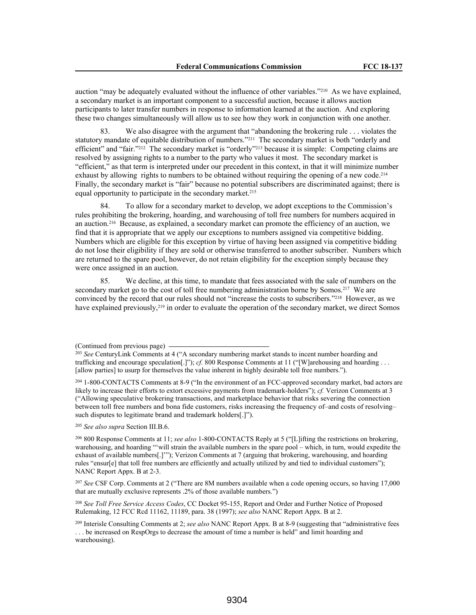auction "may be adequately evaluated without the influence of other variables."210 As we have explained, a secondary market is an important component to a successful auction, because it allows auction participants to later transfer numbers in response to information learned at the auction. And exploring these two changes simultaneously will allow us to see how they work in conjunction with one another.

83. We also disagree with the argument that "abandoning the brokering rule . . . violates the statutory mandate of equitable distribution of numbers."211 The secondary market is both "orderly and efficient" and "fair."212 The secondary market is "orderly"213 because it is simple: Competing claims are resolved by assigning rights to a number to the party who values it most. The secondary market is "efficient," as that term is interpreted under our precedent in this context, in that it will minimize number exhaust by allowing rights to numbers to be obtained without requiring the opening of a new code.<sup>214</sup> Finally, the secondary market is "fair" because no potential subscribers are discriminated against; there is equal opportunity to participate in the secondary market.<sup>215</sup>

84. To allow for a secondary market to develop, we adopt exceptions to the Commission's rules prohibiting the brokering, hoarding, and warehousing of toll free numbers for numbers acquired in an auction.216 Because, as explained, a secondary market can promote the efficiency of an auction, we find that it is appropriate that we apply our exceptions to numbers assigned via competitive bidding. Numbers which are eligible for this exception by virtue of having been assigned via competitive bidding do not lose their eligibility if they are sold or otherwise transferred to another subscriber. Numbers which are returned to the spare pool, however, do not retain eligibility for the exception simply because they were once assigned in an auction.

85. We decline, at this time, to mandate that fees associated with the sale of numbers on the secondary market go to the cost of toll free numbering administration borne by Somos.<sup>217</sup> We are convinced by the record that our rules should not "increase the costs to subscribers."218 However, as we have explained previously,<sup>219</sup> in order to evaluate the operation of the secondary market, we direct Somos

<sup>204</sup> 1-800-CONTACTS Comments at 8-9 ("In the environment of an FCC-approved secondary market, bad actors are likely to increase their efforts to extort excessive payments from trademark-holders"); *cf.* Verizon Comments at 3 ("Allowing speculative brokering transactions, and marketplace behavior that risks severing the connection between toll free numbers and bona fide customers, risks increasing the frequency of–and costs of resolving– such disputes to legitimate brand and trademark holders[.]").

<sup>205</sup> *See also supra* Section III.B.6.

<sup>206</sup> 800 Response Comments at 11; *see also* 1-800-CONTACTS Reply at 5 ("[L]ifting the restrictions on brokering, warehousing, and hoarding "'will strain the available numbers in the spare pool – which, in turn, would expedite the exhaust of available numbers[.]'"); Verizon Comments at 7 (arguing that brokering, warehousing, and hoarding rules "ensur[e] that toll free numbers are efficiently and actually utilized by and tied to individual customers"); NANC Report Appx. B at 2-3.

<sup>207</sup> *See* CSF Corp. Comments at 2 ("There are 8M numbers available when a code opening occurs, so having 17,000 that are mutually exclusive represents .2% of those available numbers.")

<sup>208</sup> *See Toll Free Service Access Codes*, CC Docket 95-155, Report and Order and Further Notice of Proposed Rulemaking, 12 FCC Rcd 11162, 11189, para. 38 (1997); *see also* NANC Report Appx. B at 2.

<sup>209</sup> Interisle Consulting Comments at 2; *see also* NANC Report Appx. B at 8-9 (suggesting that "administrative fees . . . be increased on RespOrgs to decrease the amount of time a number is held" and limit hoarding and warehousing).

<sup>(</sup>Continued from previous page)

<sup>203</sup> *See* CenturyLink Comments at 4 ("A secondary numbering market stands to incent number hoarding and trafficking and encourage speculation<sup>[.]"</sup>); *cf.* 800 Response Comments at 11 ("[W]arehousing and hoarding . . . [allow parties] to usurp for themselves the value inherent in highly desirable toll free numbers.").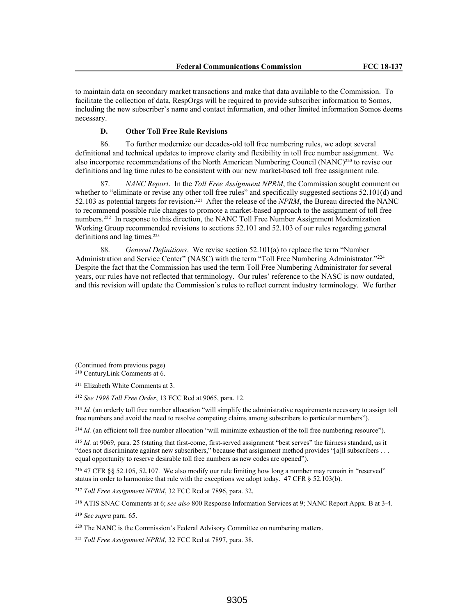to maintain data on secondary market transactions and make that data available to the Commission. To facilitate the collection of data, RespOrgs will be required to provide subscriber information to Somos, including the new subscriber's name and contact information, and other limited information Somos deems necessary.

#### **D. Other Toll Free Rule Revisions**

86. To further modernize our decades-old toll free numbering rules, we adopt several definitional and technical updates to improve clarity and flexibility in toll free number assignment. We also incorporate recommendations of the North American Numbering Council (NANC)<sup>220</sup> to revise our definitions and lag time rules to be consistent with our new market-based toll free assignment rule.

87. *NANC Report*. In the *Toll Free Assignment NPRM*, the Commission sought comment on whether to "eliminate or revise any other toll free rules" and specifically suggested sections 52.101(d) and 52.103 as potential targets for revision.221 After the release of the *NPRM*, the Bureau directed the NANC to recommend possible rule changes to promote a market-based approach to the assignment of toll free numbers.<sup>222</sup> In response to this direction, the NANC Toll Free Number Assignment Modernization Working Group recommended revisions to sections 52.101 and 52.103 of our rules regarding general definitions and lag times.<sup>223</sup>

88. *General Definitions*. We revise section 52.101(a) to replace the term "Number Administration and Service Center" (NASC) with the term "Toll Free Numbering Administrator."<sup>224</sup> Despite the fact that the Commission has used the term Toll Free Numbering Administrator for several years, our rules have not reflected that terminology. Our rules' reference to the NASC is now outdated, and this revision will update the Commission's rules to reflect current industry terminology. We further

(Continued from previous page) <sup>210</sup> CenturyLink Comments at 6.

<sup>211</sup> Elizabeth White Comments at 3.

<sup>212</sup> *See 1998 Toll Free Order*, 13 FCC Rcd at 9065, para. 12.

<sup>213</sup> *Id.* (an orderly toll free number allocation "will simplify the administrative requirements necessary to assign toll free numbers and avoid the need to resolve competing claims among subscribers to particular numbers").

 $^{214}$  *Id.* (an efficient toll free number allocation "will minimize exhaustion of the toll free numbering resource").

<sup>215</sup> *Id.* at 9069, para. 25 (stating that first-come, first-served assignment "best serves" the fairness standard, as it "does not discriminate against new subscribers," because that assignment method provides "[a]ll subscribers . . . equal opportunity to reserve desirable toll free numbers as new codes are opened").

<sup>216</sup> 47 CFR §§ 52.105, 52.107. We also modify our rule limiting how long a number may remain in "reserved" status in order to harmonize that rule with the exceptions we adopt today. 47 CFR § 52.103(b).

<sup>217</sup> *Toll Free Assignment NPRM*, 32 FCC Rcd at 7896, para. 32.

<sup>218</sup> ATIS SNAC Comments at 6; *see also* 800 Response Information Services at 9; NANC Report Appx. B at 3-4.

<sup>219</sup> *See supra* para. 65.

<sup>220</sup> The NANC is the Commission's Federal Advisory Committee on numbering matters.

<sup>221</sup> *Toll Free Assignment NPRM*, 32 FCC Rcd at 7897, para. 38.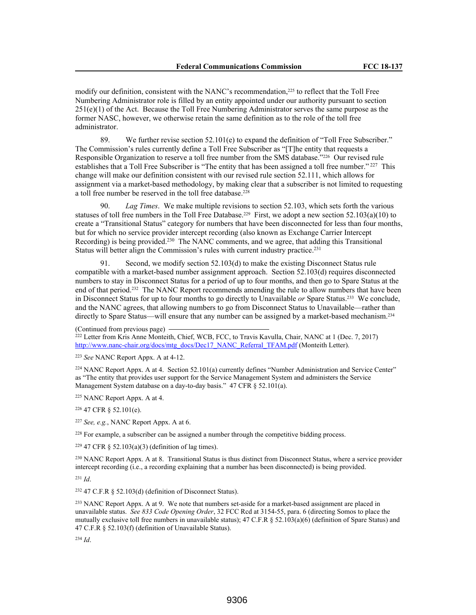modify our definition, consistent with the NANC's recommendation,225 to reflect that the Toll Free Numbering Administrator role is filled by an entity appointed under our authority pursuant to section 251(e)(1) of the Act. Because the Toll Free Numbering Administrator serves the same purpose as the former NASC, however, we otherwise retain the same definition as to the role of the toll free administrator.

89. We further revise section 52.101(e) to expand the definition of "Toll Free Subscriber." The Commission's rules currently define a Toll Free Subscriber as "[T]he entity that requests a Responsible Organization to reserve a toll free number from the SMS database."226 Our revised rule establishes that a Toll Free Subscriber is "The entity that has been assigned a toll free number."<sup>227</sup> This change will make our definition consistent with our revised rule section 52.111, which allows for assignment via a market-based methodology, by making clear that a subscriber is not limited to requesting a toll free number be reserved in the toll free database.<sup>228</sup>

90. *Lag Times*. We make multiple revisions to section 52.103, which sets forth the various statuses of toll free numbers in the Toll Free Database.<sup>229</sup> First, we adopt a new section 52.103(a)(10) to create a "Transitional Status" category for numbers that have been disconnected for less than four months, but for which no service provider intercept recording (also known as Exchange Carrier Intercept Recording) is being provided.<sup>230</sup> The NANC comments, and we agree, that adding this Transitional Status will better align the Commission's rules with current industry practice.<sup>231</sup>

91. Second, we modify section 52.103(d) to make the existing Disconnect Status rule compatible with a market-based number assignment approach. Section 52.103(d) requires disconnected numbers to stay in Disconnect Status for a period of up to four months, and then go to Spare Status at the end of that period.232 The NANC Report recommends amending the rule to allow numbers that have been in Disconnect Status for up to four months to go directly to Unavailable *or* Spare Status.233 We conclude, and the NANC agrees, that allowing numbers to go from Disconnect Status to Unavailable—rather than directly to Spare Status—will ensure that any number can be assigned by a market-based mechanism.<sup>234</sup>

(Continued from previous page)

<sup>222</sup> Letter from Kris Anne Monteith, Chief, WCB, FCC, to Travis Kavulla, Chair, NANC at 1 (Dec. 7, 2017) http://www.nanc-chair.org/docs/mtg\_docs/Dec17\_NANC\_Referral\_TFAM.pdf (Monteith Letter).

<sup>223</sup> *See* NANC Report Appx. A at 4-12.

<sup>224</sup> NANC Report Appx. A at 4. Section 52.101(a) currently defines "Number Administration and Service Center" as "The entity that provides user support for the Service Management System and administers the Service Management System database on a day-to-day basis." 47 CFR § 52.101(a).

<sup>225</sup> NANC Report Appx. A at 4.

<sup>226</sup> 47 CFR § 52.101(e).

<sup>227</sup> *See, e.g.*, NANC Report Appx. A at 6.

<sup>228</sup> For example, a subscriber can be assigned a number through the competitive bidding process.

 $229$  47 CFR § 52.103(a)(3) (definition of lag times).

<sup>230</sup> NANC Report Appx. A at 8. Transitional Status is thus distinct from Disconnect Status, where a service provider intercept recording (i.e., a recording explaining that a number has been disconnected) is being provided.

<sup>231</sup> *Id*.

<sup>232</sup> 47 C.F.R § 52.103(d) (definition of Disconnect Status).

<sup>233</sup> NANC Report Appx. A at 9. We note that numbers set-aside for a market-based assignment are placed in unavailable status. *See 833 Code Opening Order*, 32 FCC Rcd at 3154-55, para. 6 (directing Somos to place the mutually exclusive toll free numbers in unavailable status); 47 C.F.R § 52.103(a)(6) (definition of Spare Status) and 47 C.F.R § 52.103(f) (definition of Unavailable Status).

<sup>234</sup> *Id*.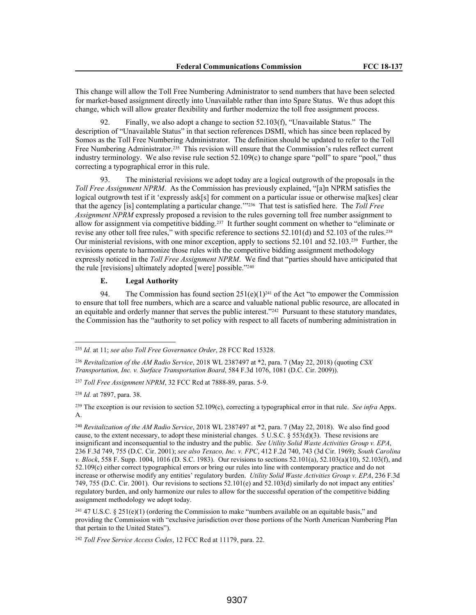This change will allow the Toll Free Numbering Administrator to send numbers that have been selected for market-based assignment directly into Unavailable rather than into Spare Status. We thus adopt this change, which will allow greater flexibility and further modernize the toll free assignment process.

92. Finally, we also adopt a change to section 52.103(f), "Unavailable Status." The description of "Unavailable Status" in that section references DSMI, which has since been replaced by Somos as the Toll Free Numbering Administrator. The definition should be updated to refer to the Toll Free Numbering Administrator.<sup>235</sup> This revision will ensure that the Commission's rules reflect current industry terminology. We also revise rule section 52.109(c) to change spare "poll" to spare "pool," thus correcting a typographical error in this rule.

93. The ministerial revisions we adopt today are a logical outgrowth of the proposals in the *Toll Free Assignment NPRM*. As the Commission has previously explained, "[a]n NPRM satisfies the logical outgrowth test if it 'expressly ask[s] for comment on a particular issue or otherwise ma[kes] clear that the agency [is] contemplating a particular change.'"236 That test is satisfied here. The *Toll Free Assignment NPRM* expressly proposed a revision to the rules governing toll free number assignment to allow for assignment via competitive bidding.237 It further sought comment on whether to "eliminate or revise any other toll free rules," with specific reference to sections 52.101(d) and 52.103 of the rules.<sup>238</sup> Our ministerial revisions, with one minor exception, apply to sections 52.101 and 52.103.239 Further, the revisions operate to harmonize those rules with the competitive bidding assignment methodology expressly noticed in the *Toll Free Assignment NPRM*. We find that "parties should have anticipated that the rule [revisions] ultimately adopted [were] possible."<sup>240</sup>

# **E. Legal Authority**

94. The Commission has found section  $251(e)(1)^{241}$  of the Act "to empower the Commission to ensure that toll free numbers, which are a scarce and valuable national public resource, are allocated in an equitable and orderly manner that serves the public interest."<sup>242</sup> Pursuant to these statutory mandates, the Commission has the "authority to set policy with respect to all facets of numbering administration in

<sup>235</sup> *Id.* at 11; *see also Toll Free Governance Order*, 28 FCC Rcd 15328.

<sup>236</sup> *Revitalization of the AM Radio Service*, 2018 WL 2387497 at \*2, para. 7 (May 22, 2018) (quoting *CSX Transportation, Inc. v. Surface Transportation Board*, 584 F.3d 1076, 1081 (D.C. Cir. 2009)).

<sup>237</sup> *Toll Free Assignment NPRM*, 32 FCC Rcd at 7888-89, paras. 5-9.

<sup>238</sup> *Id.* at 7897, para. 38.

<sup>239</sup> The exception is our revision to section 52.109(c), correcting a typographical error in that rule. *See infra* Appx. A.

<sup>240</sup> *Revitalization of the AM Radio Service*, 2018 WL 2387497 at \*2, para. 7 (May 22, 2018). We also find good cause, to the extent necessary, to adopt these ministerial changes. 5 U.S.C. § 553(d)(3). These revisions are insignificant and inconsequential to the industry and the public. *See Utility Solid Waste Activities Group v. EPA*, 236 F.3d 749, 755 (D.C. Cir. 2001); *see also Texaco, Inc. v. FPC*, 412 F.2d 740, 743 (3d Cir. 1969); *South Carolina v. Block*, 558 F. Supp. 1004, 1016 (D. S.C. 1983). Our revisions to sections 52.101(a), 52.103(a)(10), 52.103(f), and 52.109(c) either correct typographical errors or bring our rules into line with contemporary practice and do not increase or otherwise modify any entities' regulatory burden. *Utility Solid Waste Activities Group v. EPA*, 236 F.3d 749, 755 (D.C. Cir. 2001). Our revisions to sections 52.101(e) and 52.103(d) similarly do not impact any entities' regulatory burden, and only harmonize our rules to allow for the successful operation of the competitive bidding assignment methodology we adopt today.

<sup>241</sup> 47 U.S.C. § 251(e)(1) (ordering the Commission to make "numbers available on an equitable basis," and providing the Commission with "exclusive jurisdiction over those portions of the North American Numbering Plan that pertain to the United States").

<sup>242</sup> *Toll Free Service Access Codes*, 12 FCC Rcd at 11179, para. 22.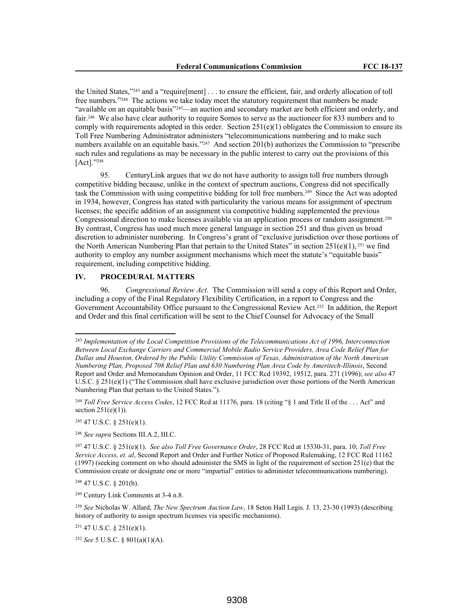the United States,"243 and a "require[ment] . . . to ensure the efficient, fair, and orderly allocation of toll free numbers."244 The actions we take today meet the statutory requirement that numbers be made "available on an equitable basis"245—an auction and secondary market are both efficient and orderly, and fair.246 We also have clear authority to require Somos to serve as the auctioneer for 833 numbers and to comply with requirements adopted in this order. Section  $251(e)(1)$  obligates the Commission to ensure its Toll Free Numbering Administrator administers "telecommunications numbering and to make such numbers available on an equitable basis."247 And section 201(b) authorizes the Commission to "prescribe such rules and regulations as may be necessary in the public interest to carry out the provisions of this [Act]."<sup>248</sup>

95. CenturyLink argues that we do not have authority to assign toll free numbers through competitive bidding because, unlike in the context of spectrum auctions, Congress did not specifically task the Commission with using competitive bidding for toll free numbers.249 Since the Act was adopted in 1934, however, Congress has stated with particularity the various means for assignment of spectrum licenses; the specific addition of an assignment via competitive bidding supplemented the previous Congressional direction to make licenses available via an application process or random assignment.<sup>250</sup> By contrast, Congress has used much more general language in section 251 and thus given us broad discretion to administer numbering. In Congress's grant of "exclusive jurisdiction over those portions of the North American Numbering Plan that pertain to the United States" in section  $251(e)(1)$ , <sup>251</sup> we find authority to employ any number assignment mechanisms which meet the statute's "equitable basis" requirement, including competitive bidding.

## **IV. PROCEDURAL MATTERS**

96. *Congressional Review Act*. The Commission will send a copy of this Report and Order, including a copy of the Final Regulatory Flexibility Certification, in a report to Congress and the Government Accountability Office pursuant to the Congressional Review Act.252 In addition, the Report and Order and this final certification will be sent to the Chief Counsel for Advocacy of the Small

 $245$  47 U.S.C. § 251(e)(1).

<sup>246</sup> *See supra* Sections III.A.2, III.C.

<sup>248</sup> 47 U.S.C. § 201(b).

<sup>249</sup> Century Link Comments at 3-4 n.8.

<sup>250</sup> *See* Nicholas W. Allard, *The New Spectrum Auction Law*, 18 Seton Hall Legis. J. 13, 23-30 (1993) (describing history of authority to assign spectrum licenses via specific mechanisms).

 $251$  47 U.S.C. § 251(e)(1).

<sup>252</sup> *See* 5 U.S.C. § 801(a)(1)(A).

<sup>243</sup> *Implementation of the Local Competition Provisions of the Telecommunications Act of 1996, Interconnection Between Local Exchange Carriers and Commercial Mobile Radio Service Providers, Area Code Relief Plan for Dallas and Houston, Ordered by the Public Utility Commission of Texas, Administration of the North American Numbering Plan, Proposed 708 Relief Plan and 630 Numbering Plan Area Code by Ameritech-Illinois*, Second Report and Order and Memorandum Opinion and Order, 11 FCC Rcd 19392, 19512, para. 271 (1996); *see also* 47 U.S.C. § 251(e)(1) ("The Commission shall have exclusive jurisdiction over those portions of the North American Numbering Plan that pertain to the United States.").

<sup>244</sup> *Toll Free Service Access Codes*, 12 FCC Rcd at 11176, para. 18 (citing "§ 1 and Title II of the . . . Act" and section  $251(e)(1)$ ).

<sup>247</sup> 47 U.S.C. § 251(e)(1). *See also Toll Free Governance Order*, 28 FCC Rcd at 15330-31, para. 10; *Toll Free Service Access, et. al*, Second Report and Order and Further Notice of Proposed Rulemaking, 12 FCC Rcd 11162 (1997) (seeking comment on who should administer the SMS in light of the requirement of section 251(e) that the Commission create or designate one or more "impartial" entities to administer telecommunications numbering).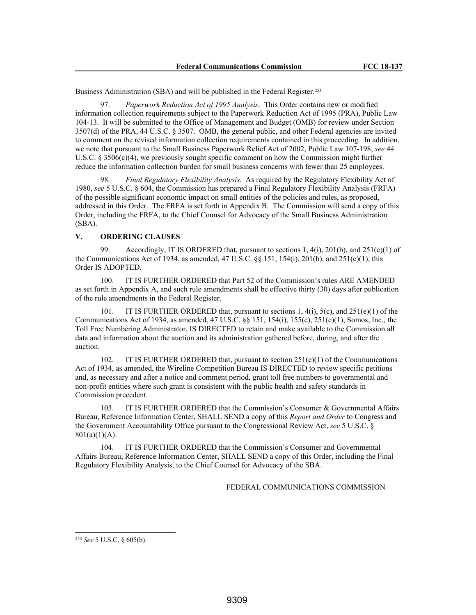Business Administration (SBA) and will be published in the Federal Register.<sup>253</sup>

97. *Paperwork Reduction Act of 1995 Analysis*. This Order contains new or modified information collection requirements subject to the Paperwork Reduction Act of 1995 (PRA), Public Law 104-13. It will be submitted to the Office of Management and Budget (OMB) for review under Section 3507(d) of the PRA, 44 U.S.C. § 3507. OMB, the general public, and other Federal agencies are invited to comment on the revised information collection requirements contained in this proceeding. In addition, we note that pursuant to the Small Business Paperwork Relief Act of 2002, Public Law 107-198, *see* 44 U.S.C. § 3506(c)(4), we previously sought specific comment on how the Commission might further reduce the information collection burden for small business concerns with fewer than 25 employees.

98. *Final Regulatory Flexibility Analysis*. As required by the Regulatory Flexibility Act of 1980, *see* 5 U.S.C. § 604, the Commission has prepared a Final Regulatory Flexibility Analysis (FRFA) of the possible significant economic impact on small entities of the policies and rules, as proposed, addressed in this Order. The FRFA is set forth in Appendix B. The Commission will send a copy of this Order, including the FRFA, to the Chief Counsel for Advocacy of the Small Business Administration (SBA).

## **V. ORDERING CLAUSES**

99. Accordingly, IT IS ORDERED that, pursuant to sections 1,  $4(i)$ ,  $201(b)$ , and  $251(e)(1)$  of the Communications Act of 1934, as amended,  $47 \text{ U.S.C. }$  §§ 151, 154(i), 201(b), and 251(e)(1), this Order IS ADOPTED.

100. IT IS FURTHER ORDERED that Part 52 of the Commission's rules ARE AMENDED as set forth in Appendix A, and such rule amendments shall be effective thirty (30) days after publication of the rule amendments in the Federal Register.

IT IS FURTHER ORDERED that, pursuant to sections 1,  $4(i)$ ,  $5(c)$ , and  $251(e)(1)$  of the Communications Act of 1934, as amended, 47 U.S.C. §§ 151, 154(i), 155(c), 251(e)(1), Somos, Inc., the Toll Free Numbering Administrator, IS DIRECTED to retain and make available to the Commission all data and information about the auction and its administration gathered before, during, and after the auction.

102. IT IS FURTHER ORDERED that, pursuant to section 251(e)(1) of the Communications Act of 1934, as amended, the Wireline Competition Bureau IS DIRECTED to review specific petitions and, as necessary and after a notice and comment period, grant toll free numbers to governmental and non-profit entities where such grant is consistent with the public health and safety standards in Commission precedent.

IT IS FURTHER ORDERED that the Commission's Consumer  $\&$  Governmental Affairs Bureau, Reference Information Center, SHALL SEND a copy of this *Report and Order* to Congress and the Government Accountability Office pursuant to the Congressional Review Act, *see* 5 U.S.C. §  $801(a)(1)(A)$ .

104. IT IS FURTHER ORDERED that the Commission's Consumer and Governmental Affairs Bureau, Reference Information Center, SHALL SEND a copy of this Order, including the Final Regulatory Flexibility Analysis, to the Chief Counsel for Advocacy of the SBA.

### FEDERAL COMMUNICATIONS COMMISSION

<sup>253</sup> *See* 5 U.S.C. § 605(b).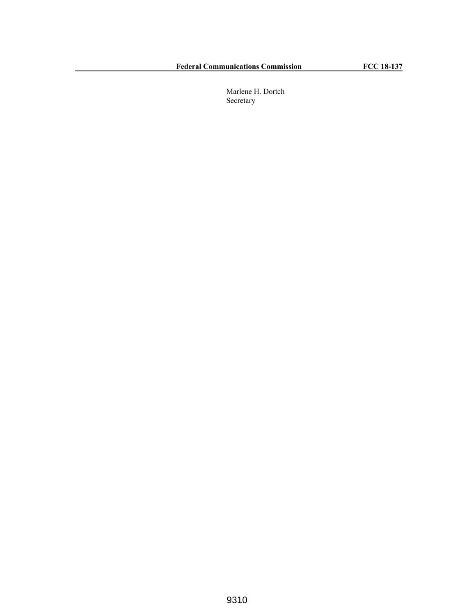Marlene H. Dortch Secretary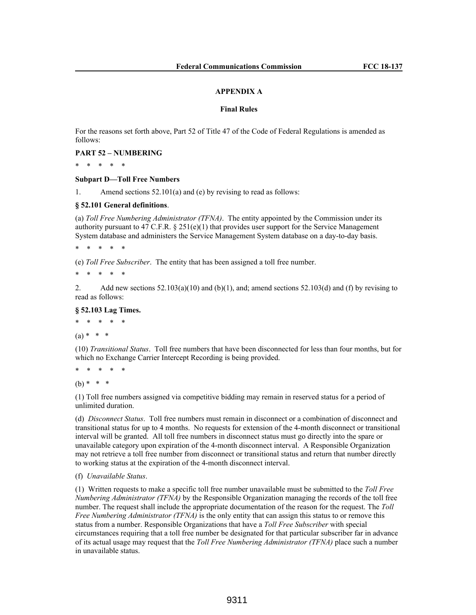#### **APPENDIX A**

## **Final Rules**

For the reasons set forth above, Part 52 of Title 47 of the Code of Federal Regulations is amended as follows:

**PART 52 – NUMBERING**

\* \* \* \* \*

**Subpart D—Toll Free Numbers**

1. Amend sections 52.101(a) and (e) by revising to read as follows:

#### **§ 52.101 General definitions**.

(a) *Toll Free Numbering Administrator (TFNA)*. The entity appointed by the Commission under its authority pursuant to 47 C.F.R.  $\S 251(e)(1)$  that provides user support for the Service Management System database and administers the Service Management System database on a day-to-day basis.

\* \* \* \* \*

(e) *Toll Free Subscriber*. The entity that has been assigned a toll free number.

\* \* \* \* \*

2. Add new sections  $52.103(a)(10)$  and (b)(1), and; amend sections  $52.103(d)$  and (f) by revising to read as follows:

### **§ 52.103 Lag Times.**

\* \* \* \* \*

 $(a) * * * *$ 

(10) *Transitional Status*. Toll free numbers that have been disconnected for less than four months, but for which no Exchange Carrier Intercept Recording is being provided.

\* \* \* \* \*

 $(b) * * * *$ 

(1) Toll free numbers assigned via competitive bidding may remain in reserved status for a period of unlimited duration.

(d) *Disconnect Status*. Toll free numbers must remain in disconnect or a combination of disconnect and transitional status for up to 4 months. No requests for extension of the 4-month disconnect or transitional interval will be granted. All toll free numbers in disconnect status must go directly into the spare or unavailable category upon expiration of the 4-month disconnect interval. A Responsible Organization may not retrieve a toll free number from disconnect or transitional status and return that number directly to working status at the expiration of the 4-month disconnect interval.

(f) *Unavailable Status*.

(1) Written requests to make a specific toll free number unavailable must be submitted to the *Toll Free Numbering Administrator (TFNA)* by the Responsible Organization managing the records of the toll free number. The request shall include the appropriate documentation of the reason for the request. The *Toll Free Numbering Administrator (TFNA)* is the only entity that can assign this status to or remove this status from a number. Responsible Organizations that have a *Toll Free Subscriber* with special circumstances requiring that a toll free number be designated for that particular subscriber far in advance of its actual usage may request that the *Toll Free Numbering Administrator (TFNA)* place such a number in unavailable status.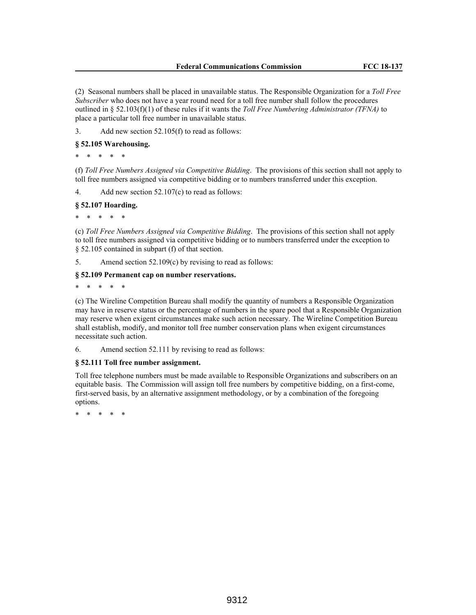(2) Seasonal numbers shall be placed in unavailable status. The Responsible Organization for a *Toll Free Subscriber* who does not have a year round need for a toll free number shall follow the procedures outlined in § 52.103(f)(1) of these rules if it wants the *Toll Free Numbering Administrator (TFNA)* to place a particular toll free number in unavailable status.

3. Add new section 52.105(f) to read as follows:

## **§ 52.105 Warehousing.**

\* \* \* \* \*

(f) *Toll Free Numbers Assigned via Competitive Bidding*. The provisions of this section shall not apply to toll free numbers assigned via competitive bidding or to numbers transferred under this exception.

4. Add new section 52.107(c) to read as follows:

### **§ 52.107 Hoarding.**

\* \* \* \* \*

(c) *Toll Free Numbers Assigned via Competitive Bidding*. The provisions of this section shall not apply to toll free numbers assigned via competitive bidding or to numbers transferred under the exception to § 52.105 contained in subpart (f) of that section.

5. Amend section 52.109(c) by revising to read as follows:

### **§ 52.109 Permanent cap on number reservations.**

\* \* \* \* \*

(c) The Wireline Competition Bureau shall modify the quantity of numbers a Responsible Organization may have in reserve status or the percentage of numbers in the spare pool that a Responsible Organization may reserve when exigent circumstances make such action necessary. The Wireline Competition Bureau shall establish, modify, and monitor toll free number conservation plans when exigent circumstances necessitate such action.

6. Amend section 52.111 by revising to read as follows:

## **§ 52.111 Toll free number assignment.**

Toll free telephone numbers must be made available to Responsible Organizations and subscribers on an equitable basis. The Commission will assign toll free numbers by competitive bidding, on a first-come, first-served basis, by an alternative assignment methodology, or by a combination of the foregoing options.

\* \* \* \* \*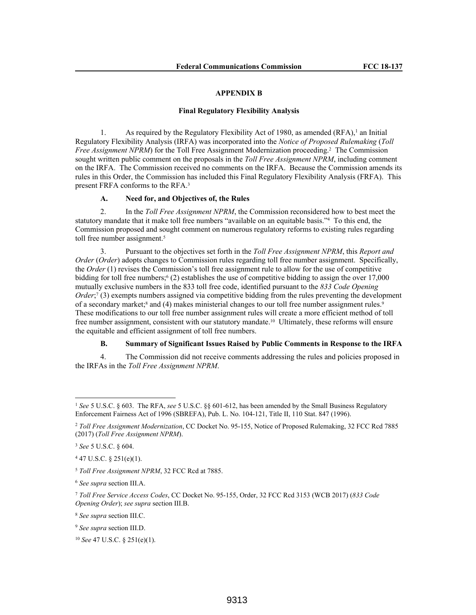### **APPENDIX B**

#### **Final Regulatory Flexibility Analysis**

1. As required by the Regulatory Flexibility Act of 1980, as amended (RFA),<sup>1</sup> an Initial Regulatory Flexibility Analysis (IRFA) was incorporated into the *Notice of Proposed Rulemaking* (*Toll Free Assignment NPRM*) for the Toll Free Assignment Modernization proceeding.<sup>2</sup> The Commission sought written public comment on the proposals in the *Toll Free Assignment NPRM*, including comment on the IRFA. The Commission received no comments on the IRFA. Because the Commission amends its rules in this Order, the Commission has included this Final Regulatory Flexibility Analysis (FRFA). This present FRFA conforms to the RFA.<sup>3</sup>

### **A. Need for, and Objectives of, the Rules**

2. In the *Toll Free Assignment NPRM*, the Commission reconsidered how to best meet the statutory mandate that it make toll free numbers "available on an equitable basis."<sup>4</sup> To this end, the Commission proposed and sought comment on numerous regulatory reforms to existing rules regarding toll free number assignment.<sup>5</sup>

3. Pursuant to the objectives set forth in the *Toll Free Assignment NPRM*, this *Report and Order* (*Order*) adopts changes to Commission rules regarding toll free number assignment. Specifically, the *Order* (1) revises the Commission's toll free assignment rule to allow for the use of competitive bidding for toll free numbers;<sup>6</sup> (2) establishes the use of competitive bidding to assign the over 17,000 mutually exclusive numbers in the 833 toll free code, identified pursuant to the *833 Code Opening Order*;<sup>7</sup> (3) exempts numbers assigned via competitive bidding from the rules preventing the development of a secondary market;<sup>8</sup> and (4) makes ministerial changes to our toll free number assignment rules.<sup>9</sup> These modifications to our toll free number assignment rules will create a more efficient method of toll free number assignment, consistent with our statutory mandate.10 Ultimately, these reforms will ensure the equitable and efficient assignment of toll free numbers.

### **B. Summary of Significant Issues Raised by Public Comments in Response to the IRFA**

4. The Commission did not receive comments addressing the rules and policies proposed in the IRFAs in the *Toll Free Assignment NPRM*.

<sup>1</sup> *See* 5 U.S.C. § 603. The RFA, *see* 5 U.S.C. §§ 601-612, has been amended by the Small Business Regulatory Enforcement Fairness Act of 1996 (SBREFA), Pub. L. No. 104-121, Title II, 110 Stat. 847 (1996).

<sup>2</sup> *Toll Free Assignment Modernization*, CC Docket No. 95-155, Notice of Proposed Rulemaking, 32 FCC Rcd 7885 (2017) (*Toll Free Assignment NPRM*).

<sup>3</sup> *See* 5 U.S.C. § 604.

 $447$  U.S.C. § 251(e)(1).

<sup>5</sup> *Toll Free Assignment NPRM*, 32 FCC Rcd at 7885.

<sup>6</sup> *See supra* section III.A.

<sup>7</sup> *Toll Free Service Access Codes*, CC Docket No. 95-155, Order, 32 FCC Rcd 3153 (WCB 2017) (*833 Code Opening Order*); *see supra* section III.B.

<sup>8</sup> *See supra* section III.C.

<sup>9</sup> *See supra* section III.D.

<sup>10</sup> *See* 47 U.S.C. § 251(e)(1).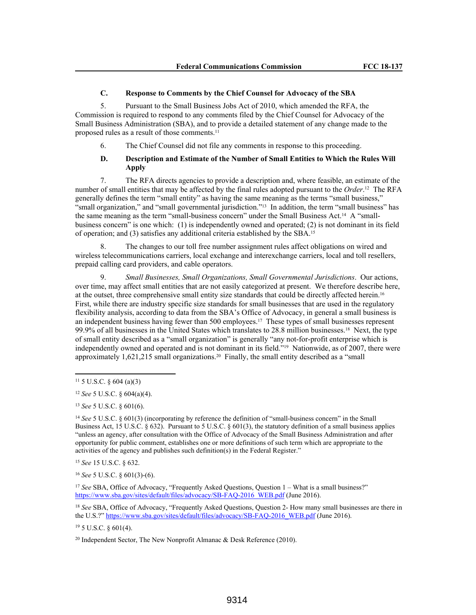## **C. Response to Comments by the Chief Counsel for Advocacy of the SBA**

5. Pursuant to the Small Business Jobs Act of 2010, which amended the RFA, the Commission is required to respond to any comments filed by the Chief Counsel for Advocacy of the Small Business Administration (SBA), and to provide a detailed statement of any change made to the proposed rules as a result of those comments.<sup>11</sup>

6. The Chief Counsel did not file any comments in response to this proceeding.

# **D. Description and Estimate of the Number of Small Entities to Which the Rules Will Apply**

7. The RFA directs agencies to provide a description and, where feasible, an estimate of the number of small entities that may be affected by the final rules adopted pursuant to the *Order*. <sup>12</sup> The RFA generally defines the term "small entity" as having the same meaning as the terms "small business," "small organization," and "small governmental jurisdiction."13 In addition, the term "small business" has the same meaning as the term "small-business concern" under the Small Business Act.14 A "smallbusiness concern" is one which: (1) is independently owned and operated; (2) is not dominant in its field of operation; and (3) satisfies any additional criteria established by the SBA.<sup>15</sup>

8. The changes to our toll free number assignment rules affect obligations on wired and wireless telecommunications carriers, local exchange and interexchange carriers, local and toll resellers, prepaid calling card providers, and cable operators.

9. *Small Businesses, Small Organizations, Small Governmental Jurisdictions*. Our actions, over time, may affect small entities that are not easily categorized at present. We therefore describe here, at the outset, three comprehensive small entity size standards that could be directly affected herein.<sup>16</sup> First, while there are industry specific size standards for small businesses that are used in the regulatory flexibility analysis, according to data from the SBA's Office of Advocacy, in general a small business is an independent business having fewer than 500 employees.17 These types of small businesses represent 99.9% of all businesses in the United States which translates to 28.8 million businesses.18 Next, the type of small entity described as a "small organization" is generally "any not-for-profit enterprise which is independently owned and operated and is not dominant in its field."19 Nationwide, as of 2007, there were approximately  $1,621,215$  small organizations.<sup>20</sup> Finally, the small entity described as a "small"

<sup>13</sup> *See* 5 U.S.C. § 601(6).

<sup>15</sup> *See* 15 U.S.C. § 632.

<sup>16</sup> *See* 5 U.S.C. § 601(3)-(6).

<sup>18</sup> See SBA, Office of Advocacy, "Frequently Asked Questions, Question 2- How many small businesses are there in the U.S.?" https://www.sba.gov/sites/default/files/advocacy/SB-FAQ-2016\_WEB.pdf (June 2016).

 $19\,5$  U.S.C.  $8\,601(4)$ .

<sup>11</sup> 5 U.S.C. § 604 (a)(3)

<sup>12</sup> *See* 5 U.S.C. § 604(a)(4).

<sup>14</sup> *See* 5 U.S.C. § 601(3) (incorporating by reference the definition of "small-business concern" in the Small Business Act, 15 U.S.C. § 632). Pursuant to 5 U.S.C. § 601(3), the statutory definition of a small business applies "unless an agency, after consultation with the Office of Advocacy of the Small Business Administration and after opportunity for public comment, establishes one or more definitions of such term which are appropriate to the activities of the agency and publishes such definition(s) in the Federal Register."

<sup>&</sup>lt;sup>17</sup> See SBA, Office of Advocacy, "Frequently Asked Questions, Question 1 – What is a small business?" https://www.sba.gov/sites/default/files/advocacy/SB-FAQ-2016\_WEB.pdf (June 2016).

<sup>&</sup>lt;sup>20</sup> Independent Sector, The New Nonprofit Almanac  $\&$  Desk Reference (2010).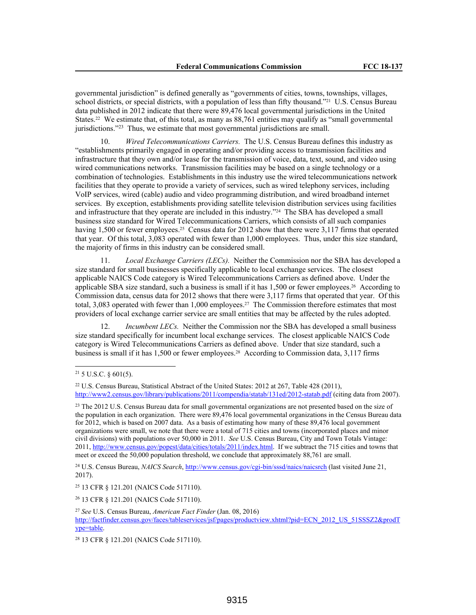governmental jurisdiction" is defined generally as "governments of cities, towns, townships, villages, school districts, or special districts, with a population of less than fifty thousand."21 U.S. Census Bureau data published in 2012 indicate that there were 89,476 local governmental jurisdictions in the United States.22 We estimate that, of this total, as many as 88,761 entities may qualify as "small governmental jurisdictions."<sup>23</sup> Thus, we estimate that most governmental jurisdictions are small.

10. *Wired Telecommunications Carriers.* The U.S. Census Bureau defines this industry as "establishments primarily engaged in operating and/or providing access to transmission facilities and infrastructure that they own and/or lease for the transmission of voice, data, text, sound, and video using wired communications networks. Transmission facilities may be based on a single technology or a combination of technologies. Establishments in this industry use the wired telecommunications network facilities that they operate to provide a variety of services, such as wired telephony services, including VoIP services, wired (cable) audio and video programming distribution, and wired broadband internet services. By exception, establishments providing satellite television distribution services using facilities and infrastructure that they operate are included in this industry."<sup>24</sup> The SBA has developed a small business size standard for Wired Telecommunications Carriers, which consists of all such companies having 1,500 or fewer employees.<sup>25</sup> Census data for 2012 show that there were 3,117 firms that operated that year. Of this total, 3,083 operated with fewer than 1,000 employees. Thus, under this size standard, the majority of firms in this industry can be considered small.

Local Exchange Carriers (LECs). Neither the Commission nor the SBA has developed a size standard for small businesses specifically applicable to local exchange services. The closest applicable NAICS Code category is Wired Telecommunications Carriers as defined above. Under the applicable SBA size standard, such a business is small if it has 1,500 or fewer employees.26 According to Commission data, census data for 2012 shows that there were 3,117 firms that operated that year. Of this total, 3,083 operated with fewer than 1,000 employees.27 The Commission therefore estimates that most providers of local exchange carrier service are small entities that may be affected by the rules adopted.

*Incumbent LECs.* Neither the Commission nor the SBA has developed a small business size standard specifically for incumbent local exchange services. The closest applicable NAICS Code category is Wired Telecommunications Carriers as defined above. Under that size standard, such a business is small if it has 1,500 or fewer employees.28 According to Commission data, 3,117 firms

<sup>24</sup> U.S. Census Bureau, *NAICS Search*, http://www.census.gov/cgi-bin/sssd/naics/naicsrch (last visited June 21, 2017).

<sup>25</sup> 13 CFR § 121.201 (NAICS Code 517110).

<sup>26</sup> 13 CFR § 121.201 (NAICS Code 517110).

<sup>27</sup> *See* U.S. Census Bureau, *American Fact Finder* (Jan. 08, 2016) http://factfinder.census.gov/faces/tableservices/jsf/pages/productview.xhtml?pid=ECN\_2012\_US\_51SSSZ2&prodT ype=table.

<sup>28</sup> 13 CFR § 121.201 (NAICS Code 517110).

 $21$  5 U.S.C. § 601(5).

<sup>22</sup> U.S. Census Bureau, Statistical Abstract of the United States: 2012 at 267, Table 428 (2011), http://www2.census.gov/library/publications/2011/compendia/statab/131ed/2012-statab.pdf (citing data from 2007).

<sup>&</sup>lt;sup>23</sup> The 2012 U.S. Census Bureau data for small governmental organizations are not presented based on the size of the population in each organization. There were 89,476 local governmental organizations in the Census Bureau data for 2012, which is based on 2007 data. As a basis of estimating how many of these 89,476 local government organizations were small, we note that there were a total of 715 cities and towns (incorporated places and minor civil divisions) with populations over 50,000 in 2011. *See* U.S. Census Bureau, City and Town Totals Vintage: 2011, http://www.census.gov/popest/data/cities/totals/2011/index.html. If we subtract the 715 cities and towns that meet or exceed the 50,000 population threshold, we conclude that approximately 88,761 are small.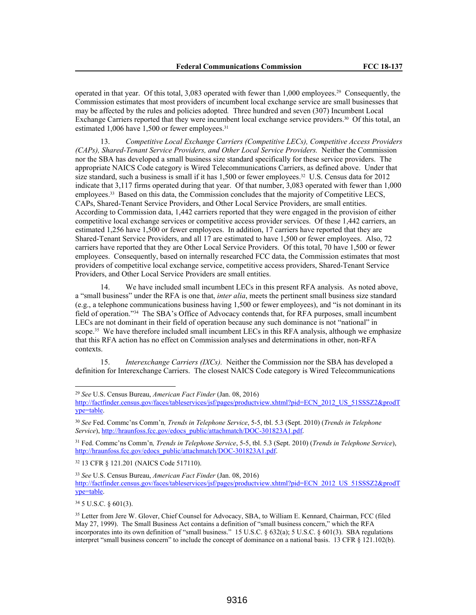operated in that year. Of this total, 3,083 operated with fewer than 1,000 employees.29 Consequently, the Commission estimates that most providers of incumbent local exchange service are small businesses that may be affected by the rules and policies adopted*.* Three hundred and seven (307) Incumbent Local Exchange Carriers reported that they were incumbent local exchange service providers.30 Of this total, an estimated 1,006 have 1,500 or fewer employees.<sup>31</sup>

13. *Competitive Local Exchange Carriers (Competitive LECs), Competitive Access Providers (CAPs), Shared-Tenant Service Providers, and Other Local Service Providers.* Neither the Commission nor the SBA has developed a small business size standard specifically for these service providers. The appropriate NAICS Code category is Wired Telecommunications Carriers, as defined above. Under that size standard, such a business is small if it has 1,500 or fewer employees.<sup>32</sup> U.S. Census data for 2012 indicate that 3,117 firms operated during that year. Of that number, 3,083 operated with fewer than 1,000 employees.33 Based on this data, the Commission concludes that the majority of Competitive LECS, CAPs, Shared-Tenant Service Providers, and Other Local Service Providers, are small entities. According to Commission data, 1,442 carriers reported that they were engaged in the provision of either competitive local exchange services or competitive access provider services. Of these 1,442 carriers, an estimated 1,256 have 1,500 or fewer employees. In addition, 17 carriers have reported that they are Shared-Tenant Service Providers, and all 17 are estimated to have 1,500 or fewer employees. Also, 72 carriers have reported that they are Other Local Service Providers. Of this total, 70 have 1,500 or fewer employees. Consequently, based on internally researched FCC data, the Commission estimates that most providers of competitive local exchange service, competitive access providers, Shared-Tenant Service Providers, and Other Local Service Providers are small entities.

14. We have included small incumbent LECs in this present RFA analysis. As noted above, a "small business" under the RFA is one that, *inter alia*, meets the pertinent small business size standard (e.g., a telephone communications business having 1,500 or fewer employees), and "is not dominant in its field of operation."34 The SBA's Office of Advocacy contends that, for RFA purposes, small incumbent LECs are not dominant in their field of operation because any such dominance is not "national" in scope.<sup>35</sup> We have therefore included small incumbent LECs in this RFA analysis, although we emphasize that this RFA action has no effect on Commission analyses and determinations in other, non-RFA contexts.

15. *Interexchange Carriers (IXCs).* Neither the Commission nor the SBA has developed a definition for Interexchange Carriers. The closest NAICS Code category is Wired Telecommunications

<sup>32</sup> 13 CFR § 121.201 (NAICS Code 517110).

<sup>34</sup> 5 U.S.C. § 601(3).

<sup>29</sup> *See* U.S. Census Bureau, *American Fact Finder* (Jan. 08, 2016) http://factfinder.census.gov/faces/tableservices/jsf/pages/productview.xhtml?pid=ECN\_2012\_US\_51SSSZ2&prodT ype=table.

<sup>30</sup> *See* Fed. Commc'ns Comm'n*, Trends in Telephone Service*, 5-5, tbl. 5.3 (Sept. 2010) (*Trends in Telephone Service*), http://hraunfoss.fcc.gov/edocs\_public/attachmatch/DOC-301823A1.pdf.

<sup>31</sup> Fed. Commc'ns Comm'n*, Trends in Telephone Service*, 5-5, tbl. 5.3 (Sept. 2010) (*Trends in Telephone Service*), http://hraunfoss.fcc.gov/edocs\_public/attachmatch/DOC-301823A1.pdf.

<sup>33</sup> *See* U.S. Census Bureau, *American Fact Finder* (Jan. 08, 2016) http://factfinder.census.gov/faces/tableservices/jsf/pages/productview.xhtml?pid=ECN\_2012\_US\_51SSSZ2&prodT ype=table.

<sup>35</sup> Letter from Jere W. Glover, Chief Counsel for Advocacy, SBA, to William E. Kennard, Chairman, FCC (filed May 27, 1999). The Small Business Act contains a definition of "small business concern," which the RFA incorporates into its own definition of "small business." 15 U.S.C. § 632(a); 5 U.S.C. § 601(3). SBA regulations interpret "small business concern" to include the concept of dominance on a national basis. 13 CFR § 121.102(b).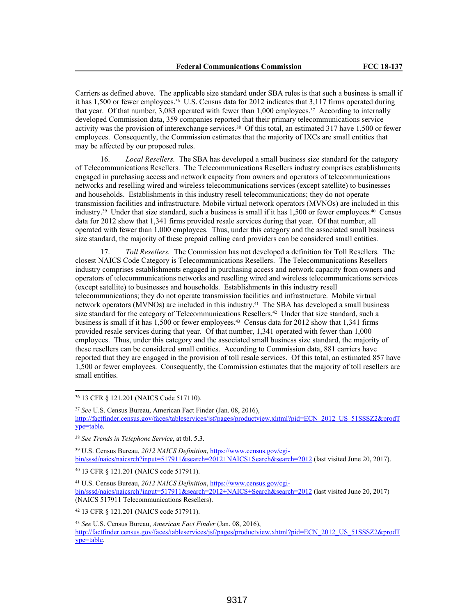Carriers as defined above. The applicable size standard under SBA rules is that such a business is small if it has 1,500 or fewer employees.36 U.S. Census data for 2012 indicates that 3,117 firms operated during that year. Of that number, 3,083 operated with fewer than 1,000 employees.37 According to internally developed Commission data, 359 companies reported that their primary telecommunications service activity was the provision of interexchange services.38 Of this total, an estimated 317 have 1,500 or fewer employees. Consequently, the Commission estimates that the majority of IXCs are small entities that may be affected by our proposed rules.

16. *Local Resellers.* The SBA has developed a small business size standard for the category of Telecommunications Resellers. The Telecommunications Resellers industry comprises establishments engaged in purchasing access and network capacity from owners and operators of telecommunications networks and reselling wired and wireless telecommunications services (except satellite) to businesses and households. Establishments in this industry resell telecommunications; they do not operate transmission facilities and infrastructure. Mobile virtual network operators (MVNOs) are included in this industry.39 Under that size standard, such a business is small if it has 1,500 or fewer employees.40 Census data for 2012 show that 1,341 firms provided resale services during that year. Of that number, all operated with fewer than 1,000 employees. Thus, under this category and the associated small business size standard, the majority of these prepaid calling card providers can be considered small entities.

17. *Toll Resellers.* The Commission has not developed a definition for Toll Resellers. The closest NAICS Code Category is Telecommunications Resellers. The Telecommunications Resellers industry comprises establishments engaged in purchasing access and network capacity from owners and operators of telecommunications networks and reselling wired and wireless telecommunications services (except satellite) to businesses and households. Establishments in this industry resell telecommunications; they do not operate transmission facilities and infrastructure. Mobile virtual network operators (MVNOs) are included in this industry.41 The SBA has developed a small business size standard for the category of Telecommunications Resellers.<sup>42</sup> Under that size standard, such a business is small if it has 1,500 or fewer employees.43 Census data for 2012 show that 1,341 firms provided resale services during that year. Of that number, 1,341 operated with fewer than 1,000 employees. Thus, under this category and the associated small business size standard, the majority of these resellers can be considered small entities. According to Commission data, 881 carriers have reported that they are engaged in the provision of toll resale services. Of this total, an estimated 857 have 1,500 or fewer employees. Consequently, the Commission estimates that the majority of toll resellers are small entities.

<sup>36</sup> 13 CFR § 121.201 (NAICS Code 517110).

39 U.S. Census Bureau, *2012 NAICS Definition*, https://www.census.gov/cgibin/sssd/naics/naicsrch?input=517911&search=2012+NAICS+Search&search=2012 (last visited June 20, 2017).

<sup>40</sup> 13 CFR § 121.201 (NAICS code 517911).

41 U.S. Census Bureau, *2012 NAICS Definition*, https://www.census.gov/cgibin/sssd/naics/naicsrch?input=517911&search=2012+NAICS+Search&search=2012 (last visited June 20, 2017) (NAICS 517911 Telecommunications Resellers).

<sup>42</sup> 13 CFR § 121.201 (NAICS code 517911).

<sup>37</sup> *See* U.S. Census Bureau, American Fact Finder (Jan. 08, 2016), http://factfinder.census.gov/faces/tableservices/jsf/pages/productview.xhtml?pid=ECN\_2012\_US\_51SSSZ2&prodT ype=table.

<sup>38</sup> *See Trends in Telephone Service*, at tbl. 5.3.

<sup>43</sup> *See* U.S. Census Bureau, *American Fact Finder* (Jan. 08, 2016), http://factfinder.census.gov/faces/tableservices/jsf/pages/productview.xhtml?pid=ECN\_2012\_US\_51SSSZ2&prodT ype=table.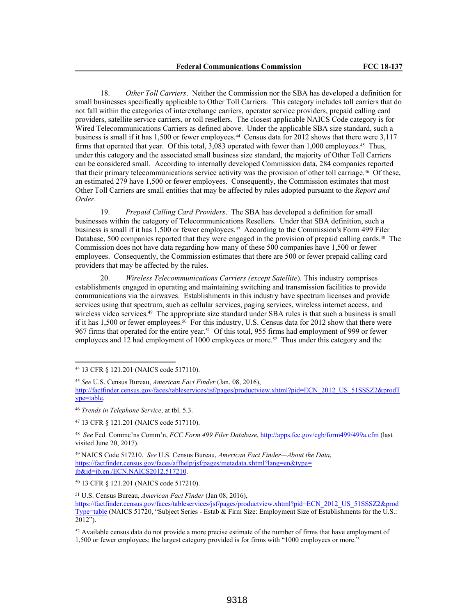18. *Other Toll Carriers*. Neither the Commission nor the SBA has developed a definition for small businesses specifically applicable to Other Toll Carriers. This category includes toll carriers that do not fall within the categories of interexchange carriers, operator service providers, prepaid calling card providers, satellite service carriers, or toll resellers. The closest applicable NAICS Code category is for Wired Telecommunications Carriers as defined above. Under the applicable SBA size standard, such a business is small if it has 1,500 or fewer employees.44 Census data for 2012 shows that there were 3,117 firms that operated that year. Of this total, 3,083 operated with fewer than 1,000 employees.45 Thus, under this category and the associated small business size standard, the majority of Other Toll Carriers can be considered small. According to internally developed Commission data, 284 companies reported that their primary telecommunications service activity was the provision of other toll carriage.46 Of these, an estimated 279 have 1,500 or fewer employees. Consequently, the Commission estimates that most Other Toll Carriers are small entities that may be affected by rules adopted pursuant to the *Report and Order*.

19. *Prepaid Calling Card Providers*. The SBA has developed a definition for small businesses within the category of Telecommunications Resellers. Under that SBA definition, such a business is small if it has 1,500 or fewer employees.<sup>47</sup> According to the Commission's Form 499 Filer Database, 500 companies reported that they were engaged in the provision of prepaid calling cards.<sup>48</sup> The Commission does not have data regarding how many of these 500 companies have 1,500 or fewer employees. Consequently, the Commission estimates that there are 500 or fewer prepaid calling card providers that may be affected by the rules.

20. *Wireless Telecommunications Carriers (except Satellite*). This industry comprises establishments engaged in operating and maintaining switching and transmission facilities to provide communications via the airwaves. Establishments in this industry have spectrum licenses and provide services using that spectrum, such as cellular services, paging services, wireless internet access, and wireless video services.<sup>49</sup> The appropriate size standard under SBA rules is that such a business is small if it has 1,500 or fewer employees.<sup>50</sup> For this industry, U.S. Census data for 2012 show that there were 967 firms that operated for the entire year.51 Of this total, 955 firms had employment of 999 or fewer employees and 12 had employment of 1000 employees or more.<sup>52</sup> Thus under this category and the

<sup>49</sup> NAICS Code 517210. *See* U.S. Census Bureau, *American Fact Finder—About the Data*, https://factfinder.census.gov/faces/affhelp/jsf/pages/metadata.xhtml?lang=en&type= ib&id=ib.en./ECN.NAICS2012.517210.

<sup>50</sup> 13 CFR § 121.201 (NAICS code 517210).

<sup>51</sup> U.S. Census Bureau, *American Fact Finder* (Jan 08, 2016),

<sup>52</sup> Available census data do not provide a more precise estimate of the number of firms that have employment of 1,500 or fewer employees; the largest category provided is for firms with "1000 employees or more."

<sup>44</sup> 13 CFR § 121.201 (NAICS code 517110).

<sup>45</sup> *See* U.S. Census Bureau, *American Fact Finder* (Jan. 08, 2016), http://factfinder.census.gov/faces/tableservices/jsf/pages/productview.xhtml?pid=ECN\_2012\_US\_51SSSZ2&prodT ype=table.

<sup>46</sup> *Trends in Telephone Service*, at tbl. 5.3.

<sup>47</sup> 13 CFR § 121.201 (NAICS code 517110).

<sup>48</sup> *See* Fed. Commc'ns Comm'n, *FCC Form 499 Filer Database*, http://apps.fcc.gov/cgb/form499/499a.cfm (last visited June 20, 2017).

https://factfinder.census.gov/faces/tableservices/jsf/pages/productview.xhtml?pid=ECN\_2012\_US\_51SSSZ2&prod Type=table (NAICS 51720, "Subject Series - Estab & Firm Size: Employment Size of Establishments for the U.S.: 2012").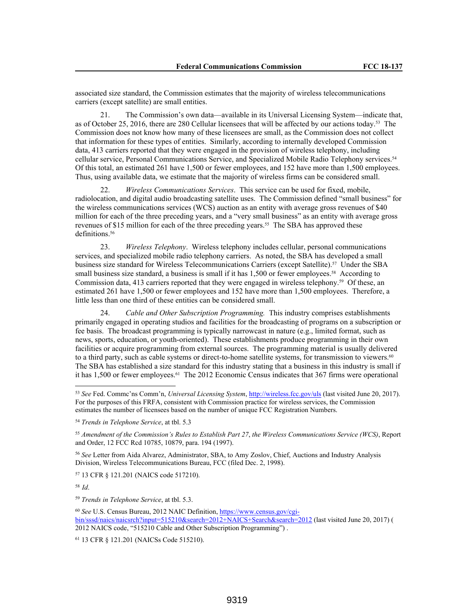associated size standard, the Commission estimates that the majority of wireless telecommunications carriers (except satellite) are small entities.

21. The Commission's own data—available in its Universal Licensing System—indicate that, as of October 25, 2016, there are 280 Cellular licensees that will be affected by our actions today.53 The Commission does not know how many of these licensees are small, as the Commission does not collect that information for these types of entities. Similarly, according to internally developed Commission data, 413 carriers reported that they were engaged in the provision of wireless telephony, including cellular service, Personal Communications Service, and Specialized Mobile Radio Telephony services.<sup>54</sup> Of this total, an estimated 261 have 1,500 or fewer employees, and 152 have more than 1,500 employees. Thus, using available data, we estimate that the majority of wireless firms can be considered small.

22. *Wireless Communications Services*. This service can be used for fixed, mobile, radiolocation, and digital audio broadcasting satellite uses. The Commission defined "small business" for the wireless communications services (WCS) auction as an entity with average gross revenues of \$40 million for each of the three preceding years, and a "very small business" as an entity with average gross revenues of \$15 million for each of the three preceding years.<sup>55</sup> The SBA has approved these definitions.<sup>56</sup>

23. *Wireless Telephony*. Wireless telephony includes cellular, personal communications services, and specialized mobile radio telephony carriers. As noted, the SBA has developed a small business size standard for Wireless Telecommunications Carriers (except Satellite).57 Under the SBA small business size standard, a business is small if it has 1,500 or fewer employees.<sup>58</sup> According to Commission data, 413 carriers reported that they were engaged in wireless telephony.<sup>59</sup> Of these, an estimated 261 have 1,500 or fewer employees and 152 have more than 1,500 employees. Therefore, a little less than one third of these entities can be considered small.

24. *Cable and Other Subscription Programming.* This industry comprises establishments primarily engaged in operating studios and facilities for the broadcasting of programs on a subscription or fee basis. The broadcast programming is typically narrowcast in nature (e.g., limited format, such as news, sports, education, or youth-oriented). These establishments produce programming in their own facilities or acquire programming from external sources. The programming material is usually delivered to a third party, such as cable systems or direct-to-home satellite systems, for transmission to viewers.<sup>60</sup> The SBA has established a size standard for this industry stating that a business in this industry is small if it has  $1,500$  or fewer employees.<sup>61</sup> The 2012 Economic Census indicates that 367 firms were operational

<sup>56</sup> *See* Letter from Aida Alvarez, Administrator, SBA, to Amy Zoslov, Chief, Auctions and Industry Analysis Division, Wireless Telecommunications Bureau, FCC (filed Dec. 2, 1998).

<sup>57</sup> 13 CFR § 121.201 (NAICS code 517210).

<sup>58</sup>*Id*.

<sup>59</sup> *Trends in Telephone Service*, at tbl. 5.3.

<sup>60</sup> *See* U.S. Census Bureau, 2012 NAIC Definition, https://www.census.gov/cgibin/sssd/naics/naicsrch?input=515210&search=2012+NAICS+Search&search=2012 (last visited June 20, 2017) ( 2012 NAICS code, "515210 Cable and Other Subscription Programming") .

<sup>61</sup> 13 CFR § 121.201 (NAICSs Code 515210).

<sup>53</sup> *See* Fed. Commc'ns Comm'n, *Universal Licensing System*, http://wireless.fcc.gov/uls (last visited June 20, 2017). For the purposes of this FRFA, consistent with Commission practice for wireless services, the Commission estimates the number of licensees based on the number of unique FCC Registration Numbers.

<sup>54</sup> *Trends in Telephone Service*, at tbl. 5.3

<sup>55</sup> *Amendment of the Commission's Rules to Establish Part 27*, *the Wireless Communications Service (WCS)*, Report and Order, 12 FCC Rcd 10785, 10879, para. 194 (1997).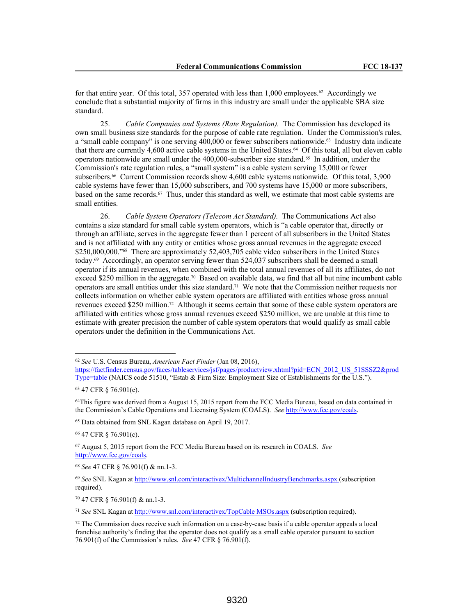for that entire year. Of this total, 357 operated with less than 1,000 employees.<sup>62</sup> Accordingly we conclude that a substantial majority of firms in this industry are small under the applicable SBA size standard.

25. *Cable Companies and Systems (Rate Regulation).* The Commission has developed its own small business size standards for the purpose of cable rate regulation. Under the Commission's rules, a "small cable company" is one serving 400,000 or fewer subscribers nationwide.<sup>63</sup> Industry data indicate that there are currently 4,600 active cable systems in the United States.64 Of this total, all but eleven cable operators nationwide are small under the 400,000-subscriber size standard.65 In addition, under the Commission's rate regulation rules, a "small system" is a cable system serving 15,000 or fewer subscribers.<sup>66</sup> Current Commission records show 4,600 cable systems nationwide. Of this total, 3,900 cable systems have fewer than 15,000 subscribers, and 700 systems have 15,000 or more subscribers, based on the same records.67 Thus, under this standard as well, we estimate that most cable systems are small entities.

26. *Cable System Operators (Telecom Act Standard).* The Communications Act also contains a size standard for small cable system operators, which is "a cable operator that, directly or through an affiliate, serves in the aggregate fewer than 1 percent of all subscribers in the United States and is not affiliated with any entity or entities whose gross annual revenues in the aggregate exceed \$250,000,000."<sup>68</sup> There are approximately 52,403,705 cable video subscribers in the United States today.69 Accordingly, an operator serving fewer than 524,037 subscribers shall be deemed a small operator if its annual revenues, when combined with the total annual revenues of all its affiliates, do not exceed \$250 million in the aggregate.<sup>70</sup> Based on available data, we find that all but nine incumbent cable operators are small entities under this size standard.<sup>71</sup> We note that the Commission neither requests nor collects information on whether cable system operators are affiliated with entities whose gross annual revenues exceed \$250 million.72 Although it seems certain that some of these cable system operators are affiliated with entities whose gross annual revenues exceed \$250 million, we are unable at this time to estimate with greater precision the number of cable system operators that would qualify as small cable operators under the definition in the Communications Act.

<sup>65</sup> Data obtained from SNL Kagan database on April 19, 2017.

<sup>66</sup> 47 CFR § 76.901(c).

<sup>67</sup> August 5, 2015 report from the FCC Media Bureau based on its research in COALS. *See* http://www.fcc.gov/coals.

<sup>62</sup> *See* U.S. Census Bureau, *American Fact Finder* (Jan 08, 2016),

https://factfinder.census.gov/faces/tableservices/jsf/pages/productview.xhtml?pid=ECN\_2012\_US\_51SSSZ2&prod Type=table (NAICS code 51510, "Estab & Firm Size: Employment Size of Establishments for the U.S.").

<sup>63</sup> 47 CFR § 76.901(e).

<sup>&</sup>lt;sup>64</sup>This figure was derived from a August 15, 2015 report from the FCC Media Bureau, based on data contained in the Commission's Cable Operations and Licensing System (COALS). *See* http://www.fcc.gov/coals.

<sup>68</sup> *See* 47 CFR § 76.901(f) & nn.1-3.

<sup>69</sup> *See* SNL Kagan at http://www.snl.com/interactivex/MultichannelIndustryBenchmarks.aspx (subscription required).

<sup>70</sup> 47 CFR § 76.901(f) & nn.1-3.

<sup>71</sup> *See* SNL Kagan at http://www.snl.com/interactivex/TopCable MSOs.aspx (subscription required).

<sup>72</sup> The Commission does receive such information on a case-by-case basis if a cable operator appeals a local franchise authority's finding that the operator does not qualify as a small cable operator pursuant to section 76.901(f) of the Commission's rules. *See* 47 CFR § 76.901(f).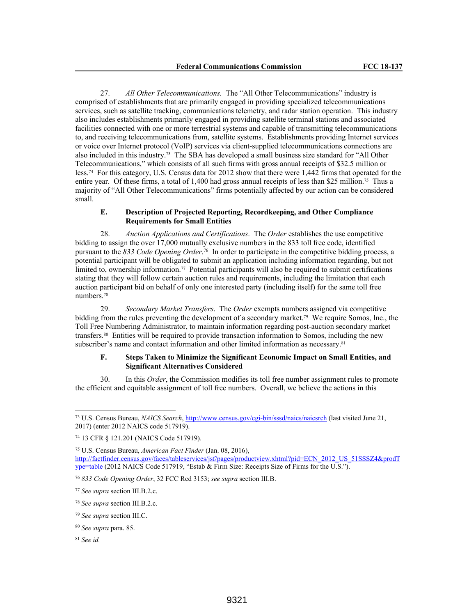27. *All Other Telecommunications.* The "All Other Telecommunications" industry is comprised of establishments that are primarily engaged in providing specialized telecommunications services, such as satellite tracking, communications telemetry, and radar station operation. This industry also includes establishments primarily engaged in providing satellite terminal stations and associated facilities connected with one or more terrestrial systems and capable of transmitting telecommunications to, and receiving telecommunications from, satellite systems. Establishments providing Internet services or voice over Internet protocol (VoIP) services via client-supplied telecommunications connections are also included in this industry.73 The SBA has developed a small business size standard for "All Other Telecommunications," which consists of all such firms with gross annual receipts of \$32.5 million or less.74 For this category, U.S. Census data for 2012 show that there were 1,442 firms that operated for the entire year. Of these firms, a total of 1,400 had gross annual receipts of less than \$25 million.<sup>75</sup> Thus a majority of "All Other Telecommunications" firms potentially affected by our action can be considered small.

## **E. Description of Projected Reporting, Recordkeeping, and Other Compliance Requirements for Small Entities**

28. *Auction Applications and Certifications*. The *Order* establishes the use competitive bidding to assign the over 17,000 mutually exclusive numbers in the 833 toll free code, identified pursuant to the *833 Code Opening Order*. <sup>76</sup> In order to participate in the competitive bidding process, a potential participant will be obligated to submit an application including information regarding, but not limited to, ownership information.77 Potential participants will also be required to submit certifications stating that they will follow certain auction rules and requirements, including the limitation that each auction participant bid on behalf of only one interested party (including itself) for the same toll free numbers.<sup>78</sup>

29. *Secondary Market Transfers*. The *Order* exempts numbers assigned via competitive bidding from the rules preventing the development of a secondary market.79 We require Somos, Inc., the Toll Free Numbering Administrator, to maintain information regarding post-auction secondary market transfers.80 Entities will be required to provide transaction information to Somos, including the new subscriber's name and contact information and other limited information as necessary.<sup>81</sup>

## **F. Steps Taken to Minimize the Significant Economic Impact on Small Entities, and Significant Alternatives Considered**

30. In this *Order*, the Commission modifies its toll free number assignment rules to promote the efficient and equitable assignment of toll free numbers. Overall, we believe the actions in this

<sup>73</sup> U.S. Census Bureau, *NAICS Search*, http://www.census.gov/cgi-bin/sssd/naics/naicsrch (last visited June 21, 2017) (enter 2012 NAICS code 517919).

<sup>74</sup> 13 CFR § 121.201 (NAICS Code 517919).

<sup>75</sup> U.S. Census Bureau, *American Fact Finder* (Jan. 08, 2016), http://factfinder.census.gov/faces/tableservices/jsf/pages/productview.xhtml?pid=ECN\_2012\_US\_51SSSZ4&prodT ype=table (2012 NAICS Code 517919, "Estab & Firm Size: Receipts Size of Firms for the U.S.").

<sup>76</sup> *833 Code Opening Order*, 32 FCC Rcd 3153; *see supra* section III.B.

<sup>77</sup> *See supra* section III.B.2.c.

<sup>78</sup> *See supra* section III.B.2.c.

<sup>79</sup> *See supra* section III.C.

<sup>80</sup> *See supra* para. 85.

<sup>81</sup> *See id.*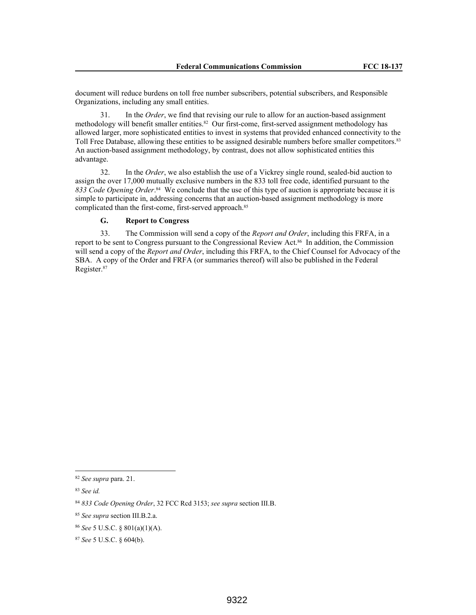document will reduce burdens on toll free number subscribers, potential subscribers, and Responsible Organizations, including any small entities.

31. In the *Order*, we find that revising our rule to allow for an auction-based assignment methodology will benefit smaller entities.<sup>82</sup> Our first-come, first-served assignment methodology has allowed larger, more sophisticated entities to invest in systems that provided enhanced connectivity to the Toll Free Database, allowing these entities to be assigned desirable numbers before smaller competitors.<sup>83</sup> An auction-based assignment methodology, by contrast, does not allow sophisticated entities this advantage.

32. In the *Order*, we also establish the use of a Vickrey single round, sealed-bid auction to assign the over 17,000 mutually exclusive numbers in the 833 toll free code, identified pursuant to the 833 Code Opening Order.<sup>84</sup> We conclude that the use of this type of auction is appropriate because it is simple to participate in, addressing concerns that an auction-based assignment methodology is more complicated than the first-come, first-served approach.<sup>85</sup>

# **G. Report to Congress**

33. The Commission will send a copy of the *Report and Order*, including this FRFA, in a report to be sent to Congress pursuant to the Congressional Review Act.86 In addition, the Commission will send a copy of the *Report and Order*, including this FRFA, to the Chief Counsel for Advocacy of the SBA. A copy of the Order and FRFA (or summaries thereof) will also be published in the Federal Register.<sup>87</sup>

<sup>82</sup> *See supra* para. 21.

<sup>83</sup> *See id.*

<sup>84</sup> *833 Code Opening Order*, 32 FCC Rcd 3153; *see supra* section III.B.

<sup>85</sup> *See supra* section III.B.2.a.

<sup>86</sup> *See* 5 U.S.C. § 801(a)(1)(A).

<sup>87</sup> *See* 5 U.S.C. § 604(b).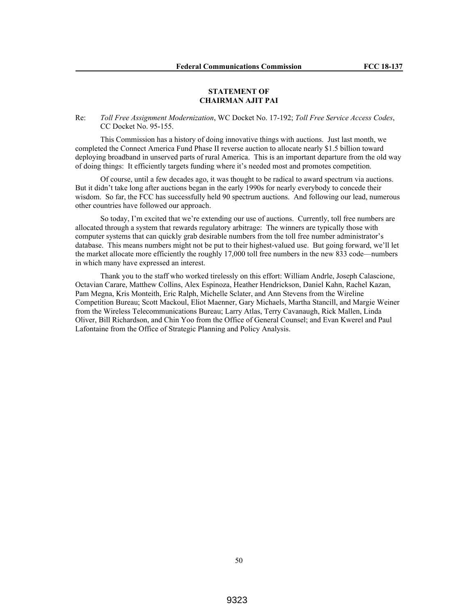### **STATEMENT OF CHAIRMAN AJIT PAI**

## Re: *Toll Free Assignment Modernization*, WC Docket No. 17-192; *Toll Free Service Access Codes*, CC Docket No. 95-155.

This Commission has a history of doing innovative things with auctions. Just last month, we completed the Connect America Fund Phase II reverse auction to allocate nearly \$1.5 billion toward deploying broadband in unserved parts of rural America. This is an important departure from the old way of doing things: It efficiently targets funding where it's needed most and promotes competition.

Of course, until a few decades ago, it was thought to be radical to award spectrum via auctions. But it didn't take long after auctions began in the early 1990s for nearly everybody to concede their wisdom. So far, the FCC has successfully held 90 spectrum auctions. And following our lead, numerous other countries have followed our approach.

So today, I'm excited that we're extending our use of auctions. Currently, toll free numbers are allocated through a system that rewards regulatory arbitrage: The winners are typically those with computer systems that can quickly grab desirable numbers from the toll free number administrator's database. This means numbers might not be put to their highest-valued use. But going forward, we'll let the market allocate more efficiently the roughly 17,000 toll free numbers in the new 833 code—numbers in which many have expressed an interest.

Thank you to the staff who worked tirelessly on this effort: William Andrle, Joseph Calascione, Octavian Carare, Matthew Collins, Alex Espinoza, Heather Hendrickson, Daniel Kahn, Rachel Kazan, Pam Megna, Kris Monteith, Eric Ralph, Michelle Sclater, and Ann Stevens from the Wireline Competition Bureau; Scott Mackoul, Eliot Maenner, Gary Michaels, Martha Stancill, and Margie Weiner from the Wireless Telecommunications Bureau; Larry Atlas, Terry Cavanaugh, Rick Mallen, Linda Oliver, Bill Richardson, and Chin Yoo from the Office of General Counsel; and Evan Kwerel and Paul Lafontaine from the Office of Strategic Planning and Policy Analysis.

50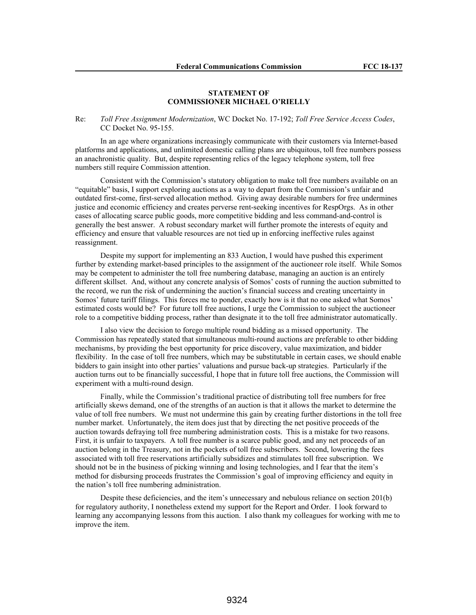## **STATEMENT OF COMMISSIONER MICHAEL O'RIELLY**

Re: *Toll Free Assignment Modernization*, WC Docket No. 17-192; *Toll Free Service Access Codes*, CC Docket No. 95-155.

In an age where organizations increasingly communicate with their customers via Internet-based platforms and applications, and unlimited domestic calling plans are ubiquitous, toll free numbers possess an anachronistic quality. But, despite representing relics of the legacy telephone system, toll free numbers still require Commission attention.

Consistent with the Commission's statutory obligation to make toll free numbers available on an "equitable" basis, I support exploring auctions as a way to depart from the Commission's unfair and outdated first-come, first-served allocation method. Giving away desirable numbers for free undermines justice and economic efficiency and creates perverse rent-seeking incentives for RespOrgs. As in other cases of allocating scarce public goods, more competitive bidding and less command-and-control is generally the best answer. A robust secondary market will further promote the interests of equity and efficiency and ensure that valuable resources are not tied up in enforcing ineffective rules against reassignment.

Despite my support for implementing an 833 Auction, I would have pushed this experiment further by extending market-based principles to the assignment of the auctioneer role itself. While Somos may be competent to administer the toll free numbering database, managing an auction is an entirely different skillset. And, without any concrete analysis of Somos' costs of running the auction submitted to the record, we run the risk of undermining the auction's financial success and creating uncertainty in Somos' future tariff filings. This forces me to ponder, exactly how is it that no one asked what Somos' estimated costs would be? For future toll free auctions, I urge the Commission to subject the auctioneer role to a competitive bidding process, rather than designate it to the toll free administrator automatically.

I also view the decision to forego multiple round bidding as a missed opportunity. The Commission has repeatedly stated that simultaneous multi-round auctions are preferable to other bidding mechanisms, by providing the best opportunity for price discovery, value maximization, and bidder flexibility. In the case of toll free numbers, which may be substitutable in certain cases, we should enable bidders to gain insight into other parties' valuations and pursue back-up strategies. Particularly if the auction turns out to be financially successful, I hope that in future toll free auctions, the Commission will experiment with a multi-round design.

Finally, while the Commission's traditional practice of distributing toll free numbers for free artificially skews demand, one of the strengths of an auction is that it allows the market to determine the value of toll free numbers. We must not undermine this gain by creating further distortions in the toll free number market. Unfortunately, the item does just that by directing the net positive proceeds of the auction towards defraying toll free numbering administration costs. This is a mistake for two reasons. First, it is unfair to taxpayers. A toll free number is a scarce public good, and any net proceeds of an auction belong in the Treasury, not in the pockets of toll free subscribers. Second, lowering the fees associated with toll free reservations artificially subsidizes and stimulates toll free subscription. We should not be in the business of picking winning and losing technologies, and I fear that the item's method for disbursing proceeds frustrates the Commission's goal of improving efficiency and equity in the nation's toll free numbering administration.

Despite these deficiencies, and the item's unnecessary and nebulous reliance on section 201(b) for regulatory authority, I nonetheless extend my support for the Report and Order. I look forward to learning any accompanying lessons from this auction. I also thank my colleagues for working with me to improve the item.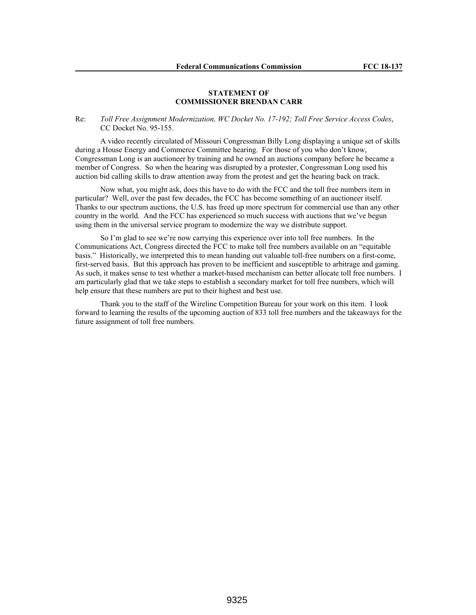## **STATEMENT OF COMMISSIONER BRENDAN CARR**

## Re: *Toll Free Assignment Modernization, WC Docket No. 17-192; Toll Free Service Access Codes*, CC Docket No. 95-155.

A video recently circulated of Missouri Congressman Billy Long displaying a unique set of skills during a House Energy and Commerce Committee hearing. For those of you who don't know, Congressman Long is an auctioneer by training and he owned an auctions company before he became a member of Congress. So when the hearing was disrupted by a protester, Congressman Long used his auction bid calling skills to draw attention away from the protest and get the hearing back on track.

Now what, you might ask, does this have to do with the FCC and the toll free numbers item in particular? Well, over the past few decades, the FCC has become something of an auctioneer itself. Thanks to our spectrum auctions, the U.S. has freed up more spectrum for commercial use than any other country in the world. And the FCC has experienced so much success with auctions that we've begun using them in the universal service program to modernize the way we distribute support.

So I'm glad to see we're now carrying this experience over into toll free numbers. In the Communications Act, Congress directed the FCC to make toll free numbers available on an "equitable basis." Historically, we interpreted this to mean handing out valuable toll-free numbers on a first-come, first-served basis. But this approach has proven to be inefficient and susceptible to arbitrage and gaming. As such, it makes sense to test whether a market-based mechanism can better allocate toll free numbers. I am particularly glad that we take steps to establish a secondary market for toll free numbers, which will help ensure that these numbers are put to their highest and best use.

Thank you to the staff of the Wireline Competition Bureau for your work on this item. I look forward to learning the results of the upcoming auction of 833 toll free numbers and the takeaways for the future assignment of toll free numbers.